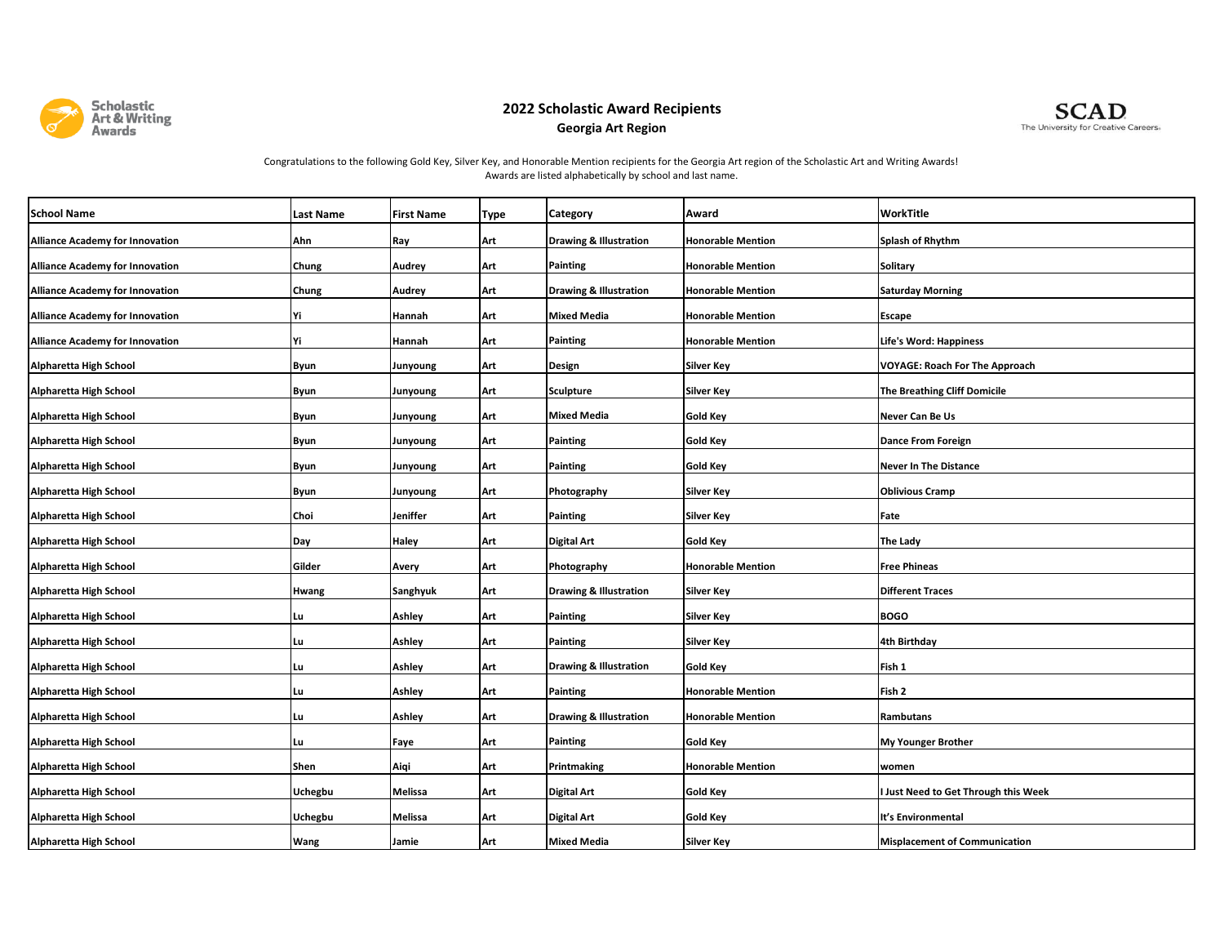

## **2022 Scholastic Award Recipients Georgia Art Region**



## Congratulations to the following Gold Key, Silver Key, and Honorable Mention recipients for the Georgia Art region of the Scholastic Art and Writing Awards! Awards are listed alphabetically by school and last name.

| <b>School Name</b>                     | Last Name      | <b>First Name</b> | Type | Category                          | Award                    | <b>WorkTitle</b>                      |
|----------------------------------------|----------------|-------------------|------|-----------------------------------|--------------------------|---------------------------------------|
| <b>Alliance Academy for Innovation</b> | Ahn            | Ray               | Art  | <b>Drawing &amp; Illustration</b> | <b>Honorable Mention</b> | Splash of Rhythm                      |
| <b>Alliance Academy for Innovation</b> | Chung          | Audrey            | Art  | Painting                          | <b>Honorable Mention</b> | <b>Solitary</b>                       |
| <b>Alliance Academy for Innovation</b> | Chung          | Audrey            | Art  | <b>Drawing &amp; Illustration</b> | <b>Honorable Mention</b> | <b>Saturday Morning</b>               |
| <b>Alliance Academy for Innovation</b> | Υi             | Hannah            | Art  | <b>Mixed Media</b>                | <b>Honorable Mention</b> | Escape                                |
| <b>Alliance Academy for Innovation</b> | Yi             | Hannah            | Art  | <b>Painting</b>                   | <b>Honorable Mention</b> | Life's Word: Happiness                |
| Alpharetta High School                 | Byun           | Junyoung          | Art  | Design                            | Silver Key               | <b>VOYAGE: Roach For The Approach</b> |
| Alpharetta High School                 | <b>Byun</b>    | Junyoung          | Art  | Sculpture                         | <b>Silver Key</b>        | <b>The Breathing Cliff Domicile</b>   |
| Alpharetta High School                 | Byun           | Junyoung          | Art  | Mixed Media                       | <b>Gold Key</b>          | Never Can Be Us                       |
| Alpharetta High School                 | Byun           | Junyoung          | Art  | Painting                          | <b>Gold Key</b>          | Dance From Foreign                    |
| Alpharetta High School                 | Byun           | Junyoung          | Art  | Painting                          | <b>Gold Key</b>          | <b>Never In The Distance</b>          |
| Alpharetta High School                 | <b>Byun</b>    | Junyoung          | Art  | Photography                       | <b>Silver Key</b>        | <b>Oblivious Cramp</b>                |
| Alpharetta High School                 | Choi           | Jeniffer          | Art  | <b>Painting</b>                   | <b>Silver Key</b>        | Fate                                  |
| Alpharetta High School                 | Day            | <b>Haley</b>      | Art  | <b>Digital Art</b>                | <b>Gold Key</b>          | The Lady                              |
| Alpharetta High School                 | Gilder         | Avery             | Art  | Photography                       | <b>Honorable Mention</b> | <b>Free Phineas</b>                   |
| Alpharetta High School                 | Hwang          | Sanghyuk          | Art  | <b>Drawing &amp; Illustration</b> | <b>Silver Key</b>        | <b>Different Traces</b>               |
| Alpharetta High School                 | Lu             | Ashley            | Art  | Painting                          | Silver Key               | <b>BOGO</b>                           |
| Alpharetta High School                 | Lu             | Ashley            | Art  | Painting                          | <b>Silver Key</b>        | 4th Birthday                          |
| Alpharetta High School                 | Lu             | Ashley            | Art  | <b>Drawing &amp; Illustration</b> | Gold Key                 | Fish 1                                |
| Alpharetta High School                 | Lu             | Ashley            | Art  | <b>Painting</b>                   | <b>Honorable Mention</b> | Fish 2                                |
| Alpharetta High School                 | Lu             | Ashley            | Art  | <b>Drawing &amp; Illustration</b> | <b>Honorable Mention</b> | Rambutans                             |
| Alpharetta High School                 | Lu             | Faye              | Art  | Painting                          | <b>Gold Key</b>          | <b>My Younger Brother</b>             |
| Alpharetta High School                 | Shen           | Aiqi              | Art  | Printmaking                       | <b>Honorable Mention</b> | women                                 |
| Alpharetta High School                 | <b>Uchegbu</b> | Melissa           | Art  | <b>Digital Art</b>                | <b>Gold Key</b>          | I Just Need to Get Through this Week  |
| Alpharetta High School                 | <b>Uchegbu</b> | Melissa           | Art  | <b>Digital Art</b>                | <b>Gold Key</b>          | It's Environmental                    |
| Alpharetta High School                 | Wang           | Jamie             | Art  | <b>Mixed Media</b>                | <b>Silver Key</b>        | <b>Misplacement of Communication</b>  |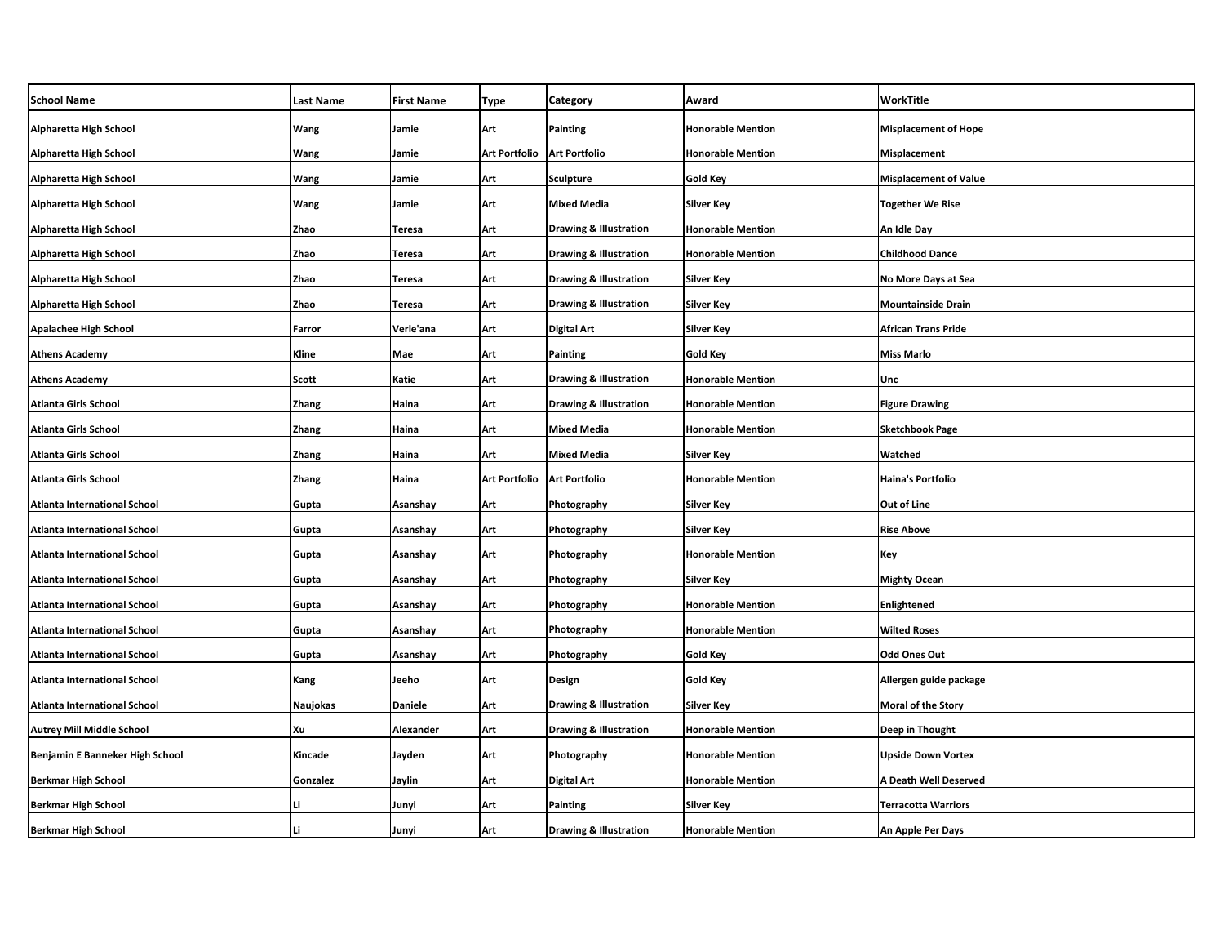| <b>School Name</b>                  | <b>Last Name</b> | <b>First Name</b> | Type          | Category                          | Award                    | WorkTitle                    |
|-------------------------------------|------------------|-------------------|---------------|-----------------------------------|--------------------------|------------------------------|
| Alpharetta High School              | Wang             | Jamie             | Art           | Painting                          | <b>Honorable Mention</b> | <b>Misplacement of Hope</b>  |
| Alpharetta High School              | Wang             | Jamie             | Art Portfolio | <b>Art Portfolio</b>              | <b>Honorable Mention</b> | Misplacement                 |
| Alpharetta High School              | Wang             | Jamie             | Art           | <b>Sculpture</b>                  | Gold Key                 | <b>Misplacement of Value</b> |
| Alpharetta High School              | Wang             | Jamie             | Art           | <b>Mixed Media</b>                | Silver Key               | <b>Together We Rise</b>      |
| Alpharetta High School              | Zhao             | Teresa            | Art           | Drawing & Illustration            | <b>Honorable Mention</b> | An Idle Day                  |
| Alpharetta High School              | Zhao             | <b>Teresa</b>     | Art           | <b>Drawing &amp; Illustration</b> | <b>Honorable Mention</b> | <b>Childhood Dance</b>       |
| Alpharetta High School              | Zhao             | Teresa            | Art           | <b>Drawing &amp; Illustration</b> | Silver Key               | No More Days at Sea          |
| Alpharetta High School              | Zhao             | Teresa            | Art           | <b>Drawing &amp; Illustration</b> | <b>Silver Key</b>        | <b>Mountainside Drain</b>    |
| <b>Apalachee High School</b>        | Farror           | Verle'ana         | Art           | <b>Digital Art</b>                | <b>Silver Key</b>        | African Trans Pride          |
| <b>Athens Academy</b>               | Kline            | Mae               | Art           | <b>Painting</b>                   | <b>Gold Key</b>          | <b>Miss Marlo</b>            |
| <b>Athens Academy</b>               | Scott            | Katie             | Art           | <b>Drawing &amp; Illustration</b> | <b>Honorable Mention</b> | Unc                          |
| <b>Atlanta Girls School</b>         | <b>Zhang</b>     | Haina             | Art           | <b>Drawing &amp; Illustration</b> | <b>Honorable Mention</b> | <b>Figure Drawing</b>        |
| <b>Atlanta Girls School</b>         | Zhang            | Haina             | Art           | <b>Mixed Media</b>                | <b>Honorable Mention</b> | <b>Sketchbook Page</b>       |
| <b>Atlanta Girls School</b>         | Zhang            | Haina             | Art           | <b>Mixed Media</b>                | <b>Silver Key</b>        | Watched                      |
| Atlanta Girls School                | <b>Zhang</b>     | Haina             | Art Portfolio | <b>Art Portfolio</b>              | <b>Honorable Mention</b> | Haina's Portfolio            |
| <b>Atlanta International School</b> | Gupta            | Asanshay          | Art           | Photography                       | Silver Key               | Out of Line                  |
| Atlanta International School        | Gupta            | Asanshay          | Art           | Photography                       | Silver Key               | Rise Above                   |
| <b>Atlanta International School</b> | Gupta            | Asanshay          | Art           | Photography                       | <b>Honorable Mention</b> | Key                          |
| <b>Atlanta International School</b> | Gupta            | Asanshay          | Art           | Photography                       | <b>Silver Key</b>        | <b>Mighty Ocean</b>          |
| <b>Atlanta International School</b> | Gupta            | Asanshay          | Art           | Photography                       | <b>Honorable Mention</b> | <b>Enlightened</b>           |
| <b>Atlanta International School</b> | Gupta            | Asanshay          | Art           | Photography                       | <b>Honorable Mention</b> | <b>Wilted Roses</b>          |
| <b>Atlanta International School</b> | Gupta            | Asanshay          | Art           | Photography                       | <b>Gold Key</b>          | Odd Ones Out                 |
| Atlanta International School        | Kang             | Jeeho             | Art           | Design                            | Gold Key                 | Allergen guide package       |
| <b>Atlanta International School</b> | Naujokas         | <b>Daniele</b>    | Art           | <b>Drawing &amp; Illustration</b> | <b>Silver Key</b>        | <b>Moral of the Story</b>    |
| <b>Autrey Mill Middle School</b>    | Xu               | Alexander         | Art           | <b>Drawing &amp; Illustration</b> | <b>Honorable Mention</b> | Deep in Thought              |
| Benjamin E Banneker High School     | Kincade          | Jayden            | Art           | Photography                       | <b>Honorable Mention</b> | <b>Upside Down Vortex</b>    |
| <b>Berkmar High School</b>          | Gonzalez         | Jaylin            | Art           | Digital Art                       | <b>Honorable Mention</b> | A Death Well Deserved        |
| <b>Berkmar High School</b>          |                  | Junyi             | Art           | Painting                          | Silver Key               | <b>Terracotta Warriors</b>   |
| <b>Berkmar High School</b>          | Li               | Junyi             | Art           | <b>Drawing &amp; Illustration</b> | <b>Honorable Mention</b> | An Apple Per Days            |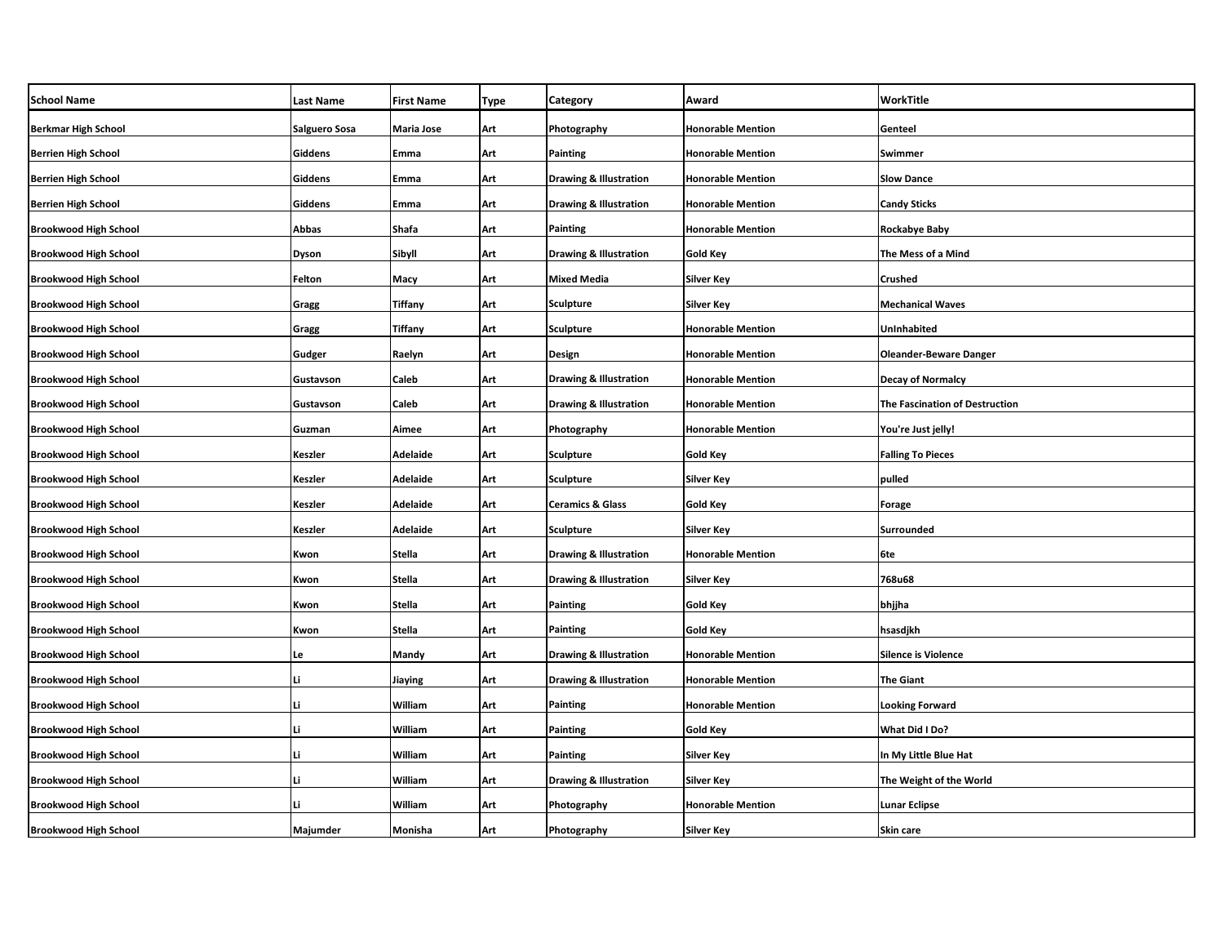| <b>School Name</b>           | <b>Last Name</b> | <b>First Name</b> | <b>Type</b> | <b>Category</b>                   | Award                    | WorkTitle                      |
|------------------------------|------------------|-------------------|-------------|-----------------------------------|--------------------------|--------------------------------|
| <b>Berkmar High School</b>   | Salguero Sosa    | Maria Jose        | Art         | Photography                       | <b>Honorable Mention</b> | Genteel                        |
| <b>Berrien High School</b>   | Giddens          | Emma              | Art         | <b>Painting</b>                   | <b>Honorable Mention</b> | Swimmer                        |
| <b>Berrien High School</b>   | Giddens          | Emma              | Art         | <b>Drawing &amp; Illustration</b> | <b>Honorable Mention</b> | <b>Slow Dance</b>              |
| <b>Berrien High School</b>   | Giddens          | Emma              | Art         | <b>Drawing &amp; Illustration</b> | <b>Honorable Mention</b> | <b>Candy Sticks</b>            |
| <b>Brookwood High School</b> | Abbas            | Shafa             | Art         | <b>Painting</b>                   | <b>Honorable Mention</b> | Rockabye Baby                  |
| <b>Brookwood High School</b> | Dyson            | Sibyll            | Art         | <b>Drawing &amp; Illustration</b> | Gold Key                 | The Mess of a Mind             |
| <b>Brookwood High School</b> | Felton           | Масу              | Art         | <b>Mixed Media</b>                | Silver Key               | Crushed                        |
| <b>Brookwood High School</b> | Gragg            | Tiffany           | Art         | <b>Sculpture</b>                  | Silver Key               | <b>Mechanical Waves</b>        |
| <b>Brookwood High School</b> | Gragg            | Tiffany           | Art         | Sculpture                         | <b>Honorable Mention</b> | UnInhabited                    |
| <b>Brookwood High School</b> | Gudger           | Raelyn            | Art         | <b>Design</b>                     | <b>Honorable Mention</b> | <b>Oleander-Beware Danger</b>  |
| <b>Brookwood High School</b> | Gustavson        | Caleb             | Art         | <b>Drawing &amp; Illustration</b> | <b>Honorable Mention</b> | <b>Decay of Normalcy</b>       |
| <b>Brookwood High School</b> | Gustavson        | Caleb             | Art         | Drawing & Illustration            | <b>Honorable Mention</b> | The Fascination of Destruction |
| <b>Brookwood High School</b> | Guzman           | Aimee             | Art         | Photography                       | <b>Honorable Mention</b> | You're Just jelly!             |
| <b>Brookwood High School</b> | Keszler          | Adelaide          | Art         | <b>Sculpture</b>                  | <b>Gold Key</b>          | <b>Falling To Pieces</b>       |
| <b>Brookwood High School</b> | Keszler          | Adelaide          | Art         | <b>Sculpture</b>                  | Silver Key               | pulled                         |
| <b>Brookwood High School</b> | Keszler          | Adelaide          | Art         | <b>Ceramics &amp; Glass</b>       | <b>Gold Key</b>          | <b>Forage</b>                  |
| <b>Brookwood High School</b> | Keszler          | Adelaide          | Art         | <b>Sculpture</b>                  | Silver Key               | Surrounded                     |
| <b>Brookwood High School</b> | Kwon             | Stella            | Art         | <b>Drawing &amp; Illustration</b> | <b>Honorable Mention</b> | 6te                            |
| <b>Brookwood High School</b> | Kwon             | Stella            | Art         | <b>Drawing &amp; Illustration</b> | Silver Key               | 768u68                         |
| <b>Brookwood High School</b> | Kwon             | <b>Stella</b>     | Art         | <b>Painting</b>                   | Gold Key                 | bhjjha                         |
| <b>Brookwood High School</b> | Kwon             | Stella            | Art         | Painting                          | Gold Key                 | hsasdjkh                       |
| <b>Brookwood High School</b> | Le               | Mandy             | Art         | Drawing & Illustration            | <b>Honorable Mention</b> | <b>Silence is Violence</b>     |
| <b>Brookwood High School</b> | Li               | Jiaying           | Art         | <b>Drawing &amp; Illustration</b> | <b>Honorable Mention</b> | The Giant                      |
| <b>Brookwood High School</b> | Li               | William           | Art         | <b>Painting</b>                   | <b>Honorable Mention</b> | <b>Looking Forward</b>         |
| <b>Brookwood High School</b> | Li               | William           | Art         | <b>Painting</b>                   | Gold Key                 | What Did I Do?                 |
| <b>Brookwood High School</b> | Li               | William           | Art         | <b>Painting</b>                   | Silver Key               | In My Little Blue Hat          |
| <b>Brookwood High School</b> | Li               | William           | Art         | <b>Drawing &amp; Illustration</b> | Silver Key               | The Weight of the World        |
| <b>Brookwood High School</b> | Ш                | William           | Art         | Photography                       | <b>Honorable Mention</b> | <b>Lunar Eclipse</b>           |
| <b>Brookwood High School</b> | Majumder         | Monisha           | Art         | Photography                       | Silver Key               | <b>Skin care</b>               |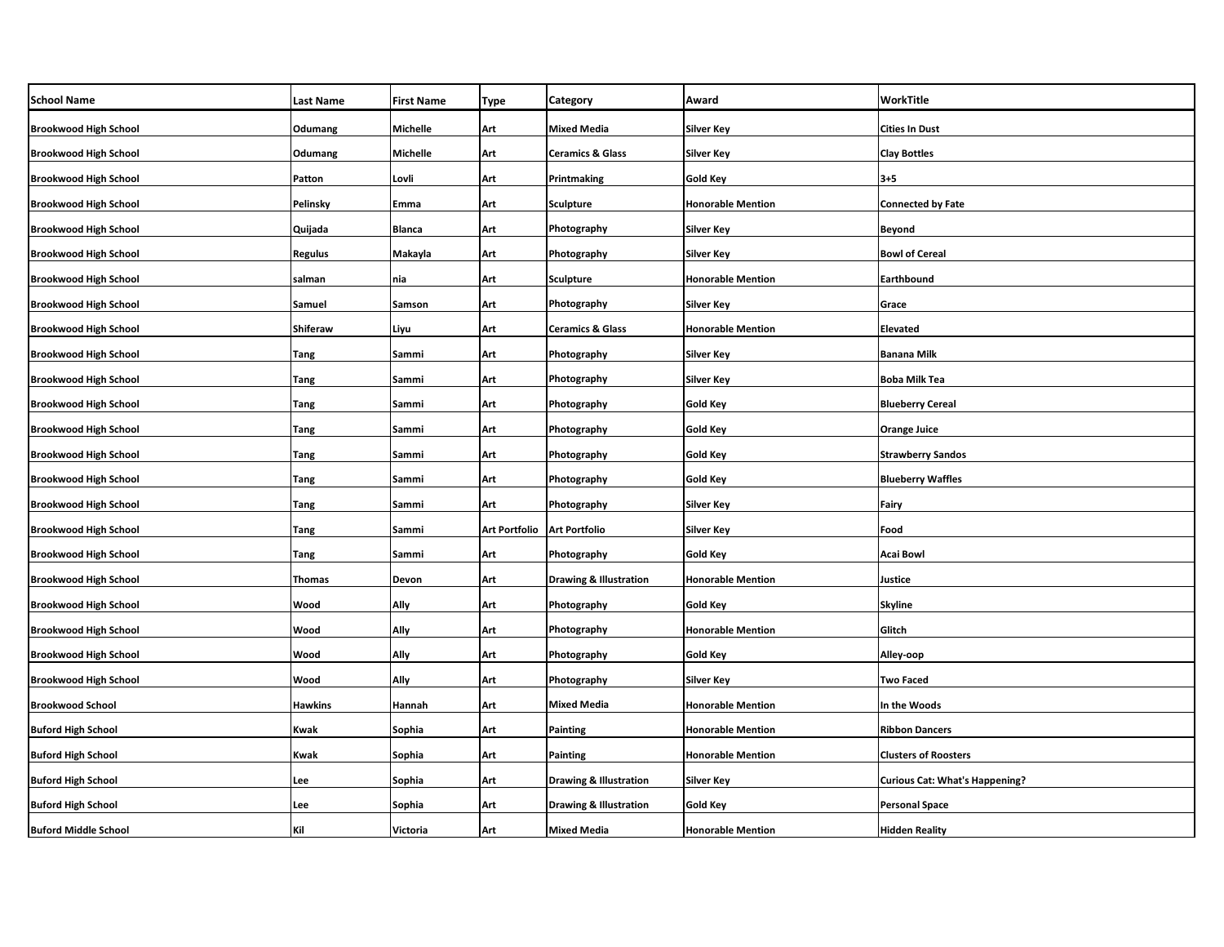| <b>School Name</b>           | <b>Last Name</b> | <b>First Name</b> | Type                 | Category                          | Award                    | WorkTitle                             |
|------------------------------|------------------|-------------------|----------------------|-----------------------------------|--------------------------|---------------------------------------|
| <b>Brookwood High School</b> | Odumang          | Michelle          | Art                  | Mixed Media                       | <b>Silver Key</b>        | <b>Cities In Dust</b>                 |
| <b>Brookwood High School</b> | Odumang          | Michelle          | Art                  | <b>Ceramics &amp; Glass</b>       | <b>Silver Key</b>        | <b>Clay Bottles</b>                   |
| <b>Brookwood High School</b> | Patton           | Lovli             | Art                  | Printmaking                       | <b>Gold Key</b>          | $3 + 5$                               |
| <b>Brookwood High School</b> | Pelinsky         | Emma              | Art                  | <b>Sculpture</b>                  | <b>Honorable Mention</b> | <b>Connected by Fate</b>              |
| <b>Brookwood High School</b> | Quijada          | Blanca            | Art                  | Photography                       | <b>Silver Key</b>        | <b>Beyond</b>                         |
| <b>Brookwood High School</b> | <b>Regulus</b>   | Makayla           | Art                  | Photography                       | <b>Silver Key</b>        | <b>Bowl of Cereal</b>                 |
| <b>Brookwood High School</b> | salman           | nia               | Art                  | Sculpture                         | <b>Honorable Mention</b> | Earthbound                            |
| <b>Brookwood High School</b> | Samuel           | Samson            | Art                  | Photography                       | Silver Key               | Grace                                 |
| <b>Brookwood High School</b> | <b>Shiferaw</b>  | Liyu              | Art                  | <b>Ceramics &amp; Glass</b>       | <b>Honorable Mention</b> | <b>Elevated</b>                       |
| <b>Brookwood High School</b> | Tang             | Sammi             | Art                  | Photography                       | <b>Silver Key</b>        | <b>Banana Milk</b>                    |
| <b>Brookwood High School</b> | <b>Tang</b>      | Sammi             | Art                  | Photography                       | Silver Key               | <b>Boba Milk Tea</b>                  |
| <b>Brookwood High School</b> | <b>Tang</b>      | Sammi             | Art                  | Photography                       | <b>Gold Key</b>          | <b>Blueberry Cereal</b>               |
| <b>Brookwood High School</b> | <b>Tang</b>      | Sammi             | Art                  | Photography                       | Gold Key                 | <b>Orange Juice</b>                   |
| <b>Brookwood High School</b> | Tang             | Sammi             | Art                  | Photography                       | <b>Gold Key</b>          | <b>Strawberry Sandos</b>              |
| <b>Brookwood High School</b> | <b>Tang</b>      | Sammi             | Art                  | Photography                       | <b>Gold Key</b>          | <b>Blueberry Waffles</b>              |
| <b>Brookwood High School</b> | Tang             | Sammi             | Art                  | Photography                       | <b>Silver Key</b>        | Fairy                                 |
| <b>Brookwood High School</b> | <b>Tang</b>      | Sammi             | <b>Art Portfolio</b> | <b>Art Portfolio</b>              | <b>Silver Key</b>        | Food                                  |
| <b>Brookwood High School</b> | <b>Tang</b>      | Sammi             | Art                  | Photography                       | <b>Gold Key</b>          | <b>Acai Bowl</b>                      |
| <b>Brookwood High School</b> | <b>Thomas</b>    | Devon             | Art                  | <b>Drawing &amp; Illustration</b> | <b>Honorable Mention</b> | Justice                               |
| <b>Brookwood High School</b> | Wood             | Ally              | Art                  | Photography                       | <b>Gold Key</b>          | <b>Skyline</b>                        |
| <b>Brookwood High School</b> | Wood             | Ally              | Art                  | Photography                       | <b>Honorable Mention</b> | Glitch                                |
| <b>Brookwood High School</b> | Wood             | Ally              | Art                  | Photography                       | <b>Gold Key</b>          | Alley-oop                             |
| <b>Brookwood High School</b> | Wood             | Ally              | Art                  | Photography                       | Silver Key               | <b>Two Faced</b>                      |
| <b>Brookwood School</b>      | <b>Hawkins</b>   | Hannah            | Art                  | <b>Mixed Media</b>                | <b>Honorable Mention</b> | In the Woods                          |
| <b>Buford High School</b>    | Kwak             | Sophia            | Art                  | Painting                          | <b>Honorable Mention</b> | <b>Ribbon Dancers</b>                 |
| <b>Buford High School</b>    | Kwak             | Sophia            | Art                  | Painting                          | <b>Honorable Mention</b> | <b>Clusters of Roosters</b>           |
| <b>Buford High School</b>    | Lee              | Sophia            | Art                  | <b>Drawing &amp; Illustration</b> | Silver Key               | <b>Curious Cat: What's Happening?</b> |
| <b>Buford High School</b>    | Lee              | Sophia            | Art                  | <b>Drawing &amp; Illustration</b> | Gold Key                 | <b>Personal Space</b>                 |
| <b>Buford Middle School</b>  | Kil              | Victoria          | Art                  | <b>Mixed Media</b>                | <b>Honorable Mention</b> | <b>Hidden Reality</b>                 |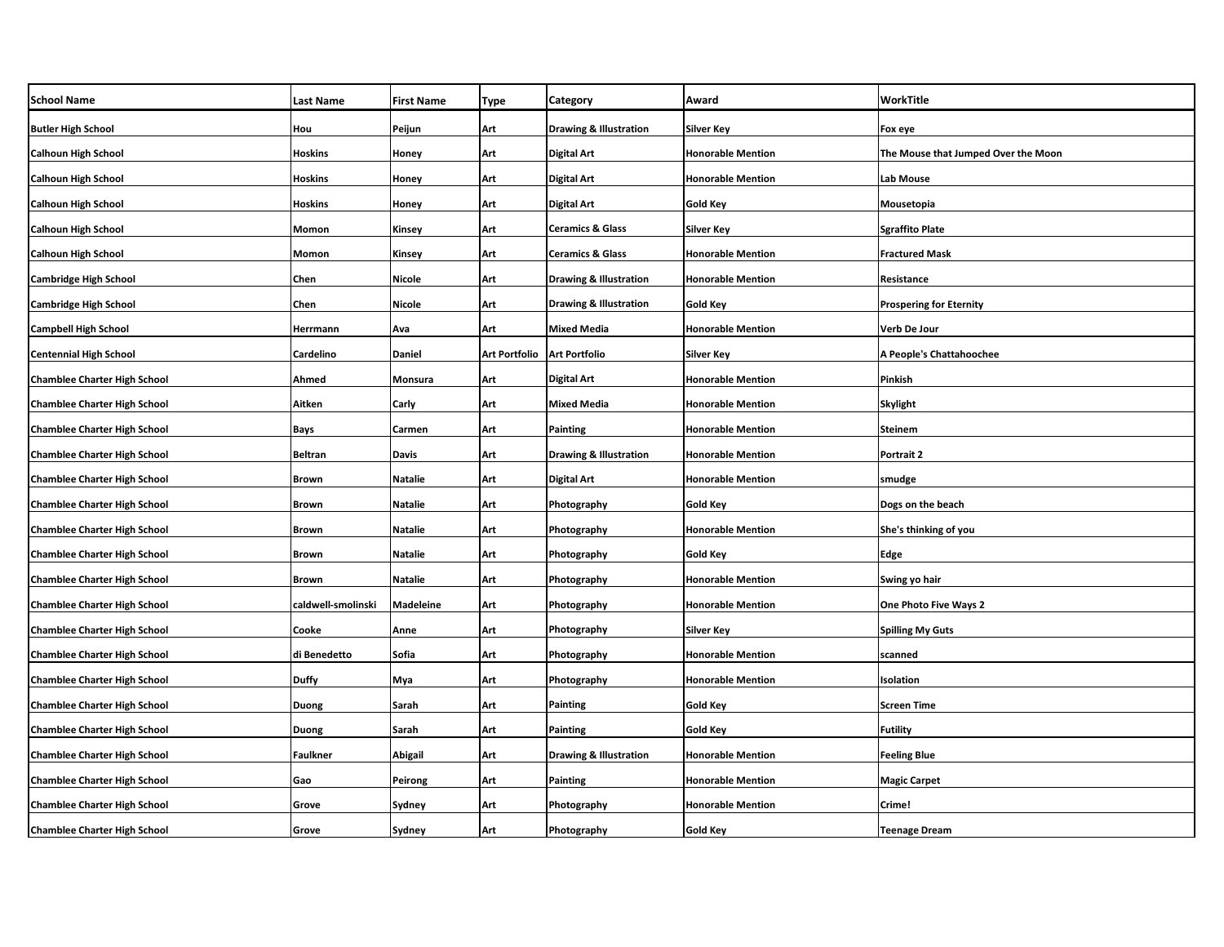| <b>School Name</b>                  | <b>Last Name</b>   | <b>First Name</b> | Type                 | Category                          | Award                    | WorkTitle                           |
|-------------------------------------|--------------------|-------------------|----------------------|-----------------------------------|--------------------------|-------------------------------------|
| <b>Butler High School</b>           | Hou                | Peijun            | Art                  | <b>Drawing &amp; Illustration</b> | <b>Silver Key</b>        | Fox eye                             |
| <b>Calhoun High School</b>          | <b>Hoskins</b>     | Honey             | Art                  | Digital Art                       | <b>Honorable Mention</b> | The Mouse that Jumped Over the Moon |
| <b>Calhoun High School</b>          | <b>Hoskins</b>     | Honey             | Art                  | Digital Art                       | <b>Honorable Mention</b> | Lab Mouse                           |
| <b>Calhoun High School</b>          | <b>Hoskins</b>     | Honey             | Art                  | Digital Art                       | Gold Key                 | Mousetopia                          |
| <b>Calhoun High School</b>          | Momon              | Kinsey            | Art                  | <b>Ceramics &amp; Glass</b>       | Silver Key               | <b>Sgraffito Plate</b>              |
| <b>Calhoun High School</b>          | Momon              | Kinsey            | Art                  | <b>Ceramics &amp; Glass</b>       | <b>Honorable Mention</b> | <b>Fractured Mask</b>               |
| Cambridge High School               | Chen               | Nicole            | Art                  | Drawing & Illustration            | <b>Honorable Mention</b> | Resistance                          |
| <b>Cambridge High School</b>        | Chen               | <b>Nicole</b>     | Art                  | <b>Drawing &amp; Illustration</b> | Gold Key                 | <b>Prospering for Eternity</b>      |
| <b>Campbell High School</b>         | Herrmann           | Ava               | Art                  | Mixed Media                       | <b>Honorable Mention</b> | Verb De Jour                        |
| <b>Centennial High School</b>       | Cardelino          | <b>Daniel</b>     | <b>Art Portfolio</b> | <b>Art Portfolio</b>              | <b>Silver Key</b>        | A People's Chattahoochee            |
| <b>Chamblee Charter High School</b> | Ahmed              | Monsura           | Art                  | Digital Art                       | <b>Honorable Mention</b> | Pinkish                             |
| <b>Chamblee Charter High School</b> | Aitken             | Carly             | Art                  | <b>Mixed Media</b>                | <b>Honorable Mention</b> | <b>Skylight</b>                     |
| <b>Chamblee Charter High School</b> | Bays               | Carmen            | Art                  | Painting                          | <b>Honorable Mention</b> | <b>Steinem</b>                      |
| <b>Chamblee Charter High School</b> | <b>Beltran</b>     | <b>Davis</b>      | Art                  | <b>Drawing &amp; Illustration</b> | <b>Honorable Mention</b> | Portrait 2                          |
| <b>Chamblee Charter High School</b> | <b>Brown</b>       | <b>Natalie</b>    | Art                  | Digital Art                       | <b>Honorable Mention</b> | smudge                              |
| <b>Chamblee Charter High School</b> | <b>Brown</b>       | <b>Natalie</b>    | Art                  | Photography                       | <b>Gold Key</b>          | Dogs on the beach                   |
| <b>Chamblee Charter High School</b> | <b>Brown</b>       | <b>Natalie</b>    | Art                  | Photography                       | <b>Honorable Mention</b> | She's thinking of you               |
| <b>Chamblee Charter High School</b> | <b>Brown</b>       | Natalie           | Art                  | Photography                       | <b>Gold Key</b>          | Edge                                |
| <b>Chamblee Charter High School</b> | <b>Brown</b>       | <b>Natalie</b>    | Art                  | Photography                       | <b>Honorable Mention</b> | Swing yo hair                       |
| <b>Chamblee Charter High School</b> | caldwell-smolinski | <b>Madeleine</b>  | Art                  | Photography                       | <b>Honorable Mention</b> | One Photo Five Ways 2               |
| <b>Chamblee Charter High School</b> | Cooke              | Anne              | Art                  | Photography                       | Silver Key               | <b>Spilling My Guts</b>             |
| <b>Chamblee Charter High School</b> | di Benedetto       | Sofia             | Art                  | Photography                       | <b>Honorable Mention</b> | scanned                             |
| <b>Chamblee Charter High School</b> | <b>Duffy</b>       | Mya               | Art                  | Photography                       | <b>Honorable Mention</b> | Isolation                           |
| <b>Chamblee Charter High School</b> | Duong              | Sarah             | Art                  | Painting                          | Gold Key                 | <b>Screen Time</b>                  |
| <b>Chamblee Charter High School</b> | <b>Duong</b>       | Sarah             | Art                  | Painting                          | Gold Key                 | <b>Futility</b>                     |
| <b>Chamblee Charter High School</b> | <b>Faulkner</b>    | Abigail           | Art                  | <b>Drawing &amp; Illustration</b> | <b>Honorable Mention</b> | <b>Feeling Blue</b>                 |
| <b>Chamblee Charter High School</b> | Gao                | Peirong           | Art                  | Painting                          | <b>Honorable Mention</b> | <b>Magic Carpet</b>                 |
| <b>Chamblee Charter High School</b> | Grove              | Sydney            | Art                  | Photography                       | <b>Honorable Mention</b> | Crime!                              |
| <b>Chamblee Charter High School</b> | Grove              | Sydney            | Art                  | Photography                       | Gold Key                 | <b>Teenage Dream</b>                |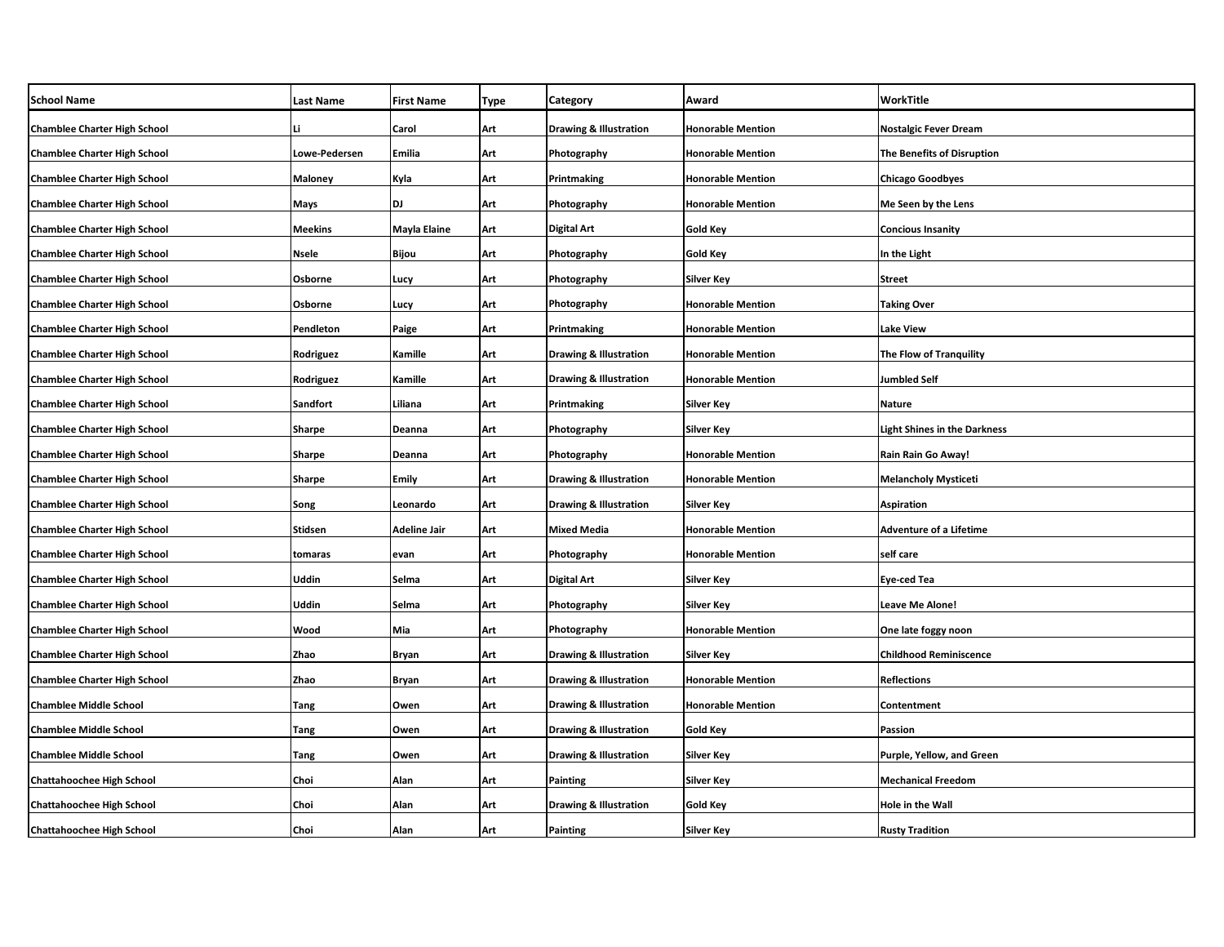| <b>School Name</b>                  | Last Name     | <b>First Name</b> | <b>Type</b> | Category                          | Award                    | WorkTitle                           |
|-------------------------------------|---------------|-------------------|-------------|-----------------------------------|--------------------------|-------------------------------------|
| <b>Chamblee Charter High School</b> | Li            | Carol             | Art         | <b>Drawing &amp; Illustration</b> | <b>Honorable Mention</b> | <b>Nostalgic Fever Dream</b>        |
| <b>Chamblee Charter High School</b> | Lowe-Pedersen | Emilia            | Art         | Photography                       | <b>Honorable Mention</b> | The Benefits of Disruption          |
| <b>Chamblee Charter High School</b> | Maloney       | Kyla              | Art         | Printmaking                       | <b>Honorable Mention</b> | <b>Chicago Goodbyes</b>             |
| <b>Chamblee Charter High School</b> | Mays          | DJ                | Art         | Photography                       | <b>Honorable Mention</b> | Me Seen by the Lens                 |
| <b>Chamblee Charter High School</b> | Meekins       | Mayla Elaine      | Art         | Digital Art                       | Gold Key                 | <b>Concious Insanity</b>            |
| <b>Chamblee Charter High School</b> | Nsele         | Bijou             | Art         | Photography                       | <b>Gold Key</b>          | In the Light                        |
| <b>Chamblee Charter High School</b> | Osborne       | Lucy              | Art         | Photography                       | Silver Key               | Street                              |
| <b>Chamblee Charter High School</b> | Osborne       | Lucy              | Art         | Photography                       | <b>Honorable Mention</b> | <b>Taking Over</b>                  |
| <b>Chamblee Charter High School</b> | Pendleton     | Paige             | Art         | Printmaking                       | <b>Honorable Mention</b> | Lake View                           |
| <b>Chamblee Charter High School</b> | Rodriguez     | Kamille           | Art         | <b>Drawing &amp; Illustration</b> | <b>Honorable Mention</b> | The Flow of Tranquility             |
| <b>Chamblee Charter High School</b> | Rodriguez     | Kamille           | Art         | <b>Drawing &amp; Illustration</b> | <b>Honorable Mention</b> | Jumbled Self                        |
| <b>Chamblee Charter High School</b> | Sandfort      | Liliana           | Art         | Printmaking                       | Silver Key               | Nature                              |
| <b>Chamblee Charter High School</b> | Sharpe        | Deanna            | Art         | Photography                       | <b>Silver Key</b>        | <b>Light Shines in the Darkness</b> |
| <b>Chamblee Charter High School</b> | Sharpe        | Deanna            | Art         | Photography                       | <b>Honorable Mention</b> | Rain Rain Go Away!                  |
| <b>Chamblee Charter High School</b> | <b>Sharpe</b> | Emily             | Art         | <b>Drawing &amp; Illustration</b> | <b>Honorable Mention</b> | Melancholy Mysticeti                |
| <b>Chamblee Charter High School</b> | Song          | Leonardo          | Art         | <b>Drawing &amp; Illustration</b> | <b>Silver Key</b>        | Aspiration                          |
| <b>Chamblee Charter High School</b> | Stidsen       | Adeline Jair      | Art         | <b>Mixed Media</b>                | <b>Honorable Mention</b> | <b>Adventure of a Lifetime</b>      |
| <b>Chamblee Charter High School</b> | tomaras       | evan              | Art         | Photography                       | <b>Honorable Mention</b> | self care                           |
| <b>Chamblee Charter High School</b> | Uddin         | Selma             | Art         | <b>Digital Art</b>                | <b>Silver Key</b>        | Eye-ced Tea                         |
| <b>Chamblee Charter High School</b> | Uddin         | Selma             | Art         | Photography                       | <b>Silver Key</b>        | <b>Leave Me Alone!</b>              |
| <b>Chamblee Charter High School</b> | Wood          | Mia               | Art         | Photography                       | <b>Honorable Mention</b> | One late foggy noon                 |
| <b>Chamblee Charter High School</b> | Zhao          | <b>Bryan</b>      | Art         | <b>Drawing &amp; Illustration</b> | <b>Silver Key</b>        | <b>Childhood Reminiscence</b>       |
| <b>Chamblee Charter High School</b> | Zhao          | Bryan             | Art         | <b>Drawing &amp; Illustration</b> | <b>Honorable Mention</b> | <b>Reflections</b>                  |
| <b>Chamblee Middle School</b>       | Tang          | Owen              | Art         | Drawing & Illustration            | <b>Honorable Mention</b> | Contentment                         |
| <b>Chamblee Middle School</b>       | Tang          | Owen              | Art         | Drawing & Illustration            | Gold Key                 | Passion                             |
| <b>Chamblee Middle School</b>       | Tang          | Owen              | Art         | Drawing & Illustration            | <b>Silver Key</b>        | Purple, Yellow, and Green           |
| <b>Chattahoochee High School</b>    | Choi          | Alan              | Art         | <b>Painting</b>                   | Silver Key               | Mechanical Freedom                  |
| <b>Chattahoochee High School</b>    | Choi          | Alan              | Art         | <b>Drawing &amp; Illustration</b> | Gold Key                 | Hole in the Wall                    |
| <b>Chattahoochee High School</b>    | Choi          | Alan              | Art         | Painting                          | <b>Silver Key</b>        | <b>Rusty Tradition</b>              |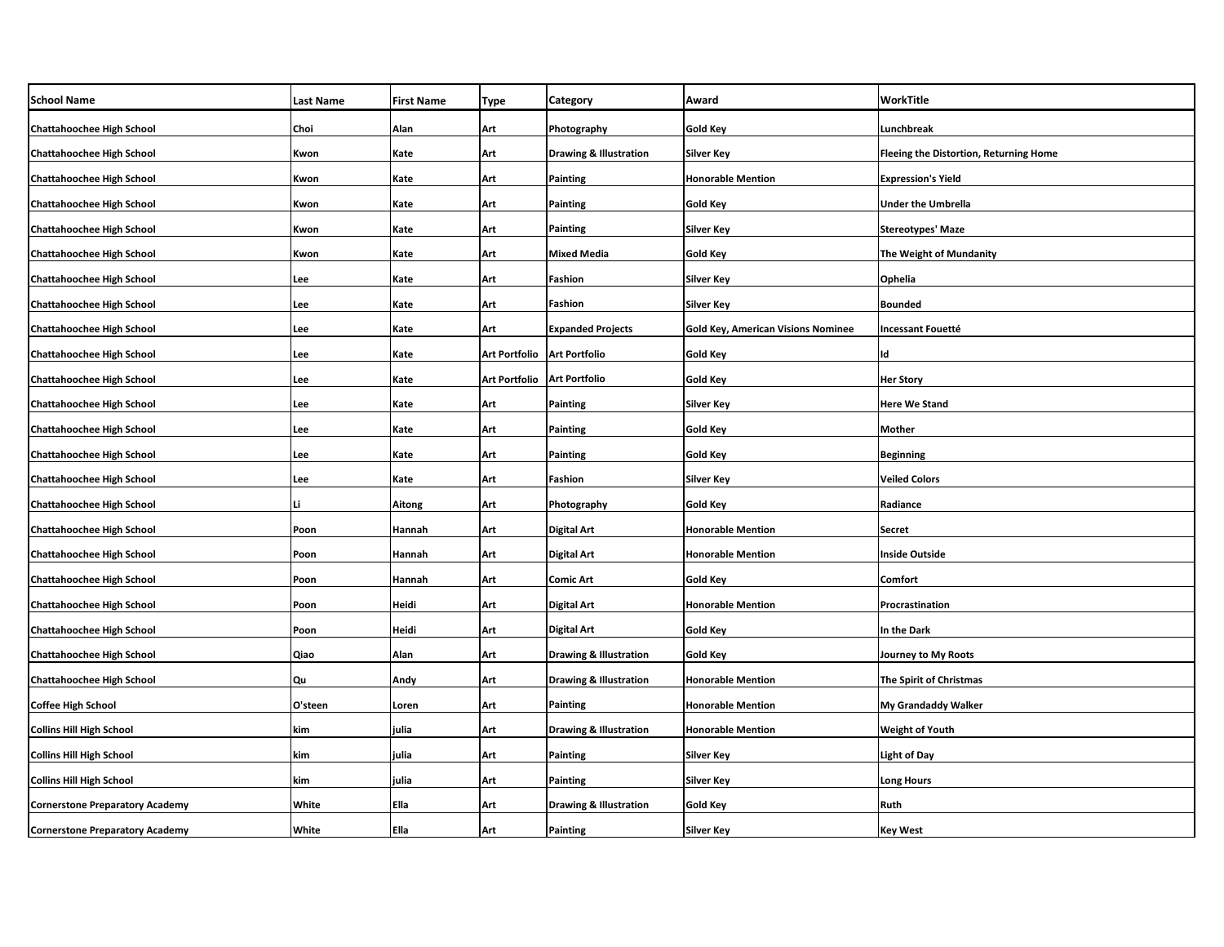| <b>School Name</b>                     | <b>Last Name</b> | <b>First Name</b> | Type                 | Category                          | Award                                     | WorkTitle                                     |
|----------------------------------------|------------------|-------------------|----------------------|-----------------------------------|-------------------------------------------|-----------------------------------------------|
| <b>Chattahoochee High School</b>       | Choi             | Alan              | Art                  | Photography                       | <b>Gold Key</b>                           | Lunchbreak                                    |
| <b>Chattahoochee High School</b>       | Kwon             | Kate              | Art                  | <b>Drawing &amp; Illustration</b> | <b>Silver Key</b>                         | <b>Fleeing the Distortion, Returning Home</b> |
| <b>Chattahoochee High School</b>       | Kwon             | Kate              | Art                  | Painting                          | <b>Honorable Mention</b>                  | <b>Expression's Yield</b>                     |
| <b>Chattahoochee High School</b>       | Kwon             | Kate              | Art                  | Painting                          | <b>Gold Key</b>                           | <b>Under the Umbrella</b>                     |
| <b>Chattahoochee High School</b>       | Kwon             | Kate              | Art                  | Painting                          | Silver Key                                | <b>Stereotypes' Maze</b>                      |
| <b>Chattahoochee High School</b>       | Kwon             | Kate              | Art                  | <b>Mixed Media</b>                | <b>Gold Key</b>                           | The Weight of Mundanity                       |
| <b>Chattahoochee High School</b>       | Lee              | Kate              | Art                  | Fashion                           | <b>Silver Key</b>                         | Ophelia                                       |
| <b>Chattahoochee High School</b>       | Lee              | Kate              | Art                  | Fashion                           | <b>Silver Key</b>                         | <b>Bounded</b>                                |
| <b>Chattahoochee High School</b>       | Lee              | Kate              | Art                  | <b>Expanded Projects</b>          | <b>Gold Key, American Visions Nominee</b> | Incessant Fouetté                             |
| <b>Chattahoochee High School</b>       | Lee              | Kate              | <b>Art Portfolio</b> | <b>Art Portfolio</b>              | <b>Gold Key</b>                           | Id                                            |
| <b>Chattahoochee High School</b>       | Lee              | Kate              | <b>Art Portfolio</b> | <b>Art Portfolio</b>              | <b>Gold Key</b>                           | <b>Her Story</b>                              |
| <b>Chattahoochee High School</b>       | Lee              | Kate              | Art                  | Painting                          | Silver Key                                | <b>Here We Stand</b>                          |
| <b>Chattahoochee High School</b>       | Lee              | Kate              | Art                  | Painting                          | <b>Gold Key</b>                           | Mother                                        |
| <b>Chattahoochee High School</b>       | Lee              | Kate              | Art                  | <b>Painting</b>                   | <b>Gold Key</b>                           | <b>Beginning</b>                              |
| <b>Chattahoochee High School</b>       | Lee              | Kate              | Art                  | Fashion                           | <b>Silver Key</b>                         | <b>Veiled Colors</b>                          |
| <b>Chattahoochee High School</b>       | Li               | Aitong            | Art                  | Photography                       | <b>Gold Key</b>                           | Radiance                                      |
| <b>Chattahoochee High School</b>       | Poon             | Hannah            | Art                  | <b>Digital Art</b>                | <b>Honorable Mention</b>                  | <b>Secret</b>                                 |
| <b>Chattahoochee High School</b>       | Poon             | Hannah            | Art                  | <b>Digital Art</b>                | <b>Honorable Mention</b>                  | <b>Inside Outside</b>                         |
| <b>Chattahoochee High School</b>       | Poon             | Hannah            | Art                  | Comic Art                         | Gold Key                                  | Comfort                                       |
| <b>Chattahoochee High School</b>       | Poon             | Heidi             | Art                  | Digital Art                       | <b>Honorable Mention</b>                  | Procrastination                               |
| <b>Chattahoochee High School</b>       | Poon             | Heidi             | Art                  | Digital Art                       | Gold Key                                  | In the Dark                                   |
| <b>Chattahoochee High School</b>       | Qiao             | Alan              | Art                  | <b>Drawing &amp; Illustration</b> | <b>Gold Key</b>                           | <b>Journey to My Roots</b>                    |
| <b>Chattahoochee High School</b>       | Qu               | Andy              | Art                  | <b>Drawing &amp; Illustration</b> | <b>Honorable Mention</b>                  | The Spirit of Christmas                       |
| <b>Coffee High School</b>              | O'steen          | Loren             | Art                  | Painting                          | <b>Honorable Mention</b>                  | My Grandaddy Walker                           |
| <b>Collins Hill High School</b>        | kim              | ulia              | Art                  | <b>Drawing &amp; Illustration</b> | <b>Honorable Mention</b>                  | Weight of Youth                               |
| <b>Collins Hill High School</b>        | kim              | julia             | Art                  | Painting                          | Silver Key                                | <b>Light of Day</b>                           |
| <b>Collins Hill High School</b>        | kim              | ulia              | Art                  | Painting                          | Silver Key                                | <b>Long Hours</b>                             |
| <b>Cornerstone Preparatory Academy</b> | White            | Ella              | Art                  | <b>Drawing &amp; Illustration</b> | Gold Key                                  | Ruth                                          |
| <b>Cornerstone Preparatory Academy</b> | White            | Ella              | Art                  | <b>Painting</b>                   | <b>Silver Key</b>                         | <b>Key West</b>                               |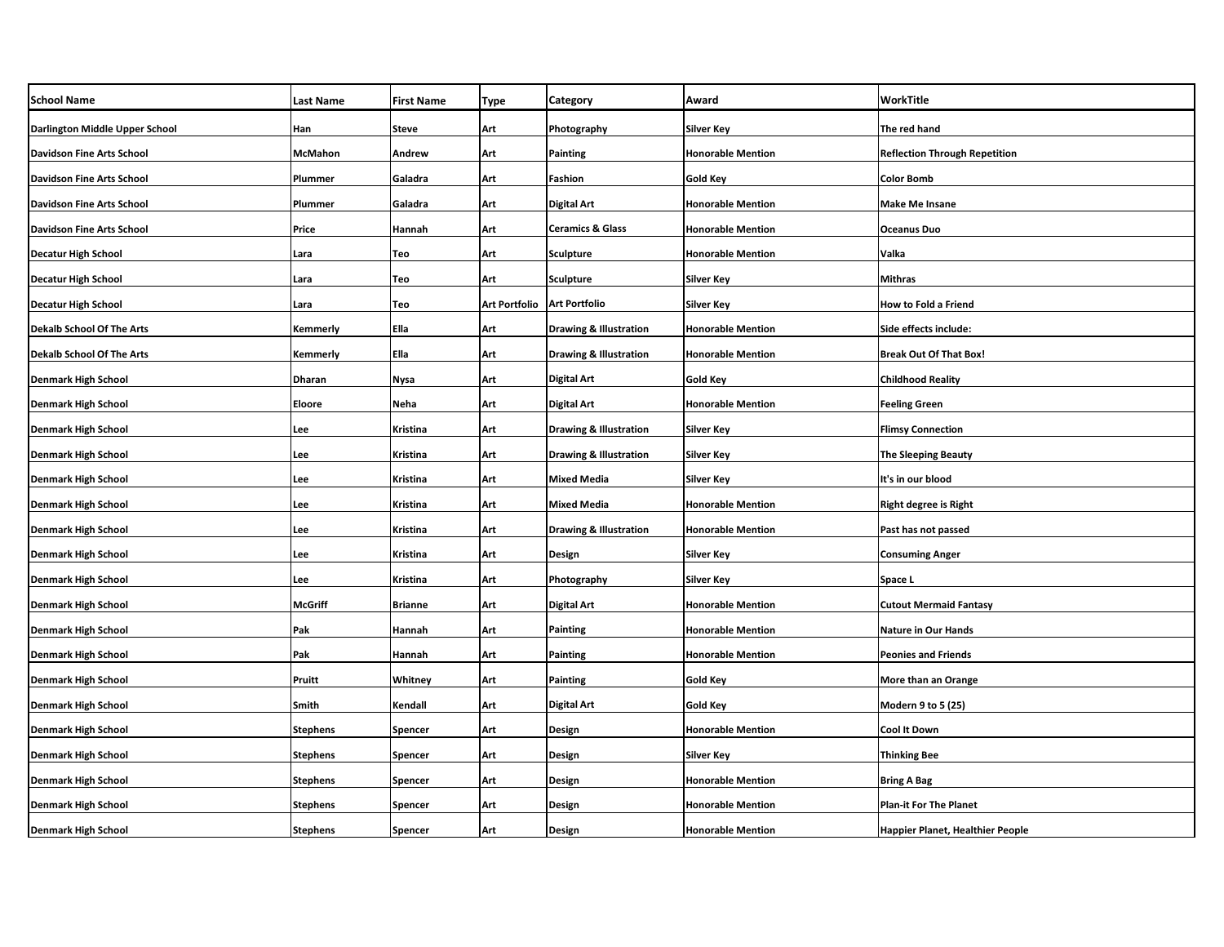| <b>School Name</b>               | <b>Last Name</b> | <b>First Name</b> | Type          | Category                          | Award                    | WorkTitle                            |
|----------------------------------|------------------|-------------------|---------------|-----------------------------------|--------------------------|--------------------------------------|
| Darlington Middle Upper School   | Han              | Steve             | Art           | Photography                       | Silver Key               | The red hand                         |
| <b>Davidson Fine Arts School</b> | McMahon          | Andrew            | Art           | <b>Painting</b>                   | <b>Honorable Mention</b> | <b>Reflection Through Repetition</b> |
| <b>Davidson Fine Arts School</b> | Plummer          | Galadra           | Art           | Fashion                           | <b>Gold Key</b>          | <b>Color Bomb</b>                    |
| <b>Davidson Fine Arts School</b> | Plummer          | Galadra           | Art           | <b>Digital Art</b>                | <b>Honorable Mention</b> | <b>Make Me Insane</b>                |
| <b>Davidson Fine Arts School</b> | Price            | Hannah            | Art           | <b>Ceramics &amp; Glass</b>       | <b>Honorable Mention</b> | Oceanus Duo                          |
| <b>Decatur High School</b>       | Lara             | Teo               | Art           | <b>Sculpture</b>                  | <b>Honorable Mention</b> | Valka                                |
| <b>Decatur High School</b>       | Lara             | Teo               | Art           | <b>Sculpture</b>                  | <b>Silver Key</b>        | Mithras                              |
| <b>Decatur High School</b>       | Lara             | Teo               | Art Portfolio | <b>Art Portfolio</b>              | Silver Key               | <b>How to Fold a Friend</b>          |
| <b>Dekalb School Of The Arts</b> | Kemmerly         | Ella              | Art           | <b>Drawing &amp; Illustration</b> | <b>Honorable Mention</b> | Side effects include:                |
| <b>Dekalb School Of The Arts</b> | Kemmerly         | Ella              | Art           | <b>Drawing &amp; Illustration</b> | <b>Honorable Mention</b> | <b>Break Out Of That Box!</b>        |
| <b>Denmark High School</b>       | <b>Dharan</b>    | Nysa              | Art           | <b>Digital Art</b>                | Gold Key                 | <b>Childhood Reality</b>             |
| <b>Denmark High School</b>       | Eloore           | Neha              | Art           | <b>Digital Art</b>                | <b>Honorable Mention</b> | <b>Feeling Green</b>                 |
| <b>Denmark High School</b>       | Lee              | Kristina          | Art           | <b>Drawing &amp; Illustration</b> | Silver Key               | <b>Flimsy Connection</b>             |
| <b>Denmark High School</b>       | Lee              | Kristina          | Art           | <b>Drawing &amp; Illustration</b> | <b>Silver Key</b>        | <b>The Sleeping Beauty</b>           |
| <b>Denmark High School</b>       | Lee              | Kristina          | Art           | <b>Mixed Media</b>                | Silver Key               | It's in our blood                    |
| <b>Denmark High School</b>       | Lee              | Kristina          | Art           | <b>Mixed Media</b>                | <b>Honorable Mention</b> | Right degree is Right                |
| <b>Denmark High School</b>       | Lee              | Kristina          | Art           | <b>Drawing &amp; Illustration</b> | <b>Honorable Mention</b> | Past has not passed                  |
| <b>Denmark High School</b>       | Lee              | Kristina          | Art           | Design                            | <b>Silver Key</b>        | <b>Consuming Anger</b>               |
| <b>Denmark High School</b>       | Lee              | Kristina          | Art           | Photography                       | Silver Key               | Space L                              |
| <b>Denmark High School</b>       | <b>McGriff</b>   | <b>Brianne</b>    | Art           | Digital Art                       | <b>Honorable Mention</b> | <b>Cutout Mermaid Fantasy</b>        |
| <b>Denmark High School</b>       | Pak              | Hannah            | Art           | <b>Painting</b>                   | <b>Honorable Mention</b> | <b>Nature in Our Hands</b>           |
| <b>Denmark High School</b>       | Pak              | Hannah            | Art           | <b>Painting</b>                   | <b>Honorable Mention</b> | <b>Peonies and Friends</b>           |
| <b>Denmark High School</b>       | Pruitt           | Whitney           | Art           | <b>Painting</b>                   | Gold Key                 | More than an Orange                  |
| <b>Denmark High School</b>       | Smith            | Kendall           | Art           | <b>Digital Art</b>                | <b>Gold Key</b>          | Modern 9 to 5 (25)                   |
| <b>Denmark High School</b>       | <b>Stephens</b>  | Spencer           | Art           | Design                            | <b>Honorable Mention</b> | Cool It Down                         |
| <b>Denmark High School</b>       | <b>Stephens</b>  | Spencer           | Art           | Design                            | Silver Key               | Thinking Bee                         |
| <b>Denmark High School</b>       | <b>Stephens</b>  | Spencer           | Art           | Design                            | <b>Honorable Mention</b> | <b>Bring A Bag</b>                   |
| <b>Denmark High School</b>       | <b>Stephens</b>  | Spencer           | Art           | Design                            | <b>Honorable Mention</b> | <b>Plan-it For The Planet</b>        |
| <b>Denmark High School</b>       | <b>Stephens</b>  | <b>Spencer</b>    | Art           | Design                            | <b>Honorable Mention</b> | Happier Planet, Healthier People     |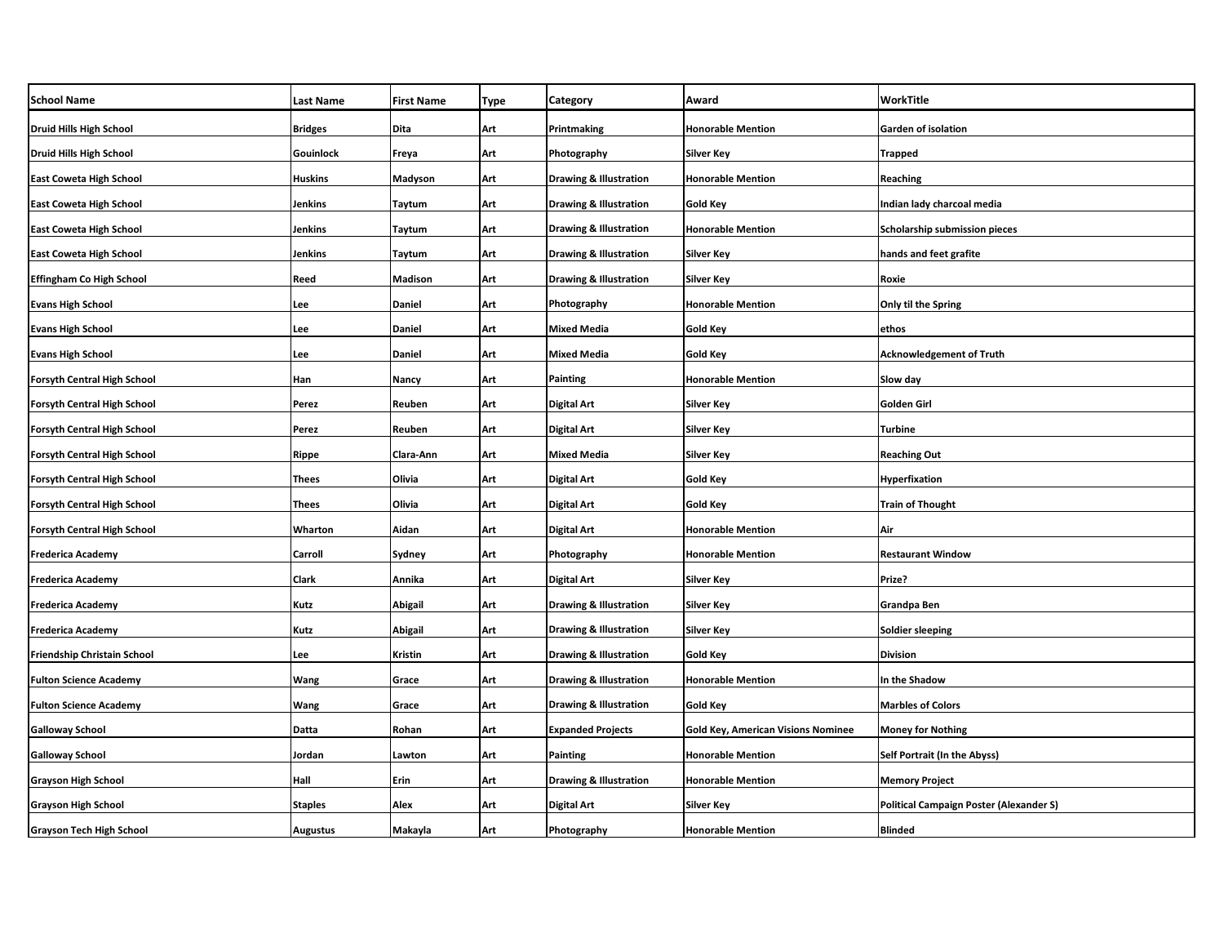| <b>School Name</b>                 | <b>Last Name</b> | <b>First Name</b> | Type | Category                          | Award                                     | WorkTitle                                      |
|------------------------------------|------------------|-------------------|------|-----------------------------------|-------------------------------------------|------------------------------------------------|
| <b>Druid Hills High School</b>     | <b>Bridges</b>   | Dita              | Art  | Printmaking                       | <b>Honorable Mention</b>                  | <b>Garden of isolation</b>                     |
| <b>Druid Hills High School</b>     | Gouinlock        | Freya             | Art  | Photography                       | <b>Silver Key</b>                         | <b>Trapped</b>                                 |
| <b>East Coweta High School</b>     | <b>Huskins</b>   | Madyson           | Art  | <b>Drawing &amp; Illustration</b> | <b>Honorable Mention</b>                  | Reaching                                       |
| <b>East Coweta High School</b>     | Jenkins          | Taytum            | Art  | <b>Drawing &amp; Illustration</b> | Gold Key                                  | Indian lady charcoal media                     |
| <b>East Coweta High School</b>     | Jenkins          | Taytum            | Art  | <b>Drawing &amp; Illustration</b> | <b>Honorable Mention</b>                  | Scholarship submission pieces                  |
| <b>East Coweta High School</b>     | Jenkins          | Taytum            | Art  | <b>Drawing &amp; Illustration</b> | <b>Silver Key</b>                         | hands and feet grafite                         |
| <b>Effingham Co High School</b>    | Reed             | Madison           | Art  | Drawing & Illustration            | <b>Silver Key</b>                         | Roxie                                          |
| <b>Evans High School</b>           | Lee              | Daniel            | Art  | Photography                       | <b>Honorable Mention</b>                  | Only til the Spring                            |
| <b>Evans High School</b>           | Lee              | Daniel            | Art  | <b>Mixed Media</b>                | Gold Key                                  | ethos                                          |
| <b>Evans High School</b>           | Lee              | Daniel            | Art  | <b>Mixed Media</b>                | <b>Gold Key</b>                           | <b>Acknowledgement of Truth</b>                |
| <b>Forsyth Central High School</b> | Han              | Nancy             | Art  | Painting                          | <b>Honorable Mention</b>                  | Slow day                                       |
| <b>Forsyth Central High School</b> | Perez            | Reuben            | Art  | Digital Art                       | Silver Key                                | Golden Girl                                    |
| Forsyth Central High School        | Perez            | Reuben            | Art  | Digital Art                       | <b>Silver Key</b>                         | <b>Turbine</b>                                 |
| <b>Forsyth Central High School</b> | Rippe            | Clara-Ann         | Art  | Mixed Media                       | <b>Silver Key</b>                         | <b>Reaching Out</b>                            |
| <b>Forsyth Central High School</b> | <b>Thees</b>     | Olivia            | Art  | Digital Art                       | <b>Gold Key</b>                           | Hyperfixation                                  |
| <b>Forsyth Central High School</b> | <b>Thees</b>     | Olivia            | Art  | <b>Digital Art</b>                | Gold Key                                  | <b>Train of Thought</b>                        |
| <b>Forsyth Central High School</b> | Wharton          | Aidan             | Art  | Digital Art                       | <b>Honorable Mention</b>                  | Air                                            |
| <b>Frederica Academy</b>           | Carroll          | Sydney            | Art  | Photography                       | <b>Honorable Mention</b>                  | <b>Restaurant Window</b>                       |
| <b>Frederica Academy</b>           | <b>Clark</b>     | Annika            | Art  | <b>Digital Art</b>                | Silver Key                                | Prize?                                         |
| <b>Frederica Academy</b>           | Kutz             | Abigail           | Art  | <b>Drawing &amp; Illustration</b> | <b>Silver Key</b>                         | Grandpa Ben                                    |
| <b>Frederica Academy</b>           | Kutz             | Abigail           | Art  | <b>Drawing &amp; Illustration</b> | <b>Silver Key</b>                         | <b>Soldier sleeping</b>                        |
| Friendship Christain School        | Lee              | Kristin           | Art  | <b>Drawing &amp; Illustration</b> | <b>Gold Key</b>                           | <b>Division</b>                                |
| <b>Fulton Science Academy</b>      | <b>Wang</b>      | Grace             | Art  | <b>Drawing &amp; Illustration</b> | <b>Honorable Mention</b>                  | In the Shadow                                  |
| <b>Fulton Science Academy</b>      | Wang             | Grace             | Art  | <b>Drawing &amp; Illustration</b> | <b>Gold Key</b>                           | <b>Marbles of Colors</b>                       |
| <b>Galloway School</b>             | Datta            | Rohan             | Art  | <b>Expanded Projects</b>          | <b>Gold Key, American Visions Nominee</b> | <b>Money for Nothing</b>                       |
| <b>Galloway School</b>             | Jordan           | Lawton            | Art  | Painting                          | <b>Honorable Mention</b>                  | Self Portrait (In the Abyss)                   |
| <b>Grayson High School</b>         | Hall             | Erin              | Art  | <b>Drawing &amp; Illustration</b> | <b>Honorable Mention</b>                  | <b>Memory Project</b>                          |
| <b>Grayson High School</b>         | <b>Staples</b>   | Alex              | Art  | <b>Digital Art</b>                | Silver Key                                | <b>Political Campaign Poster (Alexander S)</b> |
| <b>Grayson Tech High School</b>    | <b>Augustus</b>  | Makayla           | Art  | Photography                       | <b>Honorable Mention</b>                  | <b>Blinded</b>                                 |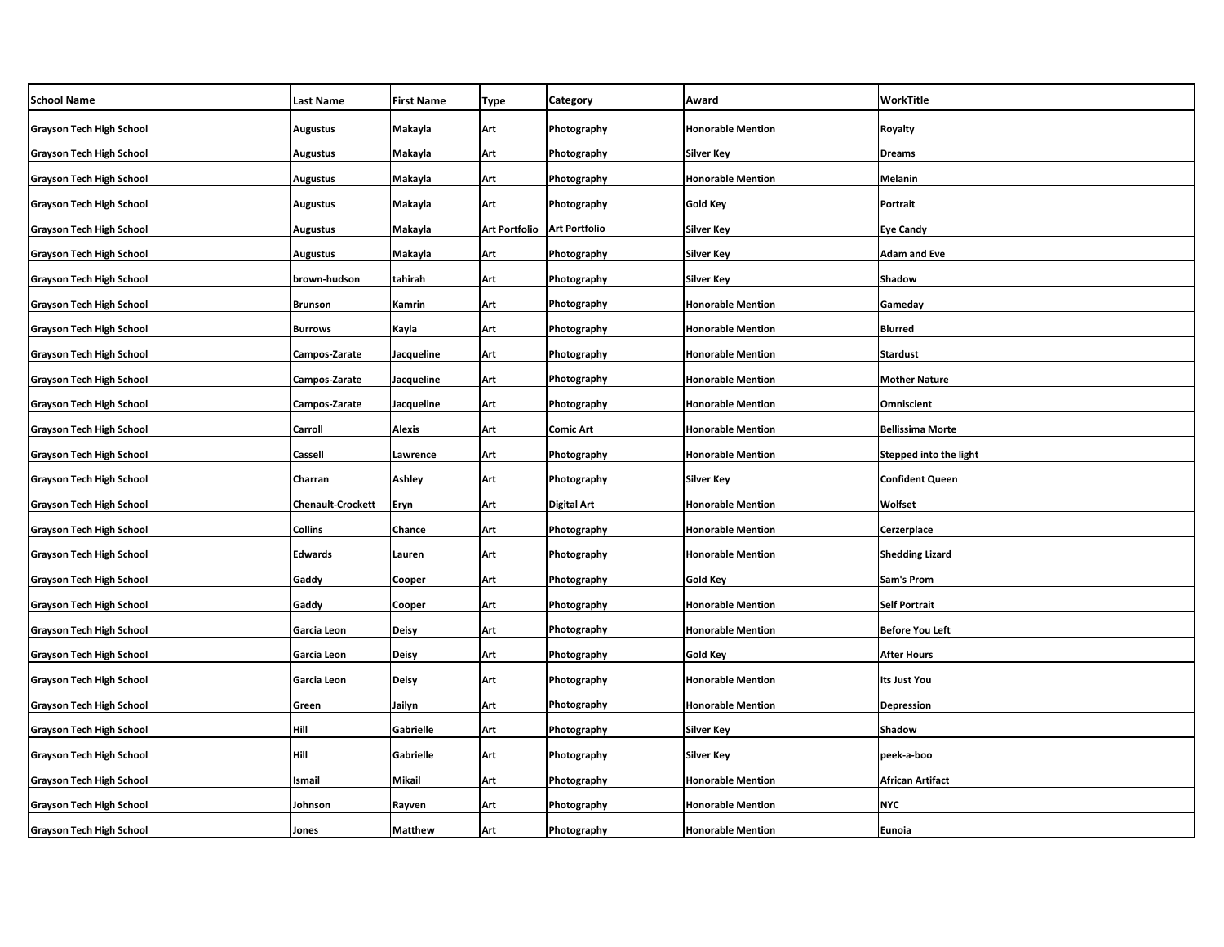| <b>School Name</b>              | <b>Last Name</b>         | <b>First Name</b> | Type                 | Category             | Award                    | WorkTitle               |
|---------------------------------|--------------------------|-------------------|----------------------|----------------------|--------------------------|-------------------------|
| <b>Grayson Tech High School</b> | <b>Augustus</b>          | Makayla           | Art                  | Photography          | <b>Honorable Mention</b> | Royalty                 |
| <b>Grayson Tech High School</b> | <b>Augustus</b>          | Makayla           | Art                  | Photography          | <b>Silver Key</b>        | <b>Dreams</b>           |
| <b>Grayson Tech High School</b> | <b>Augustus</b>          | Makayla           | Art                  | Photography          | <b>Honorable Mention</b> | Melanin                 |
| <b>Grayson Tech High School</b> | <b>Augustus</b>          | Makayla           | Art                  | Photography          | Gold Key                 | Portrait                |
| <b>Grayson Tech High School</b> | <b>Augustus</b>          | Makayla           | <b>Art Portfolio</b> | <b>Art Portfolio</b> | <b>Silver Key</b>        | <b>Eye Candy</b>        |
| <b>Grayson Tech High School</b> | <b>Augustus</b>          | Makayla           | Art                  | Photography          | <b>Silver Key</b>        | <b>Adam and Eve</b>     |
| <b>Grayson Tech High School</b> | brown-hudson             | tahirah           | Art                  | Photography          | <b>Silver Key</b>        | Shadow                  |
| <b>Grayson Tech High School</b> | <b>Brunson</b>           | Kamrin            | Art                  | Photography          | <b>Honorable Mention</b> | Gameday                 |
| <b>Grayson Tech High School</b> | <b>Burrows</b>           | Kayla             | Art                  | Photography          | <b>Honorable Mention</b> | <b>Blurred</b>          |
| <b>Grayson Tech High School</b> | Campos-Zarate            | Jacqueline        | Art                  | Photography          | <b>Honorable Mention</b> | <b>Stardust</b>         |
| <b>Grayson Tech High School</b> | Campos-Zarate            | Jacqueline        | Art                  | Photography          | <b>Honorable Mention</b> | <b>Mother Nature</b>    |
| <b>Grayson Tech High School</b> | Campos-Zarate            | Jacqueline        | Art                  | Photography          | <b>Honorable Mention</b> | <b>Omniscient</b>       |
| <b>Grayson Tech High School</b> | Carroll                  | Alexis            | Art                  | <b>Comic Art</b>     | <b>Honorable Mention</b> | <b>Bellissima Morte</b> |
| <b>Grayson Tech High School</b> | Cassell                  | Lawrence          | Art                  | Photography          | <b>Honorable Mention</b> | Stepped into the light  |
| <b>Grayson Tech High School</b> | Charran                  | <b>Ashley</b>     | Art                  | Photography          | <b>Silver Key</b>        | <b>Confident Queen</b>  |
| <b>Grayson Tech High School</b> | <b>Chenault-Crockett</b> | Eryn              | Art                  | <b>Digital Art</b>   | <b>Honorable Mention</b> | Wolfset                 |
| <b>Grayson Tech High School</b> | <b>Collins</b>           | Chance            | Art                  | Photography          | <b>Honorable Mention</b> | Cerzerplace             |
| <b>Grayson Tech High School</b> | <b>Edwards</b>           | Lauren            | Art                  | Photography          | <b>Honorable Mention</b> | <b>Shedding Lizard</b>  |
| <b>Grayson Tech High School</b> | Gaddy                    | Cooper            | Art                  | Photography          | Gold Key                 | Sam's Prom              |
| <b>Grayson Tech High School</b> | Gaddy                    | Cooper            | Art                  | Photography          | <b>Honorable Mention</b> | <b>Self Portrait</b>    |
| <b>Grayson Tech High School</b> | Garcia Leon              | <b>Deisy</b>      | Art                  | Photography          | <b>Honorable Mention</b> | <b>Before You Left</b>  |
| <b>Grayson Tech High School</b> | Garcia Leon              | Deisy             | Art                  | Photography          | Gold Key                 | <b>After Hours</b>      |
| <b>Grayson Tech High School</b> | Garcia Leon              | Deisy             | Art                  | Photography          | <b>Honorable Mention</b> | Its Just You            |
| <b>Grayson Tech High School</b> | Green                    | Jailyn            | Art                  | Photography          | <b>Honorable Mention</b> | <b>Depression</b>       |
| <b>Grayson Tech High School</b> | Hill                     | Gabrielle         | Art                  | Photography          | Silver Key               | Shadow                  |
| <b>Grayson Tech High School</b> | Hill                     | Gabrielle         | Art                  | Photography          | Silver Key               | peek-a-boo              |
| <b>Grayson Tech High School</b> | Ismail                   | Mikail            | Art                  | Photography          | <b>Honorable Mention</b> | African Artifact        |
| <b>Grayson Tech High School</b> | Johnson                  | Rayven            | Art                  | Photography          | <b>Honorable Mention</b> | NYC                     |
| <b>Grayson Tech High School</b> | Jones                    | <b>Matthew</b>    | Art                  | Photography          | <b>Honorable Mention</b> | Eunoia                  |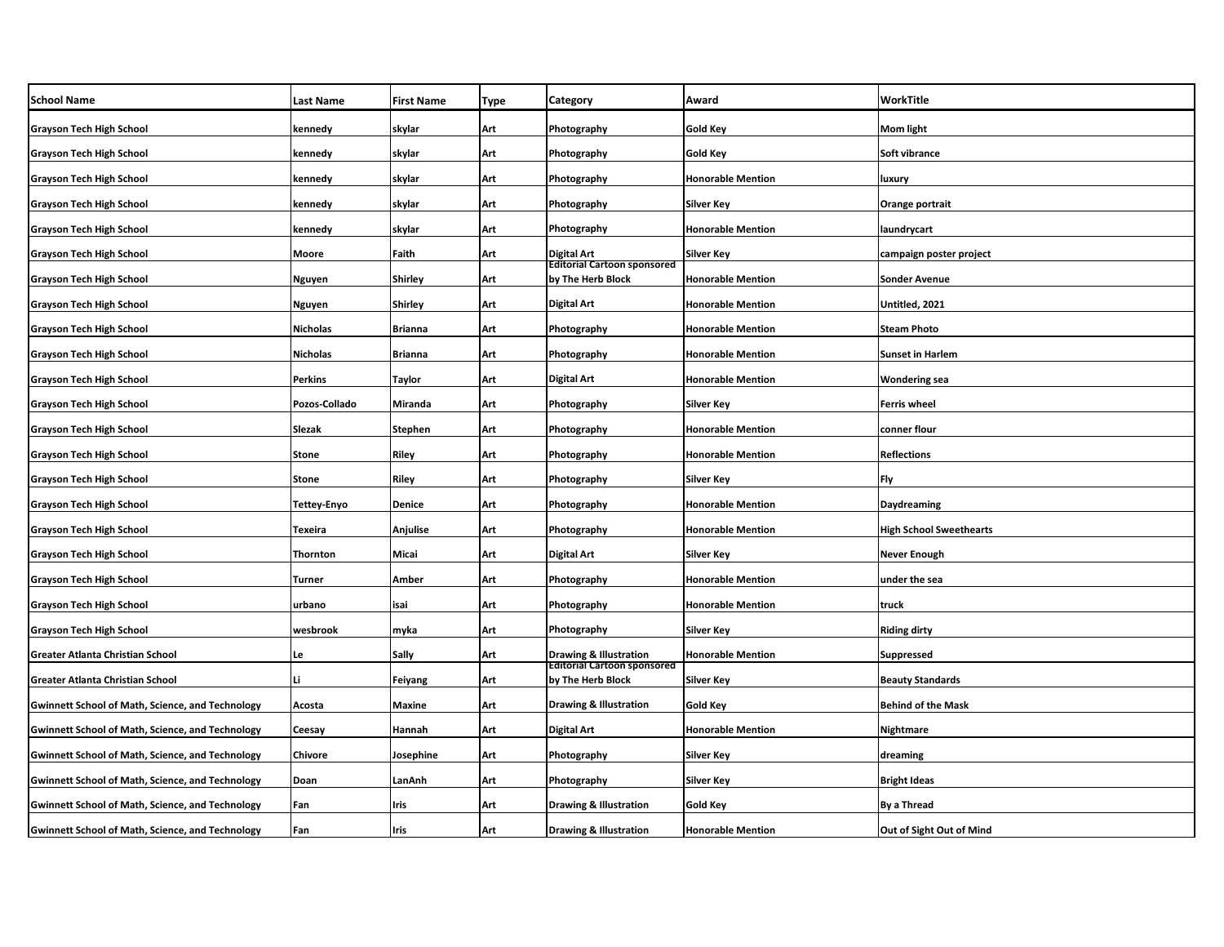| <b>School Name</b>                                      | <b>Last Name</b>   | <b>First Name</b> | Type | Category                                                | Award                    | WorkTitle                      |
|---------------------------------------------------------|--------------------|-------------------|------|---------------------------------------------------------|--------------------------|--------------------------------|
| <b>Grayson Tech High School</b>                         | kennedy            | skylar            | Art  | Photography                                             | Gold Key                 | Mom light                      |
| <b>Grayson Tech High School</b>                         | kennedy            | skylar            | Art  | Photography                                             | Gold Key                 | Soft vibrance                  |
| <b>Grayson Tech High School</b>                         | kennedy            | skylar            | Art  | Photography                                             | <b>Honorable Mention</b> | luxury                         |
| <b>Grayson Tech High School</b>                         | kennedy            | skylar            | Art  | Photography                                             | <b>Silver Key</b>        | Orange portrait                |
| <b>Grayson Tech High School</b>                         | kennedy            | skylar            | Art  | Photography                                             | <b>Honorable Mention</b> | laundrycart                    |
| <b>Grayson Tech High School</b>                         | Moore              | Faith             | Art  | Digital Art                                             | Silver Key               | campaign poster project        |
| <b>Grayson Tech High School</b>                         | Nguyen             | Shirley           | Art  | <b>Editorial Cartoon sponsored</b><br>by The Herb Block | <b>Honorable Mention</b> | <b>Sonder Avenue</b>           |
| <b>Grayson Tech High School</b>                         | Nguyen             | Shirley           | Art  | Digital Art                                             | <b>Honorable Mention</b> | Untitled, 2021                 |
| <b>Grayson Tech High School</b>                         | <b>Nicholas</b>    | Brianna           | Art  | Photography                                             | <b>Honorable Mention</b> | <b>Steam Photo</b>             |
| <b>Grayson Tech High School</b>                         | <b>Nicholas</b>    | Brianna           | Art  | Photography                                             | <b>Honorable Mention</b> | <b>Sunset in Harlem</b>        |
| <b>Grayson Tech High School</b>                         | Perkins            | Taylor            | Art  | Digital Art                                             | <b>Honorable Mention</b> | <b>Wondering sea</b>           |
| <b>Grayson Tech High School</b>                         | Pozos-Collado      | Miranda           | Art  | Photography                                             | Silver Key               | <b>Ferris wheel</b>            |
| <b>Grayson Tech High School</b>                         | Slezak             | <b>Stephen</b>    | Art  | Photography                                             | <b>Honorable Mention</b> | conner flour                   |
| <b>Grayson Tech High School</b>                         | <b>Stone</b>       | Riley             | Art  | Photography                                             | <b>Honorable Mention</b> | <b>Reflections</b>             |
| <b>Grayson Tech High School</b>                         | <b>Stone</b>       | Riley             | Art  | Photography                                             | Silver Key               | Fly                            |
| <b>Grayson Tech High School</b>                         | <b>Tettey-Enyo</b> | Denice            | Art  | Photography                                             | <b>Honorable Mention</b> | Daydreaming                    |
| <b>Grayson Tech High School</b>                         | <b>Texeira</b>     | Anjulise          | Art  | Photography                                             | <b>Honorable Mention</b> | <b>High School Sweethearts</b> |
| <b>Grayson Tech High School</b>                         | Thornton           | Micai             | Art  | <b>Digital Art</b>                                      | <b>Silver Key</b>        | <b>Never Enough</b>            |
| <b>Grayson Tech High School</b>                         | <b>Turner</b>      | Amber             | Art  | Photography                                             | <b>Honorable Mention</b> | under the sea                  |
| <b>Grayson Tech High School</b>                         | urbano             | isai              | Art  | Photography                                             | <b>Honorable Mention</b> | truck                          |
| <b>Grayson Tech High School</b>                         | wesbrook           | myka              | Art  | Photography                                             | <b>Silver Key</b>        | <b>Riding dirty</b>            |
| Greater Atlanta Christian School                        | Le                 | Sally             | Art  | <b>Drawing &amp; Illustration</b>                       | <b>Honorable Mention</b> | <b>Suppressed</b>              |
| Greater Atlanta Christian School                        | Li                 | <b>Feiyang</b>    | Art  | <b>Editorial Cartoon sponsored</b><br>by The Herb Block | Silver Key               | <b>Beauty Standards</b>        |
| <b>Gwinnett School of Math, Science, and Technology</b> | Acosta             | Maxine            | Art  | <b>Drawing &amp; Illustration</b>                       | Gold Key                 | <b>Behind of the Mask</b>      |
| <b>Gwinnett School of Math, Science, and Technology</b> | Ceesay             | Hannah            | Art  | Digital Art                                             | <b>Honorable Mention</b> | Nightmare                      |
| <b>Gwinnett School of Math, Science, and Technology</b> | <b>Chivore</b>     | Josephine         | Art  | Photography                                             | <b>Silver Key</b>        | dreaming                       |
| <b>Gwinnett School of Math, Science, and Technology</b> | Doan               | LanAnh            | Art  | Photography                                             | Silver Key               | <b>Bright Ideas</b>            |
| <b>Gwinnett School of Math, Science, and Technology</b> | Fan                | Iris              | Art  | <b>Drawing &amp; Illustration</b>                       | Gold Key                 | <b>By a Thread</b>             |
| <b>Gwinnett School of Math, Science, and Technology</b> | Fan                | Iris              | Art  | <b>Drawing &amp; Illustration</b>                       | <b>Honorable Mention</b> | Out of Sight Out of Mind       |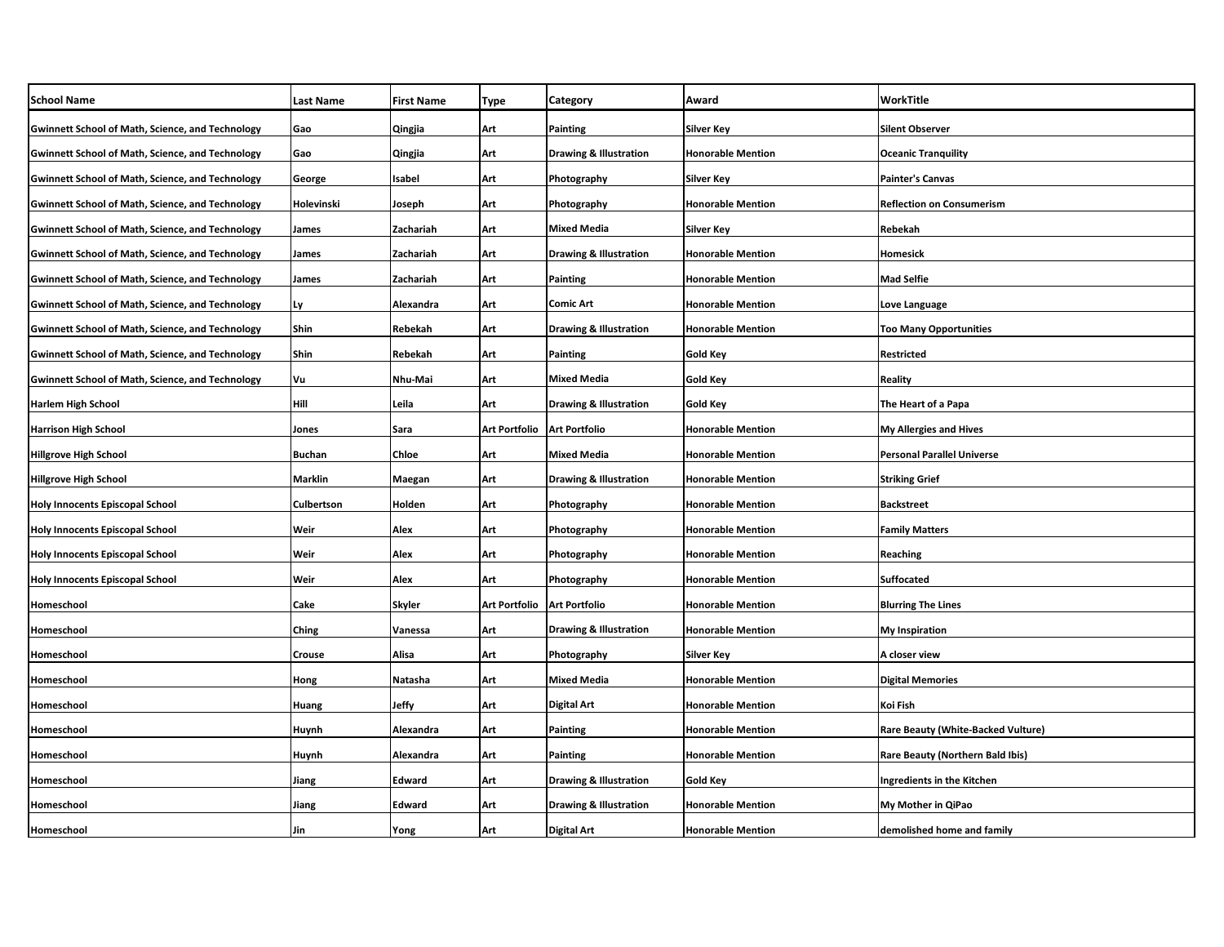| <b>School Name</b>                                      | <b>Last Name</b> | <b>First Name</b> | Type                 | Category                          | Award                    | WorkTitle                          |
|---------------------------------------------------------|------------------|-------------------|----------------------|-----------------------------------|--------------------------|------------------------------------|
| <b>Gwinnett School of Math, Science, and Technology</b> | Gao              | <b>Qingjia</b>    | Art                  | Painting                          | Silver Key               | Silent Observer                    |
| <b>Gwinnett School of Math, Science, and Technology</b> | Gao              | Qingjia           | Art                  | <b>Drawing &amp; Illustration</b> | <b>Honorable Mention</b> | <b>Oceanic Tranquility</b>         |
| <b>Gwinnett School of Math, Science, and Technology</b> | George           | Isabel            | Art                  | Photography                       | <b>Silver Key</b>        | Painter's Canvas                   |
| <b>Gwinnett School of Math, Science, and Technology</b> | Holevinski       | Joseph            | Art                  | Photography                       | <b>Honorable Mention</b> | <b>Reflection on Consumerism</b>   |
| <b>Gwinnett School of Math, Science, and Technology</b> | James            | Zachariah         | Art                  | <b>Mixed Media</b>                | Silver Key               | Rebekah                            |
| <b>Gwinnett School of Math, Science, and Technology</b> | James            | Zachariah         | Art                  | Drawing & Illustration            | <b>Honorable Mention</b> | Homesick                           |
| <b>Gwinnett School of Math, Science, and Technology</b> | James            | Zachariah         | Art                  | <b>Painting</b>                   | <b>Honorable Mention</b> | Mad Selfie                         |
| <b>Gwinnett School of Math, Science, and Technology</b> | Ly               | Alexandra         | Art                  | <b>Comic Art</b>                  | <b>Honorable Mention</b> | Love Language                      |
| <b>Gwinnett School of Math, Science, and Technology</b> | Shin             | Rebekah           | Art                  | Drawing & Illustration            | <b>Honorable Mention</b> | Too Many Opportunities             |
| <b>Gwinnett School of Math, Science, and Technology</b> | Shin             | Rebekah           | Art                  | <b>Painting</b>                   | Gold Key                 | Restricted                         |
| <b>Gwinnett School of Math, Science, and Technology</b> | Vu               | Nhu-Mai           | Art                  | <b>Mixed Media</b>                | Gold Key                 | Reality                            |
| <b>Harlem High School</b>                               | Hill             | Leila             | Art                  | <b>Drawing &amp; Illustration</b> | Gold Key                 | The Heart of a Papa                |
| <b>Harrison High School</b>                             | Jones            | Sara              | <b>Art Portfolio</b> | <b>Art Portfolio</b>              | <b>Honorable Mention</b> | <b>My Allergies and Hives</b>      |
| <b>Hillgrove High School</b>                            | <b>Buchan</b>    | Chloe             | Art                  | <b>Mixed Media</b>                | <b>Honorable Mention</b> | Personal Parallel Universe         |
| <b>Hillgrove High School</b>                            | <b>Marklin</b>   | Maegan            | Art                  | <b>Drawing &amp; Illustration</b> | <b>Honorable Mention</b> | <b>Striking Grief</b>              |
| <b>Holy Innocents Episcopal School</b>                  | Culbertson       | Holden            | Art                  | Photography                       | <b>Honorable Mention</b> | <b>Backstreet</b>                  |
| <b>Holy Innocents Episcopal School</b>                  | Weir             | Alex              | Art                  | Photography                       | <b>Honorable Mention</b> | <b>Family Matters</b>              |
| <b>Holy Innocents Episcopal School</b>                  | Weir             | Alex              | Art                  | Photography                       | <b>Honorable Mention</b> | Reaching                           |
| <b>Holy Innocents Episcopal School</b>                  | Weir             | Alex              | Art                  | Photography                       | <b>Honorable Mention</b> | Suffocated                         |
| Homeschool                                              | Cake             | <b>Skyler</b>     | <b>Art Portfolio</b> | <b>Art Portfolio</b>              | <b>Honorable Mention</b> | <b>Blurring The Lines</b>          |
| Homeschool                                              | <b>Ching</b>     | Vanessa           | Art                  | <b>Drawing &amp; Illustration</b> | <b>Honorable Mention</b> | My Inspiration                     |
| Homeschool                                              | Crouse           | Alisa             | Art                  | Photography                       | <b>Silver Key</b>        | A closer view                      |
| Homeschool                                              | Hong             | Natasha           | Art                  | <b>Mixed Media</b>                | <b>Honorable Mention</b> | <b>Digital Memories</b>            |
| Homeschool                                              | Huang            | Jeffy             | Art                  | Digital Art                       | <b>Honorable Mention</b> | Koi Fish                           |
| Homeschool                                              | Huynh            | Alexandra         | Art                  | <b>Painting</b>                   | <b>Honorable Mention</b> | Rare Beauty (White-Backed Vulture) |
| Homeschool                                              | Huynh            | Alexandra         | Art                  | Painting                          | <b>Honorable Mention</b> | Rare Beauty (Northern Bald Ibis)   |
| Homeschool                                              | Jiang            | Edward            | Art                  | <b>Drawing &amp; Illustration</b> | Gold Key                 | Ingredients in the Kitchen         |
| Homeschool                                              | Jiang            | Edward            | Art                  | <b>Drawing &amp; Illustration</b> | <b>Honorable Mention</b> | My Mother in QiPao                 |
| Homeschool                                              | Jin              | Yong              | Art                  | <b>Digital Art</b>                | <b>Honorable Mention</b> | demolished home and family         |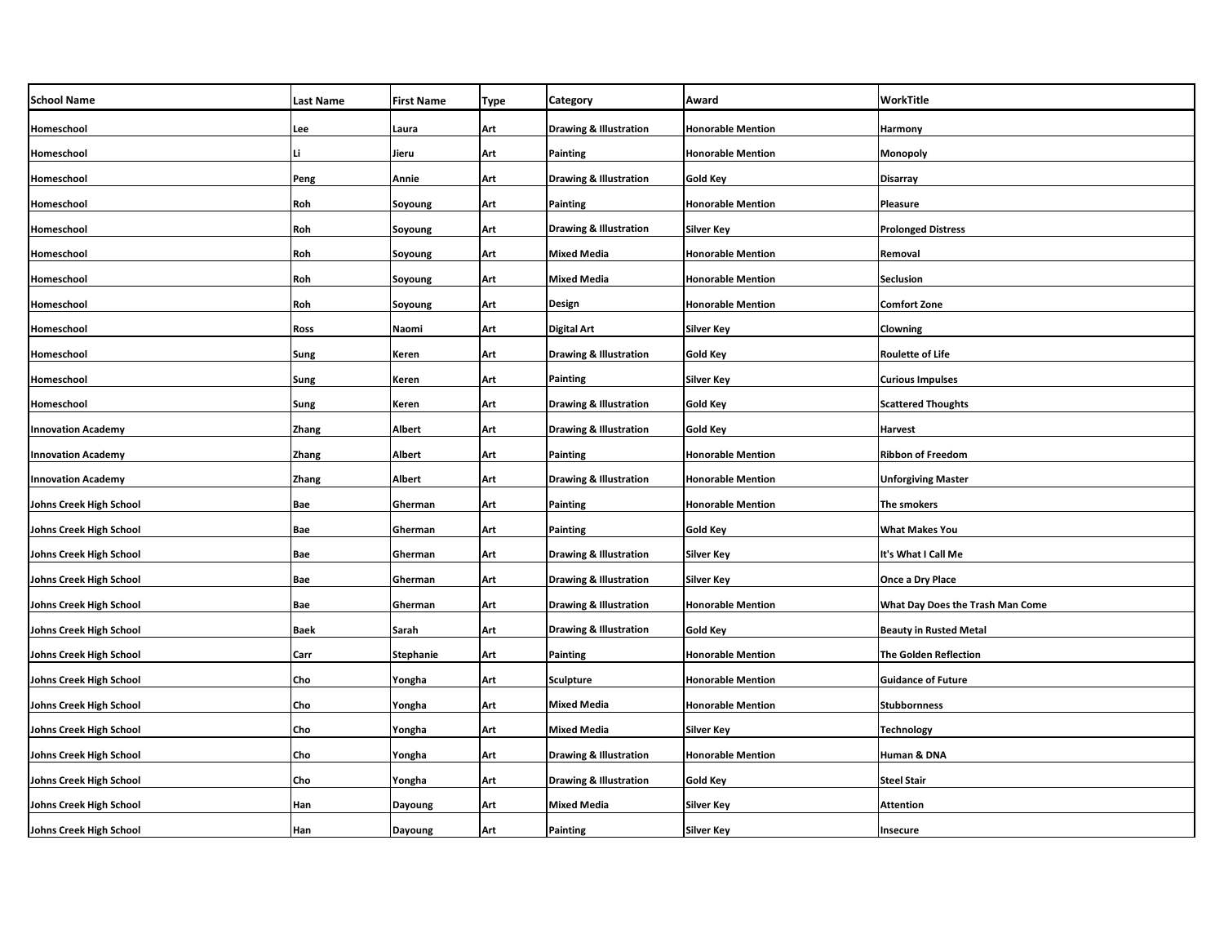| <b>School Name</b>             | <b>Last Name</b> | <b>First Name</b> | Type | <b>Category</b>                   | Award                    | WorkTitle                        |
|--------------------------------|------------------|-------------------|------|-----------------------------------|--------------------------|----------------------------------|
| Homeschool                     | Lee              | Laura             | Art  | <b>Drawing &amp; Illustration</b> | <b>Honorable Mention</b> | Harmony                          |
| Homeschool                     | Li               | Jieru             | Art  | <b>Painting</b>                   | <b>Honorable Mention</b> | Monopoly                         |
| Homeschool                     | Peng             | Annie             | Art  | <b>Drawing &amp; Illustration</b> | Gold Key                 | Disarray                         |
| Homeschool                     | Roh              | Soyoung           | Art  | <b>Painting</b>                   | <b>Honorable Mention</b> | Pleasure                         |
| Homeschool                     | Roh              | Soyoung           | Art  | <b>Drawing &amp; Illustration</b> | Silver Key               | <b>Prolonged Distress</b>        |
| Homeschool                     | Roh              | Soyoung           | Art  | <b>Mixed Media</b>                | <b>Honorable Mention</b> | Removal                          |
| Homeschool                     | Roh              | Soyoung           | Art  | <b>Mixed Media</b>                | <b>Honorable Mention</b> | Seclusion                        |
| Homeschool                     | Roh              | Soyoung           | Art  | <b>Design</b>                     | <b>Honorable Mention</b> | Comfort Zone                     |
| Homeschool                     | Ross             | Naomi             | Art  | <b>Digital Art</b>                | Silver Key               | Clowning                         |
| Homeschool                     | Sung             | Keren             | Art  | <b>Drawing &amp; Illustration</b> | Gold Key                 | <b>Roulette of Life</b>          |
| Homeschool                     | Sung             | Keren             | Art  | <b>Painting</b>                   | Silver Key               | <b>Curious Impulses</b>          |
| Homeschool                     | Sung             | Keren             | Art  | <b>Drawing &amp; Illustration</b> | Gold Key                 | <b>Scattered Thoughts</b>        |
| <b>Innovation Academy</b>      | Zhang            | Albert            | Art  | <b>Drawing &amp; Illustration</b> | <b>Gold Key</b>          | <b>Harvest</b>                   |
| <b>Innovation Academy</b>      | Zhang            | <b>Albert</b>     | Art  | <b>Painting</b>                   | <b>Honorable Mention</b> | <b>Ribbon of Freedom</b>         |
| <b>Innovation Academy</b>      | Zhang            | <b>Albert</b>     | Art  | <b>Drawing &amp; Illustration</b> | <b>Honorable Mention</b> | <b>Unforgiving Master</b>        |
| Johns Creek High School        | Bae              | Gherman           | Art  | <b>Painting</b>                   | <b>Honorable Mention</b> | The smokers                      |
| Johns Creek High School        | Bae              | Gherman           | Art  | <b>Painting</b>                   | <b>Gold Key</b>          | <b>What Makes You</b>            |
| Johns Creek High School        | Bae              | Gherman           | Art  | <b>Drawing &amp; Illustration</b> | <b>Silver Key</b>        | It's What I Call Me              |
| Johns Creek High School        | Bae              | Gherman           | Art  | <b>Drawing &amp; Illustration</b> | Silver Key               | Once a Dry Place                 |
| Johns Creek High School        | Bae              | Gherman           | Art  | <b>Drawing &amp; Illustration</b> | <b>Honorable Mention</b> | What Day Does the Trash Man Come |
| Johns Creek High School        | <b>Baek</b>      | Sarah             | Art  | <b>Drawing &amp; Illustration</b> | Gold Key                 | <b>Beauty in Rusted Metal</b>    |
| <b>Johns Creek High School</b> | Carr             | <b>Stephanie</b>  | Art  | <b>Painting</b>                   | <b>Honorable Mention</b> | <b>The Golden Reflection</b>     |
| Johns Creek High School        | Cho              | Yongha            | Art  | <b>Sculpture</b>                  | <b>Honorable Mention</b> | <b>Guidance of Future</b>        |
| Johns Creek High School        | Cho              | Yongha            | Art  | <b>Mixed Media</b>                | <b>Honorable Mention</b> | <b>Stubbornness</b>              |
| Johns Creek High School        | Cho              | Yongha            | Art  | <b>Mixed Media</b>                | Silver Key               | Technology                       |
| Johns Creek High School        | Cho              | Yongha            | Art  | <b>Drawing &amp; Illustration</b> | <b>Honorable Mention</b> | Human & DNA                      |
| Johns Creek High School        | Cho              | Yongha            | Art  | <b>Drawing &amp; Illustration</b> | Gold Key                 | <b>Steel Stair</b>               |
| Johns Creek High School        | Han              | Dayoung           | Art  | <b>Mixed Media</b>                | Silver Key               | Attention                        |
| Johns Creek High School        | Han              | Dayoung           | Art  | <b>Painting</b>                   | Silver Key               | Insecure                         |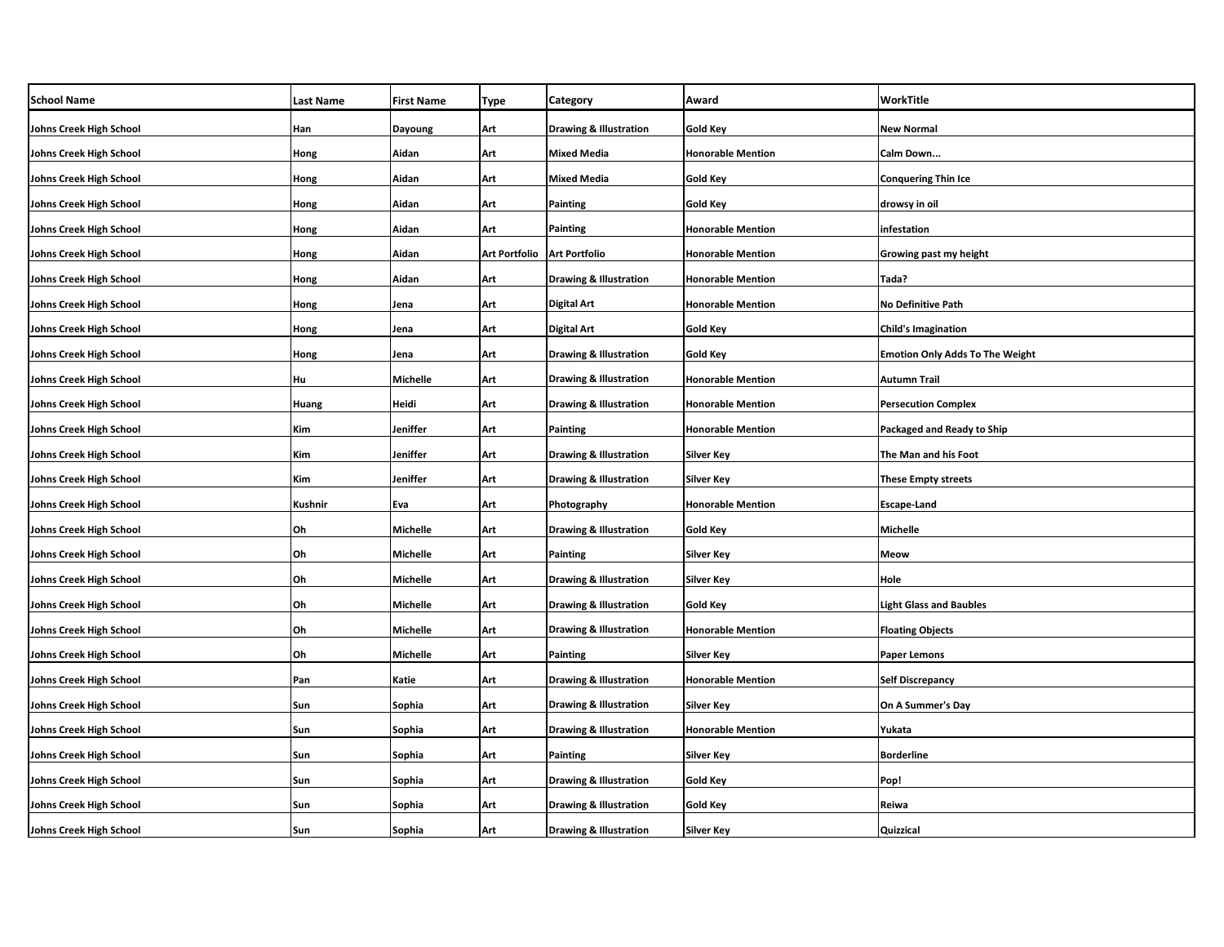| <b>School Name</b>      | <b>Last Name</b> | <b>First Name</b> | <b>Type</b>                   | Category                          | Award                    | WorkTitle                              |
|-------------------------|------------------|-------------------|-------------------------------|-----------------------------------|--------------------------|----------------------------------------|
| Johns Creek High School | Han              | Dayoung           | Art                           | <b>Drawing &amp; Illustration</b> | <b>Gold Key</b>          | <b>New Normal</b>                      |
| Johns Creek High School | Hong             | Aidan             | Art                           | Mixed Media                       | <b>Honorable Mention</b> | Calm Down                              |
| Johns Creek High School | Hong             | Aidan             | Art                           | <b>Mixed Media</b>                | <b>Gold Key</b>          | <b>Conquering Thin Ice</b>             |
| Johns Creek High School | Hong             | Aidan             | Art                           | Painting                          | <b>Gold Key</b>          | drowsy in oil                          |
| Johns Creek High School | Hong             | Aidan             | Art                           | Painting                          | <b>Honorable Mention</b> | infestation                            |
| Johns Creek High School | Hong             | Aidan             | Art Portfolio   Art Portfolio |                                   | <b>Honorable Mention</b> | Growing past my height                 |
| Johns Creek High School | Hong             | Aidan             | Art                           | <b>Drawing &amp; Illustration</b> | <b>Honorable Mention</b> | Tada?                                  |
| Johns Creek High School | Hong             | Jena              | Art                           | Digital Art                       | <b>Honorable Mention</b> | <b>No Definitive Path</b>              |
| Johns Creek High School | Hong             | Jena              | Art                           | Digital Art                       | Gold Key                 | <b>Child's Imagination</b>             |
| Johns Creek High School | Hong             | Jena              | Art                           | <b>Drawing &amp; Illustration</b> | Gold Key                 | <b>Emotion Only Adds To The Weight</b> |
| Johns Creek High School | Hu               | Michelle          | Art                           | <b>Drawing &amp; Illustration</b> | <b>Honorable Mention</b> | <b>Autumn Trail</b>                    |
| Johns Creek High School | Huang            | Heidi             | Art                           | <b>Drawing &amp; Illustration</b> | <b>Honorable Mention</b> | <b>Persecution Complex</b>             |
| Johns Creek High School | Kim              | Jeniffer          | Art                           | Painting                          | <b>Honorable Mention</b> | Packaged and Ready to Ship             |
| Johns Creek High School | Kim              | Jeniffer          | Art                           | <b>Drawing &amp; Illustration</b> | <b>Silver Key</b>        | The Man and his Foot                   |
| Johns Creek High School | Kim              | Jeniffer          | Art                           | <b>Drawing &amp; Illustration</b> | <b>Silver Key</b>        | <b>These Empty streets</b>             |
| Johns Creek High School | Kushnir          | Eva               | Art                           | Photography                       | <b>Honorable Mention</b> | <b>Escape-Land</b>                     |
| Johns Creek High School | Oh               | Michelle          | Art                           | <b>Drawing &amp; Illustration</b> | Gold Key                 | <b>Michelle</b>                        |
| Johns Creek High School | Oh               | Michelle          | Art                           | Painting                          | <b>Silver Key</b>        | Meow                                   |
| Johns Creek High School | Oh               | Michelle          | Art                           | <b>Drawing &amp; Illustration</b> | Silver Key               | Hole                                   |
| Johns Creek High School | Oh               | Michelle          | Art                           | <b>Drawing &amp; Illustration</b> | <b>Gold Key</b>          | <b>Light Glass and Baubles</b>         |
| Johns Creek High School | Oh               | Michelle          | Art                           | <b>Drawing &amp; Illustration</b> | <b>Honorable Mention</b> | <b>Floating Objects</b>                |
| Johns Creek High School | Oh               | Michelle          | Art                           | Painting                          | <b>Silver Key</b>        | Paper Lemons                           |
| Johns Creek High School | Pan              | Katie             | Art                           | <b>Drawing &amp; Illustration</b> | <b>Honorable Mention</b> | <b>Self Discrepancy</b>                |
| Johns Creek High School | Sun              | Sophia            | Art                           | <b>Drawing &amp; Illustration</b> | <b>Silver Key</b>        | On A Summer's Day                      |
| Johns Creek High School | Sun              | Sophia            | Art                           | <b>Drawing &amp; Illustration</b> | <b>Honorable Mention</b> | Yukata                                 |
| Johns Creek High School | Sun              | Sophia            | Art                           | Painting                          | <b>Silver Key</b>        | <b>Borderline</b>                      |
| Johns Creek High School | Sun              | Sophia            | Art                           | <b>Drawing &amp; Illustration</b> | Gold Key                 | Pop!                                   |
| Johns Creek High School | Sun              | Sophia            | Art                           | <b>Drawing &amp; Illustration</b> | Gold Key                 | Reiwa                                  |
| Johns Creek High School | Sun              | Sophia            | Art                           | <b>Drawing &amp; Illustration</b> | Silver Key               | Quizzical                              |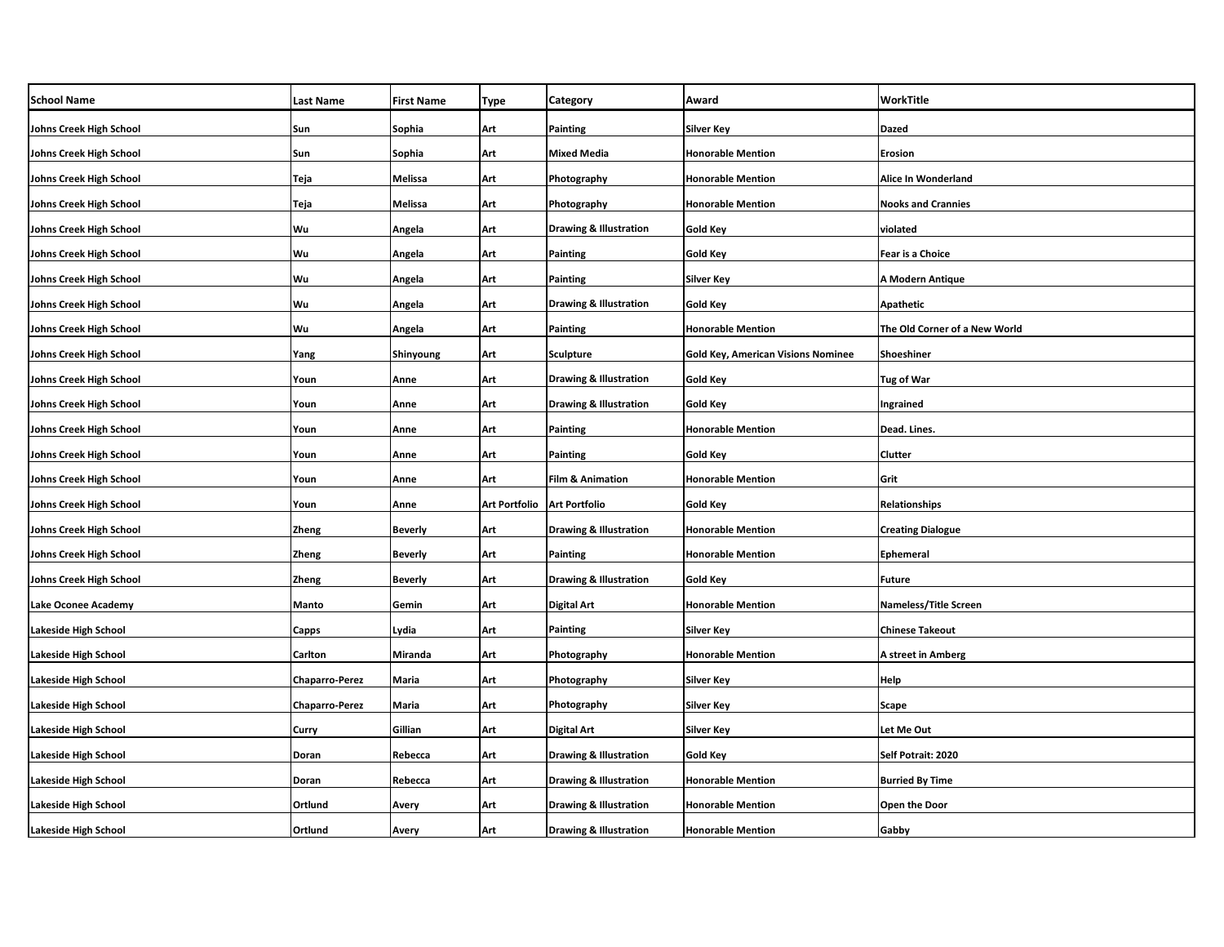| <b>School Name</b>          | <b>Last Name</b>      | <b>First Name</b> | <b>Type</b>                 | <b>Category</b>                   | Award                                     | WorkTitle                     |
|-----------------------------|-----------------------|-------------------|-----------------------------|-----------------------------------|-------------------------------------------|-------------------------------|
| Johns Creek High School     | Sun                   | Sophia            | Art                         | <b>Painting</b>                   | Silver Key                                | Dazed                         |
| Johns Creek High School     | Sun                   | Sophia            | Art                         | <b>Mixed Media</b>                | <b>Honorable Mention</b>                  | Erosion                       |
| Johns Creek High School     | Teja                  | Melissa           | Art                         | Photography                       | <b>Honorable Mention</b>                  | Alice In Wonderland           |
| Johns Creek High School     | Teja                  | Melissa           | Art                         | Photography                       | <b>Honorable Mention</b>                  | <b>Nooks and Crannies</b>     |
| Johns Creek High School     | Wu                    | Angela            | Art                         | <b>Drawing &amp; Illustration</b> | Gold Key                                  | violated                      |
| Johns Creek High School     | Wu                    | Angela            | Art                         | <b>Painting</b>                   | Gold Key                                  | Fear is a Choice              |
| Johns Creek High School     | Wu                    | Angela            | Art                         | <b>Painting</b>                   | Silver Key                                | A Modern Antique              |
| Johns Creek High School     | Wu                    | Angela            | Art                         | <b>Drawing &amp; Illustration</b> | Gold Key                                  | Apathetic                     |
| Johns Creek High School     | Wu                    | Angela            | Art                         | Painting                          | <b>Honorable Mention</b>                  | The Old Corner of a New World |
| Johns Creek High School     | Yang                  | Shinyoung         | Art                         | <b>Sculpture</b>                  | <b>Gold Key, American Visions Nominee</b> | Shoeshiner                    |
| Johns Creek High School     | Youn                  | Anne              | Art                         | <b>Drawing &amp; Illustration</b> | Gold Key                                  | <b>Tug of War</b>             |
| Johns Creek High School     | Youn                  | Anne              | Art                         | Drawing & Illustration            | Gold Key                                  | Ingrained                     |
| Johns Creek High School     | Youn                  | Anne              | Art                         | <b>Painting</b>                   | <b>Honorable Mention</b>                  | Dead. Lines.                  |
| Johns Creek High School     | Youn                  | Anne              | Art                         | Painting                          | <b>Gold Key</b>                           | Clutter                       |
| Johns Creek High School     | Youn                  | Anne              | Art                         | <b>Film &amp; Animation</b>       | <b>Honorable Mention</b>                  | Grit                          |
| Johns Creek High School     | Youn                  | Anne              | Art Portfolio Art Portfolio |                                   | <b>Gold Key</b>                           | Relationships                 |
| Johns Creek High School     | Zheng                 | <b>Beverly</b>    | Art                         | <b>Drawing &amp; Illustration</b> | <b>Honorable Mention</b>                  | <b>Creating Dialogue</b>      |
| Johns Creek High School     | Zheng                 | <b>Beverly</b>    | Art                         | Painting                          | <b>Honorable Mention</b>                  | <b>Ephemeral</b>              |
| Johns Creek High School     | Zheng                 | <b>Beverly</b>    | Art                         | <b>Drawing &amp; Illustration</b> | Gold Key                                  | <b>Future</b>                 |
| Lake Oconee Academy         | <b>Manto</b>          | Gemin             | Art                         | <b>Digital Art</b>                | <b>Honorable Mention</b>                  | <b>Nameless/Title Screen</b>  |
| <b>Lakeside High School</b> | Capps                 | Lydia             | Art                         | <b>Painting</b>                   | Silver Key                                | Chinese Takeout               |
| <b>Lakeside High School</b> | Carlton               | Miranda           | Art                         | Photography                       | <b>Honorable Mention</b>                  | A street in Amberg            |
| <b>Lakeside High School</b> | <b>Chaparro-Perez</b> | Maria             | Art                         | Photography                       | Silver Key                                | Help                          |
| <b>Lakeside High School</b> | Chaparro-Perez        | Maria             | Art                         | Photography                       | Silver Key                                | Scape                         |
| <b>Lakeside High School</b> | Curry                 | Gillian           | Art                         | <b>Digital Art</b>                | Silver Key                                | Let Me Out                    |
| <b>Lakeside High School</b> | Doran                 | Rebecca           | Art                         | <b>Drawing &amp; Illustration</b> | Gold Key                                  | Self Potrait: 2020            |
| <b>Lakeside High School</b> | Doran                 | Rebecca           | Art                         | <b>Drawing &amp; Illustration</b> | Honorable Mention                         | <b>Burried By Time</b>        |
| <b>Lakeside High School</b> | Ortlund               | Avery             | Art                         | <b>Drawing &amp; Illustration</b> | <b>Honorable Mention</b>                  | <b>Open the Door</b>          |
| Lakeside High School        | Ortlund               | Avery             | Art                         | Drawing & Illustration            | <b>Honorable Mention</b>                  | Gabby                         |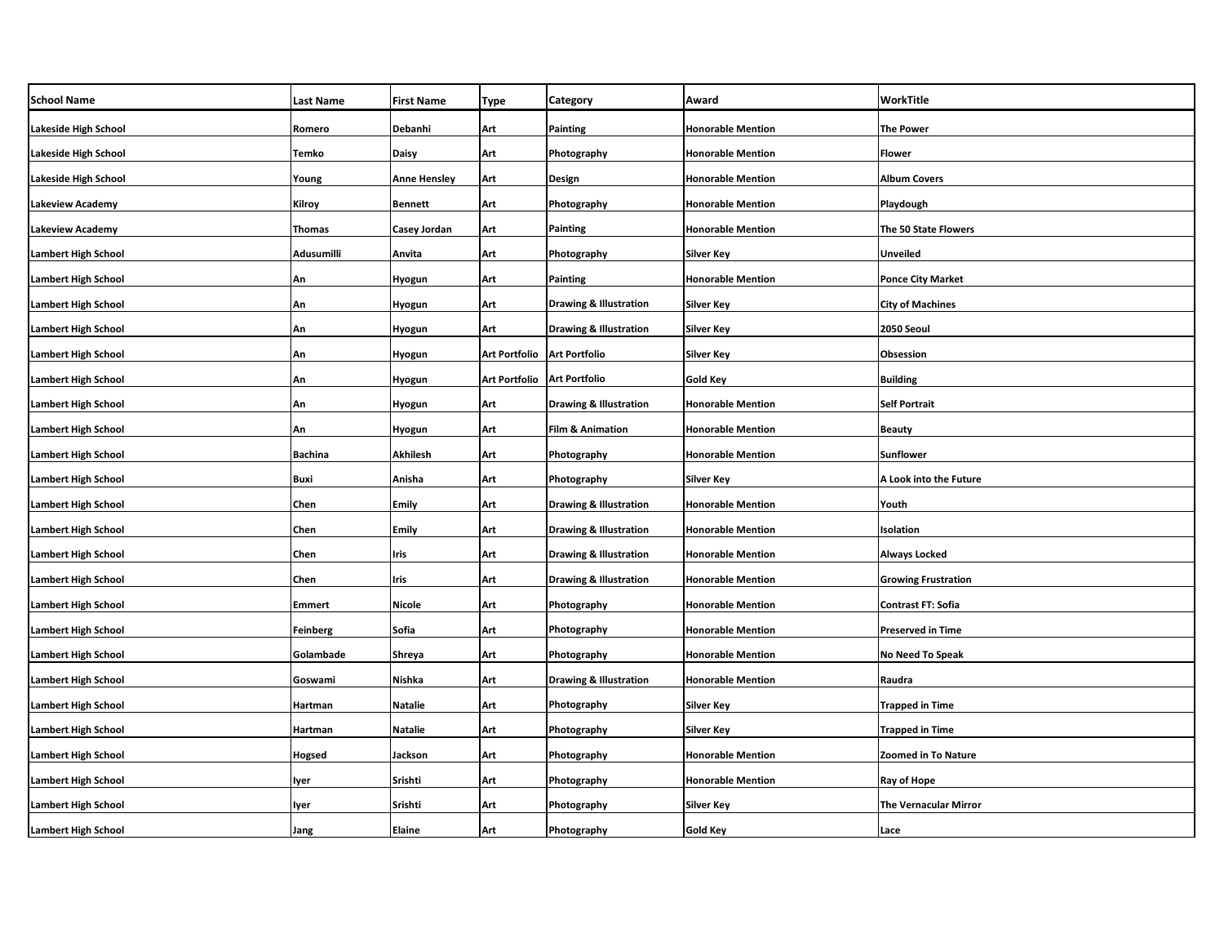| <b>School Name</b>         | <b>Last Name</b> | <b>First Name</b>   | <b>Type</b>                   | <b>Category</b>                   | Award                    | WorkTitle                    |
|----------------------------|------------------|---------------------|-------------------------------|-----------------------------------|--------------------------|------------------------------|
| Lakeside High School       | Romero           | Debanhi             | Art                           | <b>Painting</b>                   | <b>Honorable Mention</b> | <b>The Power</b>             |
| Lakeside High School       | Temko            | <b>Daisy</b>        | Art                           | Photography                       | <b>Honorable Mention</b> | <b>Flower</b>                |
| Lakeside High School       | Young            | <b>Anne Hensley</b> | Art                           | <b>Design</b>                     | <b>Honorable Mention</b> | <b>Album Covers</b>          |
| Lakeview Academy           | Kilroy           | <b>Bennett</b>      | Art                           | Photography                       | <b>Honorable Mention</b> | Playdough                    |
| Lakeview Academy           | <b>Thomas</b>    | Casey Jordan        | Art                           | <b>Painting</b>                   | <b>Honorable Mention</b> | The 50 State Flowers         |
| <b>Lambert High School</b> | Adusumilli       | Anvita              | Art                           | Photography                       | Silver Key               | Unveiled                     |
| Lambert High School        | An               | Hyogun              | Art                           | <b>Painting</b>                   | <b>Honorable Mention</b> | <b>Ponce City Market</b>     |
| Lambert High School        | An               | Hyogun              | Art                           | <b>Drawing &amp; Illustration</b> | Silver Key               | <b>City of Machines</b>      |
| Lambert High School        | An               | <b>Hyogun</b>       | Art                           | <b>Drawing &amp; Illustration</b> | Silver Key               | 2050 Seoul                   |
| <b>Lambert High School</b> | An               | Hyogun              | Art Portfolio   Art Portfolio |                                   | Silver Key               | Obsession                    |
| Lambert High School        | An               | Hyogun              | <b>Art Portfolio</b>          | <b>Art Portfolio</b>              | Gold Key                 | <b>Building</b>              |
| <b>Lambert High School</b> | An               | Hyogun              | Art                           | <b>Drawing &amp; Illustration</b> | <b>Honorable Mention</b> | <b>Self Portrait</b>         |
| <b>Lambert High School</b> | An               | Hyogun              | Art                           | <b>Film &amp; Animation</b>       | <b>Honorable Mention</b> | <b>Beauty</b>                |
| <b>Lambert High School</b> | <b>Bachina</b>   | <b>Akhilesh</b>     | Art                           | Photography                       | <b>Honorable Mention</b> | <b>Sunflower</b>             |
| <b>Lambert High School</b> | Buxi             | Anisha              | Art                           | Photography                       | Silver Key               | A Look into the Future       |
| <b>Lambert High School</b> | Chen             | <b>Emily</b>        | Art                           | <b>Drawing &amp; Illustration</b> | <b>Honorable Mention</b> | Youth                        |
| <b>Lambert High School</b> | Chen             | <b>Emily</b>        | Art                           | <b>Drawing &amp; Illustration</b> | <b>Honorable Mention</b> | Isolation                    |
| <b>Lambert High School</b> | Chen             | Iris                | Art                           | <b>Drawing &amp; Illustration</b> | <b>Honorable Mention</b> | <b>Always Locked</b>         |
| Lambert High School        | Chen             | Iris                | Art                           | <b>Drawing &amp; Illustration</b> | <b>Honorable Mention</b> | <b>Growing Frustration</b>   |
| <b>Lambert High School</b> | <b>Emmert</b>    | <b>Nicole</b>       | Art                           | Photography                       | <b>Honorable Mention</b> | Contrast FT: Sofia           |
| Lambert High School        | <b>Feinberg</b>  | Sofia               | Art                           | Photography                       | <b>Honorable Mention</b> | <b>Preserved in Time</b>     |
| <b>Lambert High School</b> | Golambade        | Shreya              | Art                           | Photography                       | <b>Honorable Mention</b> | No Need To Speak             |
| <b>Lambert High School</b> | Goswami          | Nishka              | Art                           | <b>Drawing &amp; Illustration</b> | <b>Honorable Mention</b> | Raudra                       |
| <b>Lambert High School</b> | Hartman          | <b>Natalie</b>      | Art                           | Photography                       | Silver Key               | <b>Trapped in Time</b>       |
| <b>Lambert High School</b> | Hartman          | <b>Natalie</b>      | Art                           | Photography                       | Silver Key               | <b>Trapped in Time</b>       |
| <b>Lambert High School</b> | <b>Hogsed</b>    | Jackson             | Art                           | Photography                       | <b>Honorable Mention</b> | <b>Zoomed in To Nature</b>   |
| Lambert High School        | lyer             | Srishti             | Art                           | Photography                       | <b>Honorable Mention</b> | Ray of Hope                  |
| <b>Lambert High School</b> | lyer             | Srishti             | Art                           | Photography                       | Silver Key               | <b>The Vernacular Mirror</b> |
| <b>Lambert High School</b> | Jang             | Elaine              | Art                           | Photography                       | Gold Key                 | Lace                         |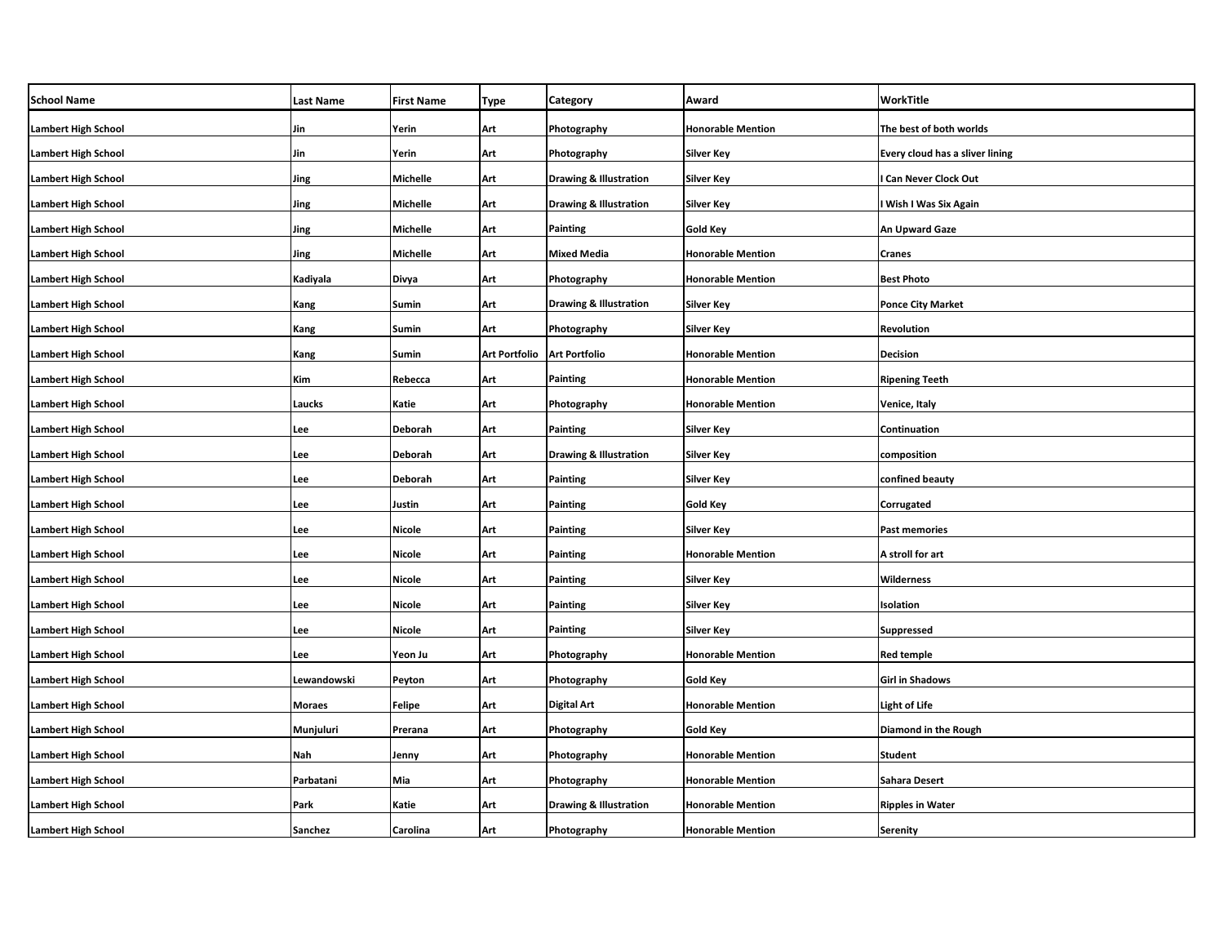| <b>School Name</b>         | <b>Last Name</b> | <b>First Name</b> | Type                 | Category                          | Award                    | WorkTitle                       |
|----------------------------|------------------|-------------------|----------------------|-----------------------------------|--------------------------|---------------------------------|
| <b>Lambert High School</b> | Jin              | Yerin             | Art                  | Photography                       | <b>Honorable Mention</b> | The best of both worlds         |
| <b>Lambert High School</b> | Jin              | Yerin             | Art                  | Photography                       | <b>Silver Key</b>        | Every cloud has a sliver lining |
| <b>Lambert High School</b> | Jing             | Michelle          | Art                  | <b>Drawing &amp; Illustration</b> | <b>Silver Key</b>        | <b>Can Never Clock Out</b>      |
| <b>Lambert High School</b> | Jing             | Michelle          | Art                  | <b>Drawing &amp; Illustration</b> | Silver Key               | Wish I Was Six Again            |
| <b>Lambert High School</b> | Jing             | Michelle          | Art                  | Painting                          | Gold Key                 | An Upward Gaze                  |
| <b>Lambert High School</b> | Jing             | Michelle          | Art                  | <b>Mixed Media</b>                | <b>Honorable Mention</b> | Cranes                          |
| <b>Lambert High School</b> | Kadiyala         | Divya             | Art                  | Photography                       | <b>Honorable Mention</b> | Best Photo                      |
| <b>Lambert High School</b> | Kang             | Sumin             | Art                  | <b>Drawing &amp; Illustration</b> | <b>Silver Key</b>        | <b>Ponce City Market</b>        |
| <b>Lambert High School</b> | Kang             | Sumin             | Art                  | Photography                       | Silver Key               | Revolution                      |
| <b>Lambert High School</b> | Kang             | Sumin             | <b>Art Portfolio</b> | <b>Art Portfolio</b>              | <b>Honorable Mention</b> | Decision                        |
| <b>Lambert High School</b> | Kim              | Rebecca           | Art                  | Painting                          | <b>Honorable Mention</b> | <b>Ripening Teeth</b>           |
| <b>Lambert High School</b> | Laucks           | Katie             | Art                  | Photography                       | <b>Honorable Mention</b> | Venice, Italy                   |
| <b>Lambert High School</b> | Lee              | Deborah           | Art                  | Painting                          | <b>Silver Key</b>        | Continuation                    |
| <b>Lambert High School</b> | Lee              | Deborah           | Art                  | <b>Drawing &amp; Illustration</b> | <b>Silver Key</b>        | composition                     |
| <b>Lambert High School</b> | Lee              | Deborah           | Art                  | Painting                          | <b>Silver Key</b>        | confined beauty                 |
| <b>Lambert High School</b> | Lee              | Justin            | Art                  | Painting                          | <b>Gold Key</b>          | Corrugated                      |
| <b>Lambert High School</b> | Lee              | <b>Nicole</b>     | Art                  | Painting                          | Silver Key               | <b>Past memories</b>            |
| <b>Lambert High School</b> | Lee              | Nicole            | Art                  | Painting                          | <b>Honorable Mention</b> | A stroll for art                |
| <b>Lambert High School</b> | Lee              | Nicole            | Art                  | Painting                          | Silver Key               | Wilderness                      |
| <b>Lambert High School</b> | Lee              | Nicole            | Art                  | Painting                          | <b>Silver Key</b>        | Isolation                       |
| <b>Lambert High School</b> | Lee              | Nicole            | Art                  | Painting                          | Silver Key               | Suppressed                      |
| <b>Lambert High School</b> | Lee              | Yeon Ju           | Art                  | Photography                       | <b>Honorable Mention</b> | <b>Red temple</b>               |
| <b>Lambert High School</b> | Lewandowski      | Peyton            | Art                  | Photography                       | <b>Gold Key</b>          | <b>Girl in Shadows</b>          |
| <b>Lambert High School</b> | <b>Moraes</b>    | Felipe            | Art                  | Digital Art                       | <b>Honorable Mention</b> | <b>Light of Life</b>            |
| <b>Lambert High School</b> | Munjuluri        | Prerana           | Art                  | Photography                       | <b>Gold Key</b>          | Diamond in the Rough            |
| <b>Lambert High School</b> | Nah              | Jenny             | Art                  | Photography                       | <b>Honorable Mention</b> | <b>Student</b>                  |
| <b>Lambert High School</b> | Parbatani        | Mia               | Art                  | Photography                       | <b>Honorable Mention</b> | Sahara Desert                   |
| <b>Lambert High School</b> | Park             | Katie             | Art                  | <b>Drawing &amp; Illustration</b> | <b>Honorable Mention</b> | Ripples in Water                |
| <b>Lambert High School</b> | Sanchez          | Carolina          | Art                  | Photography                       | <b>Honorable Mention</b> | <b>Serenity</b>                 |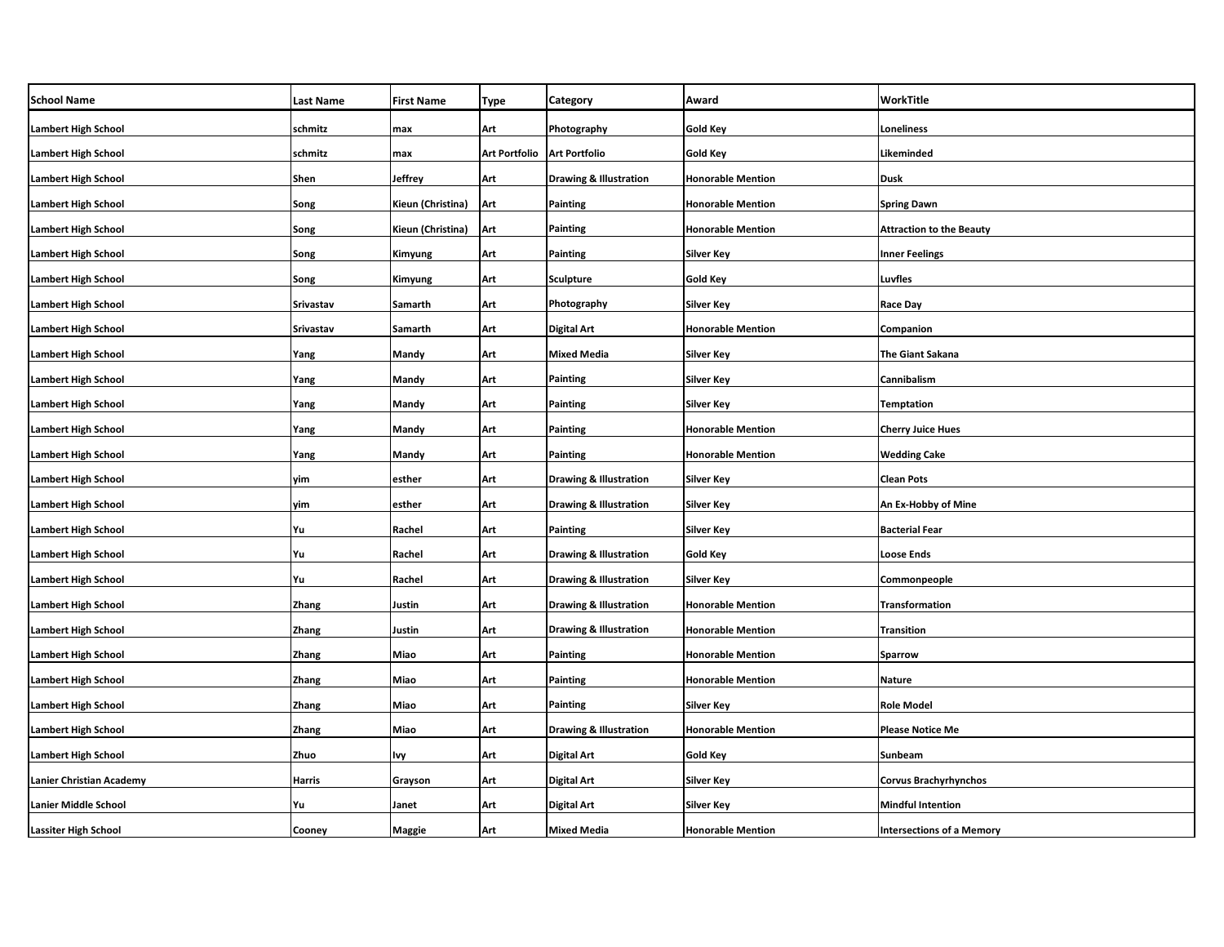| <b>School Name</b>          | <b>Last Name</b> | <b>First Name</b> | <b>Type</b>                   | <b>Category</b>                   | Award                    | <b>WorkTitle</b>                 |
|-----------------------------|------------------|-------------------|-------------------------------|-----------------------------------|--------------------------|----------------------------------|
| <b>Lambert High School</b>  | schmitz          | max               | Art                           | Photography                       | <b>Gold Key</b>          | <b>Loneliness</b>                |
| <b>Lambert High School</b>  | schmitz          | max               | Art Portfolio   Art Portfolio |                                   | <b>Gold Key</b>          | Likeminded                       |
| <b>Lambert High School</b>  | Shen             | <b>Jeffrey</b>    | Art                           | Drawing & Illustration            | <b>Honorable Mention</b> | <b>Dusk</b>                      |
| <b>Lambert High School</b>  | Song             | Kieun (Christina) | Art                           | <b>Painting</b>                   | <b>Honorable Mention</b> | <b>Spring Dawn</b>               |
| <b>Lambert High School</b>  | Song             | Kieun (Christina) | Art                           | <b>Painting</b>                   | <b>Honorable Mention</b> | <b>Attraction to the Beauty</b>  |
| <b>Lambert High School</b>  | Song             | Kimyung           | Art                           | <b>Painting</b>                   | Silver Key               | <b>Inner Feelings</b>            |
| Lambert High School         | Song             | Kimyung           | Art                           | <b>Sculpture</b>                  | Gold Key                 | Luvfles                          |
| <b>Lambert High School</b>  | Srivastav        | Samarth           | Art                           | Photography                       | Silver Key               | <b>Race Day</b>                  |
| Lambert High School         | Srivastav        | Samarth           | Art                           | <b>Digital Art</b>                | <b>Honorable Mention</b> | Companion                        |
| <b>Lambert High School</b>  | Yang             | Mandy             | Art                           | <b>Mixed Media</b>                | Silver Key               | <b>The Giant Sakana</b>          |
| Lambert High School         | Yang             | Mandy             | Art                           | Painting                          | Silver Key               | Cannibalism                      |
| <b>Lambert High School</b>  | Yang             | Mandy             | Art                           | <b>Painting</b>                   | Silver Key               | <b>Temptation</b>                |
| <b>Lambert High School</b>  | Yang             | Mandy             | Art                           | <b>Painting</b>                   | <b>Honorable Mention</b> | <b>Cherry Juice Hues</b>         |
| <b>Lambert High School</b>  | Yang             | Mandy             | Art                           | Painting                          | <b>Honorable Mention</b> | <b>Wedding Cake</b>              |
| <b>Lambert High School</b>  | yim              | esther            | Art                           | <b>Drawing &amp; Illustration</b> | Silver Key               | <b>Clean Pots</b>                |
| <b>Lambert High School</b>  | yim              | esther            | Art                           | <b>Drawing &amp; Illustration</b> | <b>Silver Key</b>        | An Ex-Hobby of Mine              |
| <b>Lambert High School</b>  | Yu               | Rachel            | Art                           | Painting                          | Silver Key               | <b>Bacterial Fear</b>            |
| <b>Lambert High School</b>  | Yu               | Rachel            | Art                           | <b>Drawing &amp; Illustration</b> | <b>Gold Key</b>          | <b>Loose Ends</b>                |
| <b>Lambert High School</b>  | Yu               | Rachel            | Art                           | <b>Drawing &amp; Illustration</b> | Silver Key               | Commonpeople                     |
| <b>Lambert High School</b>  | <b>Zhang</b>     | Justin            | Art                           | Drawing & Illustration            | <b>Honorable Mention</b> | Transformation                   |
| <b>Lambert High School</b>  | Zhang            | Justin            | Art                           | <b>Drawing &amp; Illustration</b> | <b>Honorable Mention</b> | <b>Transition</b>                |
| <b>Lambert High School</b>  | <b>Zhang</b>     | Miao              | Art                           | <b>Painting</b>                   | <b>Honorable Mention</b> | <b>Sparrow</b>                   |
| <b>Lambert High School</b>  | <b>Zhang</b>     | Miao              | Art                           | Painting                          | <b>Honorable Mention</b> | <b>Nature</b>                    |
| <b>Lambert High School</b>  | Zhang            | Miao              | Art                           | Painting                          | Silver Key               | <b>Role Model</b>                |
| <b>Lambert High School</b>  | Zhang            | Miao              | Art                           | <b>Drawing &amp; Illustration</b> | <b>Honorable Mention</b> | <b>Please Notice Me</b>          |
| <b>Lambert High School</b>  | Zhuo             | Ivy               | Art                           | <b>Digital Art</b>                | Gold Key                 | Sunbeam                          |
| Lanier Christian Academy    | <b>Harris</b>    | Grayson           | Art                           | <b>Digital Art</b>                | Silver Key               | <b>Corvus Brachyrhynchos</b>     |
| Lanier Middle School        | Yu               | Janet             | Art                           | <b>Digital Art</b>                | Silver Key               | <b>Mindful Intention</b>         |
| <b>Lassiter High School</b> | Cooney           | <b>Maggie</b>     | Art                           | <b>Mixed Media</b>                | <b>Honorable Mention</b> | <b>Intersections of a Memory</b> |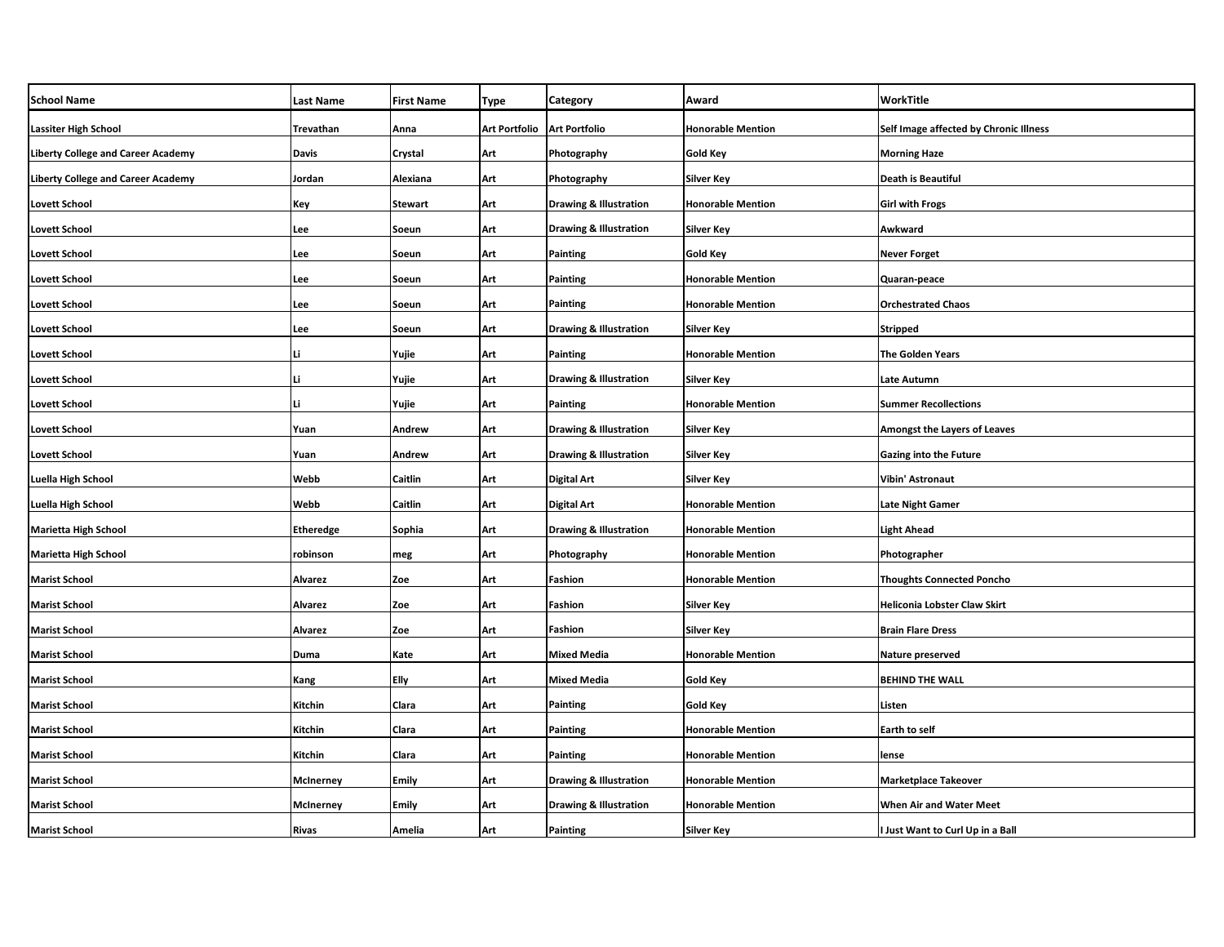| <b>School Name</b>                        | <b>Last Name</b> | <b>First Name</b> | <b>Type</b>          | Category                          | Award                    | <b>WorkTitle</b>                       |
|-------------------------------------------|------------------|-------------------|----------------------|-----------------------------------|--------------------------|----------------------------------------|
| <b>Lassiter High School</b>               | Trevathan        | Anna              | <b>Art Portfolio</b> | <b>Art Portfolio</b>              | <b>Honorable Mention</b> | Self Image affected by Chronic Illness |
| <b>Liberty College and Career Academy</b> | Davis            | Crystal           | Art                  | Photography                       | <b>Gold Key</b>          | <b>Morning Haze</b>                    |
| <b>Liberty College and Career Academy</b> | Jordan           | Alexiana          | Art                  | Photography                       | <b>Silver Key</b>        | <b>Death is Beautiful</b>              |
| <b>Lovett School</b>                      | Key              | Stewart           | Art                  | <b>Drawing &amp; Illustration</b> | <b>Honorable Mention</b> | <b>Girl with Frogs</b>                 |
| <b>Lovett School</b>                      | Lee              | Soeun             | Art                  | Drawing & Illustration            | <b>Silver Key</b>        | Awkward                                |
| <b>Lovett School</b>                      | Lee              | Soeun             | Art                  | <b>Painting</b>                   | <b>Gold Key</b>          | <b>Never Forget</b>                    |
| <b>Lovett School</b>                      | Lee              | Soeun             | Art                  | <b>Painting</b>                   | <b>Honorable Mention</b> | Quaran-peace                           |
| <b>Lovett School</b>                      | Lee              | Soeun             | Art                  | <b>Painting</b>                   | <b>Honorable Mention</b> | <b>Orchestrated Chaos</b>              |
| <b>Lovett School</b>                      | Lee              | Soeun             | Art                  | <b>Drawing &amp; Illustration</b> | <b>Silver Key</b>        | <b>Stripped</b>                        |
| <b>Lovett School</b>                      | Li               | Yujie             | Art                  | Painting                          | <b>Honorable Mention</b> | The Golden Years                       |
| <b>Lovett School</b>                      | Li               | Yujie             | Art                  | <b>Drawing &amp; Illustration</b> | <b>Silver Key</b>        | Late Autumn                            |
| <b>Lovett School</b>                      | Li               | Yujie             | Art                  | Painting                          | <b>Honorable Mention</b> | <b>Summer Recollections</b>            |
| <b>Lovett School</b>                      | Yuan             | Andrew            | Art                  | <b>Drawing &amp; Illustration</b> | <b>Silver Key</b>        | Amongst the Layers of Leaves           |
| <b>Lovett School</b>                      | Yuan             | Andrew            | Art                  | <b>Drawing &amp; Illustration</b> | <b>Silver Key</b>        | <b>Gazing into the Future</b>          |
| Luella High School                        | Webb             | Caitlin           | Art                  | <b>Digital Art</b>                | <b>Silver Key</b>        | <b>Vibin' Astronaut</b>                |
| Luella High School                        | Webb             | Caitlin           | Art                  | <b>Digital Art</b>                | <b>Honorable Mention</b> | <b>Late Night Gamer</b>                |
| <b>Marietta High School</b>               | <b>Etheredge</b> | Sophia            | Art                  | <b>Drawing &amp; Illustration</b> | <b>Honorable Mention</b> | <b>Light Ahead</b>                     |
| <b>Marietta High School</b>               | robinson         | meg               | Art                  | Photography                       | <b>Honorable Mention</b> | Photographer                           |
| <b>Marist School</b>                      | Alvarez          | Zoe               | Art                  | Fashion                           | <b>Honorable Mention</b> | <b>Thoughts Connected Poncho</b>       |
| <b>Marist School</b>                      | Alvarez          | Zoe               | Art                  | Fashion                           | <b>Silver Key</b>        | <b>Heliconia Lobster Claw Skirt</b>    |
| <b>Marist School</b>                      | Alvarez          | Zoe               | Art                  | Fashion                           | <b>Silver Key</b>        | <b>Brain Flare Dress</b>               |
| <b>Marist School</b>                      | Duma             | Kate              | Art                  | <b>Mixed Media</b>                | <b>Honorable Mention</b> | Nature preserved                       |
| <b>Marist School</b>                      | Kang             | Elly              | Art                  | <b>Mixed Media</b>                | Gold Key                 | <b>BEHIND THE WALL</b>                 |
| <b>Marist School</b>                      | Kitchin          | Clara             | Art                  | <b>Painting</b>                   | Gold Key                 | Listen                                 |
| <b>Marist School</b>                      | Kitchin          | Clara             | Art                  | Painting                          | <b>Honorable Mention</b> | Earth to self                          |
| <b>Marist School</b>                      | Kitchin          | Clara             | Art                  | Painting                          | <b>Honorable Mention</b> | lense                                  |
| <b>Marist School</b>                      | <b>McInerney</b> | Emily             | Art                  | <b>Drawing &amp; Illustration</b> | <b>Honorable Mention</b> | <b>Marketplace Takeover</b>            |
| <b>Marist School</b>                      | <b>McInerney</b> | Emily             | Art                  | <b>Drawing &amp; Illustration</b> | <b>Honorable Mention</b> | <b>When Air and Water Meet</b>         |
| <b>Marist School</b>                      | <b>Rivas</b>     | Amelia            | Art                  | <b>Painting</b>                   | <b>Silver Key</b>        | I Just Want to Curl Up in a Ball       |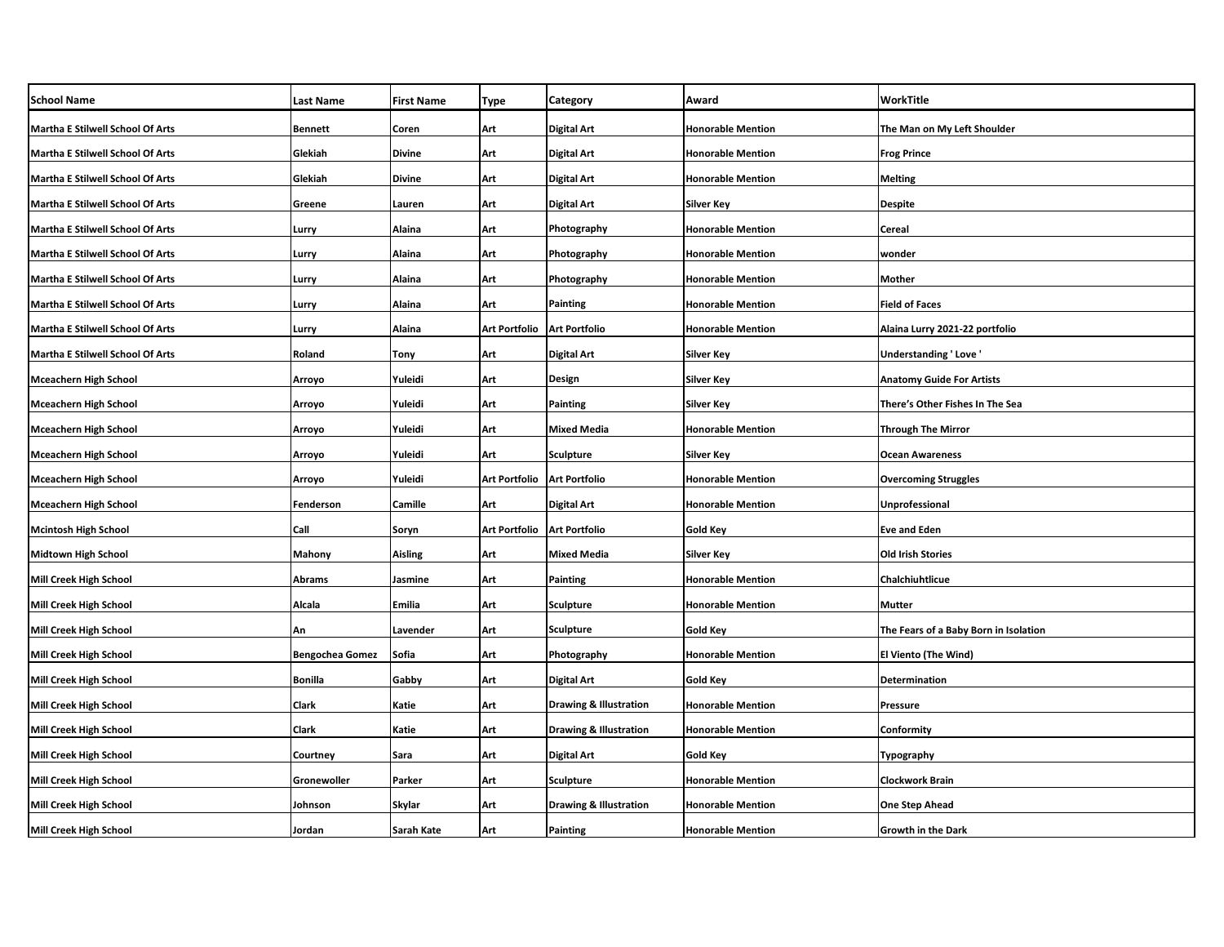| <b>School Name</b>                      | Last Name              | <b>First Name</b> | Type                 | Category                          | Award                    | WorkTitle                             |
|-----------------------------------------|------------------------|-------------------|----------------------|-----------------------------------|--------------------------|---------------------------------------|
| Martha E Stilwell School Of Arts        | <b>Bennett</b>         | Coren             | Art                  | Digital Art                       | <b>Honorable Mention</b> | The Man on My Left Shoulder           |
| Martha E Stilwell School Of Arts        | Glekiah                | <b>Divine</b>     | Art                  | Digital Art                       | <b>Honorable Mention</b> | <b>Frog Prince</b>                    |
| Martha E Stilwell School Of Arts        | Glekiah                | <b>Divine</b>     | Art                  | Digital Art                       | <b>Honorable Mention</b> | <b>Melting</b>                        |
| Martha E Stilwell School Of Arts        | Greene                 | Lauren            | Art                  | Digital Art                       | <b>Silver Key</b>        | <b>Despite</b>                        |
| Martha E Stilwell School Of Arts        | Lurry                  | Alaina            | Art                  | Photography                       | <b>Honorable Mention</b> | Cereal                                |
| Martha E Stilwell School Of Arts        | Lurry                  | Alaina            | Art                  | Photography                       | <b>Honorable Mention</b> | wonder                                |
| <b>Martha E Stilwell School Of Arts</b> | Lurry                  | Alaina            | Art                  | Photography                       | <b>Honorable Mention</b> | Mother                                |
| <b>Martha E Stilwell School Of Arts</b> | Lurry                  | Alaina            | Art                  | Painting                          | <b>Honorable Mention</b> | <b>Field of Faces</b>                 |
| Martha E Stilwell School Of Arts        | Lurry                  | Alaina            | <b>Art Portfolio</b> | <b>Art Portfolio</b>              | <b>Honorable Mention</b> | Alaina Lurry 2021-22 portfolio        |
| <b>Martha E Stilwell School Of Arts</b> | Roland                 | Tony              | Art                  | Digital Art                       | <b>Silver Key</b>        | Understanding 'Love'                  |
| Mceachern High School                   | Arroyo                 | Yuleidi           | Art                  | Design                            | <b>Silver Key</b>        | <b>Anatomy Guide For Artists</b>      |
| <b>Mceachern High School</b>            | Arroyo                 | Yuleidi           | Art                  | Painting                          | <b>Silver Key</b>        | There's Other Fishes In The Sea       |
| <b>Mceachern High School</b>            | Arroyo                 | Yuleidi           | Art                  | <b>Mixed Media</b>                | <b>Honorable Mention</b> | <b>Through The Mirror</b>             |
| <b>Mceachern High School</b>            | Arroyo                 | Yuleidi           | Art                  | <b>Sculpture</b>                  | <b>Silver Key</b>        | <b>Ocean Awareness</b>                |
| <b>Mceachern High School</b>            | Arroyo                 | Yuleidi           | <b>Art Portfolio</b> | <b>Art Portfolio</b>              | <b>Honorable Mention</b> | <b>Overcoming Struggles</b>           |
| <b>Mceachern High School</b>            | Fenderson              | Camille           | Art                  | <b>Digital Art</b>                | <b>Honorable Mention</b> | Unprofessional                        |
| <b>Mcintosh High School</b>             | Call                   | Soryn             | <b>Art Portfolio</b> | <b>Art Portfolio</b>              | <b>Gold Key</b>          | <b>Eve and Eden</b>                   |
| <b>Midtown High School</b>              | Mahony                 | Aisling           | Art                  | <b>Mixed Media</b>                | <b>Silver Key</b>        | <b>Old Irish Stories</b>              |
| Mill Creek High School                  | <b>Abrams</b>          | Jasmine           | Art                  | Painting                          | <b>Honorable Mention</b> | Chalchiuhtlicue                       |
| <b>Mill Creek High School</b>           | Alcala                 | Emilia            | Art                  | <b>Sculpture</b>                  | <b>Honorable Mention</b> | <b>Mutter</b>                         |
| Mill Creek High School                  | An                     | Lavender          | Art                  | <b>Sculpture</b>                  | Gold Key                 | The Fears of a Baby Born in Isolation |
| <b>Mill Creek High School</b>           | <b>Bengochea Gomez</b> | Sofia             | Art                  | Photography                       | <b>Honorable Mention</b> | <b>El Viento (The Wind)</b>           |
| Mill Creek High School                  | <b>Bonilla</b>         | Gabby             | Art                  | Digital Art                       | Gold Key                 | Determination                         |
| <b>Mill Creek High School</b>           | <b>Clark</b>           | Katie             | Art                  | Drawing & Illustration            | <b>Honorable Mention</b> | Pressure                              |
| Mill Creek High School                  | Clark                  | Katie             | Art                  | <b>Drawing &amp; Illustration</b> | <b>Honorable Mention</b> | Conformity                            |
| <b>Mill Creek High School</b>           | Courtney               | Sara              | Art                  | Digital Art                       | Gold Key                 | Typography                            |
| Mill Creek High School                  | Gronewoller            | Parker            | Art                  | Sculpture                         | <b>Honorable Mention</b> | <b>Clockwork Brain</b>                |
| Mill Creek High School                  | Johnson                | Skylar            | Art                  | <b>Drawing &amp; Illustration</b> | <b>Honorable Mention</b> | <b>One Step Ahead</b>                 |
| <b>Mill Creek High School</b>           | Jordan                 | <b>Sarah Kate</b> | Art                  | Painting                          | <b>Honorable Mention</b> | <b>Growth in the Dark</b>             |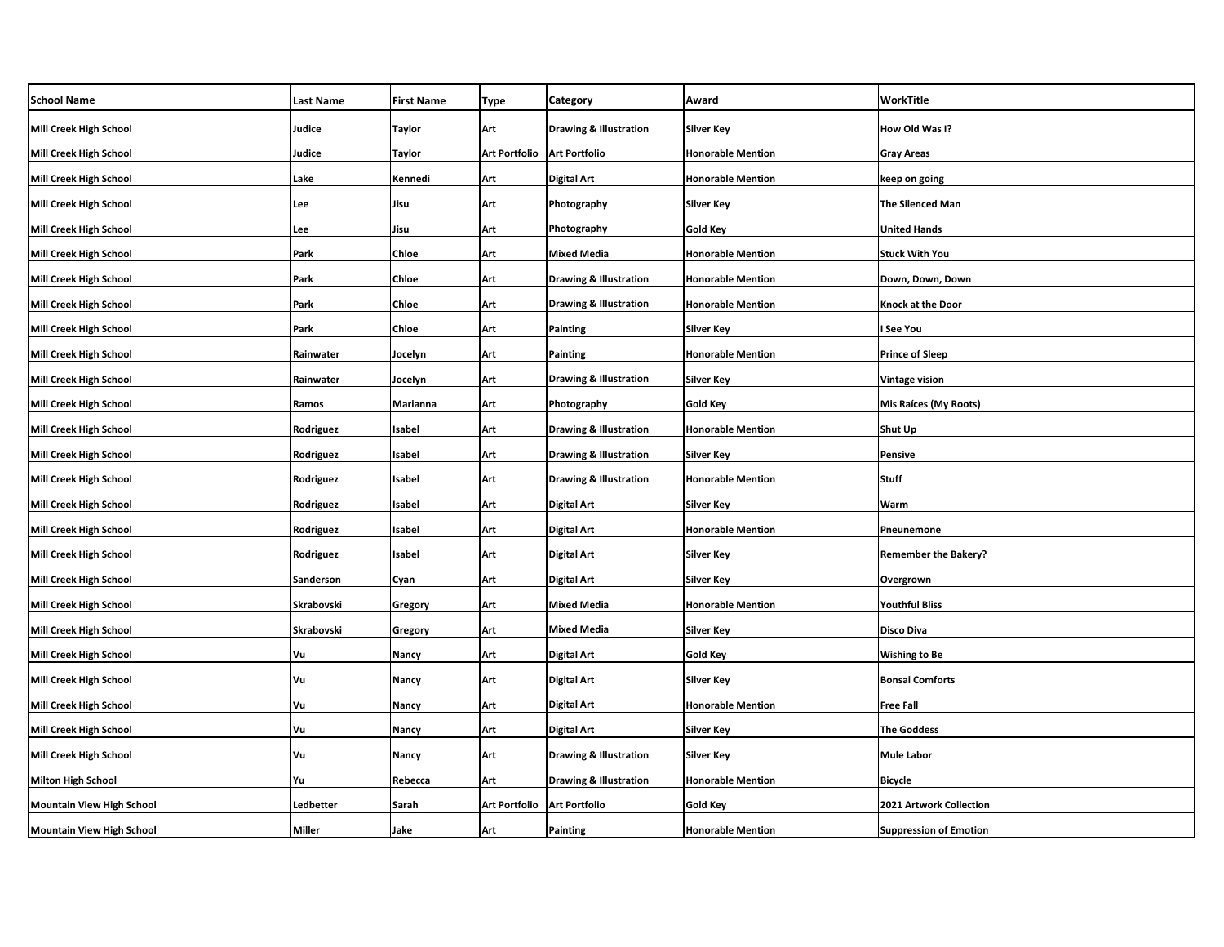| <b>School Name</b>               | <b>Last Name</b> | <b>First Name</b> | Type                          | Category                          | Award                    | WorkTitle                     |
|----------------------------------|------------------|-------------------|-------------------------------|-----------------------------------|--------------------------|-------------------------------|
| Mill Creek High School           | Judice           | <b>Taylor</b>     | Art                           | <b>Drawing &amp; Illustration</b> | <b>Silver Key</b>        | How Old Was I?                |
| Mill Creek High School           | Judice           | <b>Taylor</b>     | Art Portfolio   Art Portfolio |                                   | <b>Honorable Mention</b> | <b>Gray Areas</b>             |
| Mill Creek High School           | Lake             | Kennedi           | Art                           | Digital Art                       | <b>Honorable Mention</b> | keep on going                 |
| Mill Creek High School           | Lee              | Jisu              | Art                           | Photography                       | Silver Key               | <b>The Silenced Man</b>       |
| Mill Creek High School           | Lee              | Jisu              | Art                           | Photography                       | Gold Key                 | <b>United Hands</b>           |
| <b>Mill Creek High School</b>    | Park             | Chloe             | Art                           | <b>Mixed Media</b>                | <b>Honorable Mention</b> | <b>Stuck With You</b>         |
| Mill Creek High School           | Park             | Chloe             | Art                           | <b>Drawing &amp; Illustration</b> | <b>Honorable Mention</b> | Down, Down, Down              |
| <b>Mill Creek High School</b>    | Park             | Chloe             | Art                           | <b>Drawing &amp; Illustration</b> | <b>Honorable Mention</b> | <b>Knock at the Door</b>      |
| Mill Creek High School           | Park             | Chloe             | Art                           | Painting                          | <b>Silver Key</b>        | l See You                     |
| Mill Creek High School           | Rainwater        | Jocelyn           | Art                           | Painting                          | <b>Honorable Mention</b> | <b>Prince of Sleep</b>        |
| Mill Creek High School           | Rainwater        | Jocelyn           | Art                           | <b>Drawing &amp; Illustration</b> | Silver Key               | <b>Vintage vision</b>         |
| Mill Creek High School           | Ramos            | Marianna          | Art                           | Photography                       | <b>Gold Key</b>          | <b>Mis Raíces (My Roots)</b>  |
| <b>Mill Creek High School</b>    | Rodriguez        | Isabel            | Art                           | <b>Drawing &amp; Illustration</b> | <b>Honorable Mention</b> | Shut Up                       |
| Mill Creek High School           | Rodriguez        | Isabel            | Art                           | <b>Drawing &amp; Illustration</b> | <b>Silver Key</b>        | <b>Pensive</b>                |
| Mill Creek High School           | Rodriguez        | Isabel            | Art                           | <b>Drawing &amp; Illustration</b> | <b>Honorable Mention</b> | Stuff                         |
| <b>Mill Creek High School</b>    | Rodriguez        | Isabel            | Art                           | <b>Digital Art</b>                | <b>Silver Key</b>        | Warm                          |
| Mill Creek High School           | Rodriguez        | Isabel            | Art                           | Digital Art                       | <b>Honorable Mention</b> | Pneunemone                    |
| <b>Mill Creek High School</b>    | Rodriguez        | Isabel            | Art                           | Digital Art                       | <b>Silver Key</b>        | <b>Remember the Bakery?</b>   |
| Mill Creek High School           | Sanderson        | Cyan              | Art                           | Digital Art                       | Silver Key               | Overgrown                     |
| <b>Mill Creek High School</b>    | Skrabovski       | Gregory           | Art                           | <b>Mixed Media</b>                | <b>Honorable Mention</b> | <b>Youthful Bliss</b>         |
| Mill Creek High School           | Skrabovski       | Gregory           | Art                           | <b>Mixed Media</b>                | Silver Key               | <b>Disco Diva</b>             |
| <b>Mill Creek High School</b>    | Vu               | Nancy             | Art                           | Digital Art                       | <b>Gold Key</b>          | <b>Wishing to Be</b>          |
| Mill Creek High School           | Vu               | Nancy             | Art                           | Digital Art                       | Silver Key               | <b>Bonsai Comforts</b>        |
| <b>Mill Creek High School</b>    | Vu               | Nancy             | Art                           | Digital Art                       | <b>Honorable Mention</b> | <b>Free Fall</b>              |
| Mill Creek High School           | Vu               | <b>Nancy</b>      | Art                           | Digital Art                       | Silver Key               | <b>The Goddess</b>            |
| <b>Mill Creek High School</b>    | Vu               | Nancy             | Art                           | <b>Drawing &amp; Illustration</b> | <b>Silver Key</b>        | <b>Mule Labor</b>             |
| <b>Milton High School</b>        | Yu               | Rebecca           | Art                           | <b>Drawing &amp; Illustration</b> | <b>Honorable Mention</b> | <b>Bicycle</b>                |
| <b>Mountain View High School</b> | Ledbetter        | Sarah             | <b>Art Portfolio</b>          | <b>Art Portfolio</b>              | Gold Key                 | 2021 Artwork Collection       |
| <b>Mountain View High School</b> | <b>Miller</b>    | Jake              | Art                           | Painting                          | <b>Honorable Mention</b> | <b>Suppression of Emotion</b> |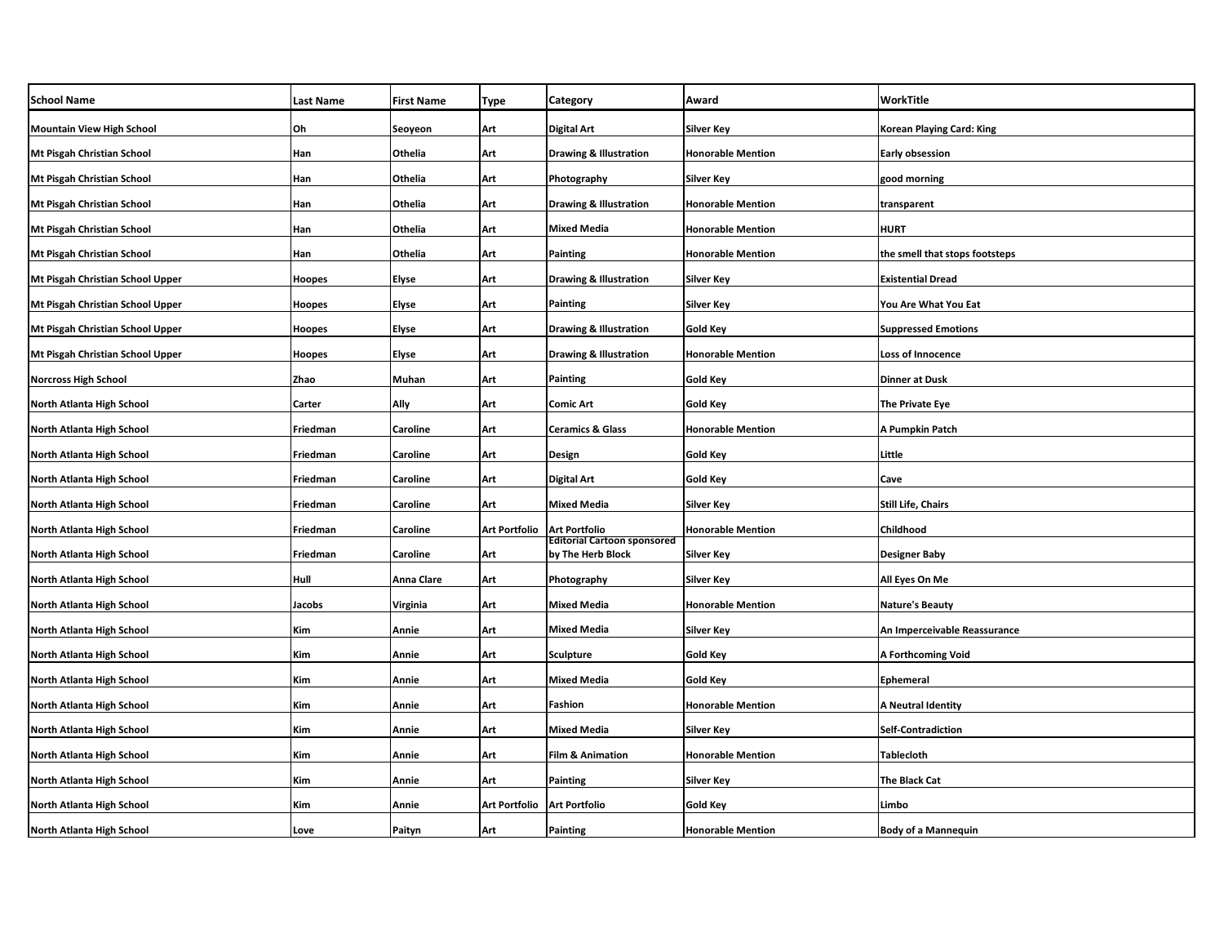| <b>School Name</b>                | <b>Last Name</b> | <b>First Name</b> | Type                 | Category                                                | Award                    | WorkTitle                      |
|-----------------------------------|------------------|-------------------|----------------------|---------------------------------------------------------|--------------------------|--------------------------------|
| <b>Mountain View High School</b>  | Oh               | Seoyeon           | Art                  | <b>Digital Art</b>                                      | Silver Key               | Korean Playing Card: King      |
| Mt Pisgah Christian School        | Han              | Othelia           | Art                  | <b>Drawing &amp; Illustration</b>                       | <b>Honorable Mention</b> | Early obsession                |
| Mt Pisgah Christian School        | Han              | Othelia           | Art                  | Photography                                             | <b>Silver Key</b>        | good morning                   |
| Mt Pisgah Christian School        | Han              | Othelia           | Art                  | <b>Drawing &amp; Illustration</b>                       | <b>Honorable Mention</b> | transparent                    |
| <b>Mt Pisgah Christian School</b> | Han              | Othelia           | Art                  | <b>Mixed Media</b>                                      | <b>Honorable Mention</b> | <b>HURT</b>                    |
| Mt Pisgah Christian School        | Han              | Othelia           | Art                  | Painting                                                | <b>Honorable Mention</b> | the smell that stops footsteps |
| Mt Pisgah Christian School Upper  | <b>Hoopes</b>    | Elyse             | Art                  | <b>Drawing &amp; Illustration</b>                       | Silver Key               | <b>Existential Dread</b>       |
| Mt Pisgah Christian School Upper  | Hoopes           | Elyse             | Art                  | Painting                                                | <b>Silver Key</b>        | You Are What You Eat           |
| Mt Pisgah Christian School Upper  | Hoopes           | Elyse             | Art                  | Drawing & Illustration                                  | Gold Key                 | <b>Suppressed Emotions</b>     |
| Mt Pisgah Christian School Upper  | Hoopes           | Elyse             | Art                  | <b>Drawing &amp; Illustration</b>                       | <b>Honorable Mention</b> | <b>Loss of Innocence</b>       |
| <b>Norcross High School</b>       | Zhao             | Muhan             | Art                  | Painting                                                | <b>Gold Key</b>          | Dinner at Dusk                 |
| North Atlanta High School         | Carter           | Ally              | Art                  | Comic Art                                               | <b>Gold Key</b>          | The Private Eye                |
| North Atlanta High School         | Friedman         | Caroline          | Art                  | <b>Ceramics &amp; Glass</b>                             | <b>Honorable Mention</b> | A Pumpkin Patch                |
| North Atlanta High School         | Friedman         | Caroline          | Art                  | Design                                                  | <b>Gold Key</b>          | Little                         |
| North Atlanta High School         | Friedman         | Caroline          | Art                  | <b>Digital Art</b>                                      | <b>Gold Key</b>          | Cave                           |
| North Atlanta High School         | Friedman         | Caroline          | Art                  | <b>Mixed Media</b>                                      | <b>Silver Key</b>        | <b>Still Life, Chairs</b>      |
| North Atlanta High School         | Friedman         | Caroline          | Art Portfolio        | <b>Art Portfolio</b>                                    | <b>Honorable Mention</b> | Childhood                      |
| North Atlanta High School         | Friedman         | Caroline          | Art                  | <b>Editorial Cartoon sponsored</b><br>by The Herb Block | Silver Key               | <b>Designer Baby</b>           |
| North Atlanta High School         | Hull             | Anna Clare        | Art                  | Photography                                             | Silver Key               | All Eyes On Me                 |
| <b>North Atlanta High School</b>  | Jacobs           | Virginia          | Art                  | <b>Mixed Media</b>                                      | <b>Honorable Mention</b> | Nature's Beauty                |
| North Atlanta High School         | Kim              | Annie             | Art                  | <b>Mixed Media</b>                                      | Silver Key               | An Imperceivable Reassurance   |
| North Atlanta High School         | Kim              | Annie             | Art                  | <b>Sculpture</b>                                        | <b>Gold Key</b>          | A Forthcoming Void             |
| North Atlanta High School         | Kim              | Annie             | Art                  | <b>Mixed Media</b>                                      | <b>Gold Key</b>          | Ephemeral                      |
| North Atlanta High School         | Kim              | Annie             | Art                  | Fashion                                                 | <b>Honorable Mention</b> | A Neutral Identity             |
| North Atlanta High School         | Kim              | Annie             | Art                  | <b>Mixed Media</b>                                      | Silver Key               | <b>Self-Contradiction</b>      |
| North Atlanta High School         | Kim              | Annie             | Art                  | <b>Film &amp; Animation</b>                             | <b>Honorable Mention</b> | Tablecloth                     |
| North Atlanta High School         | Kim              | Annie             | Art                  | <b>Painting</b>                                         | Silver Key               | The Black Cat                  |
| North Atlanta High School         | Kim              | Annie             | <b>Art Portfolio</b> | <b>Art Portfolio</b>                                    | Gold Key                 | Limbo                          |
| North Atlanta High School         | Love             | Paityn            | Art                  | Painting                                                | <b>Honorable Mention</b> | <b>Body of a Mannequin</b>     |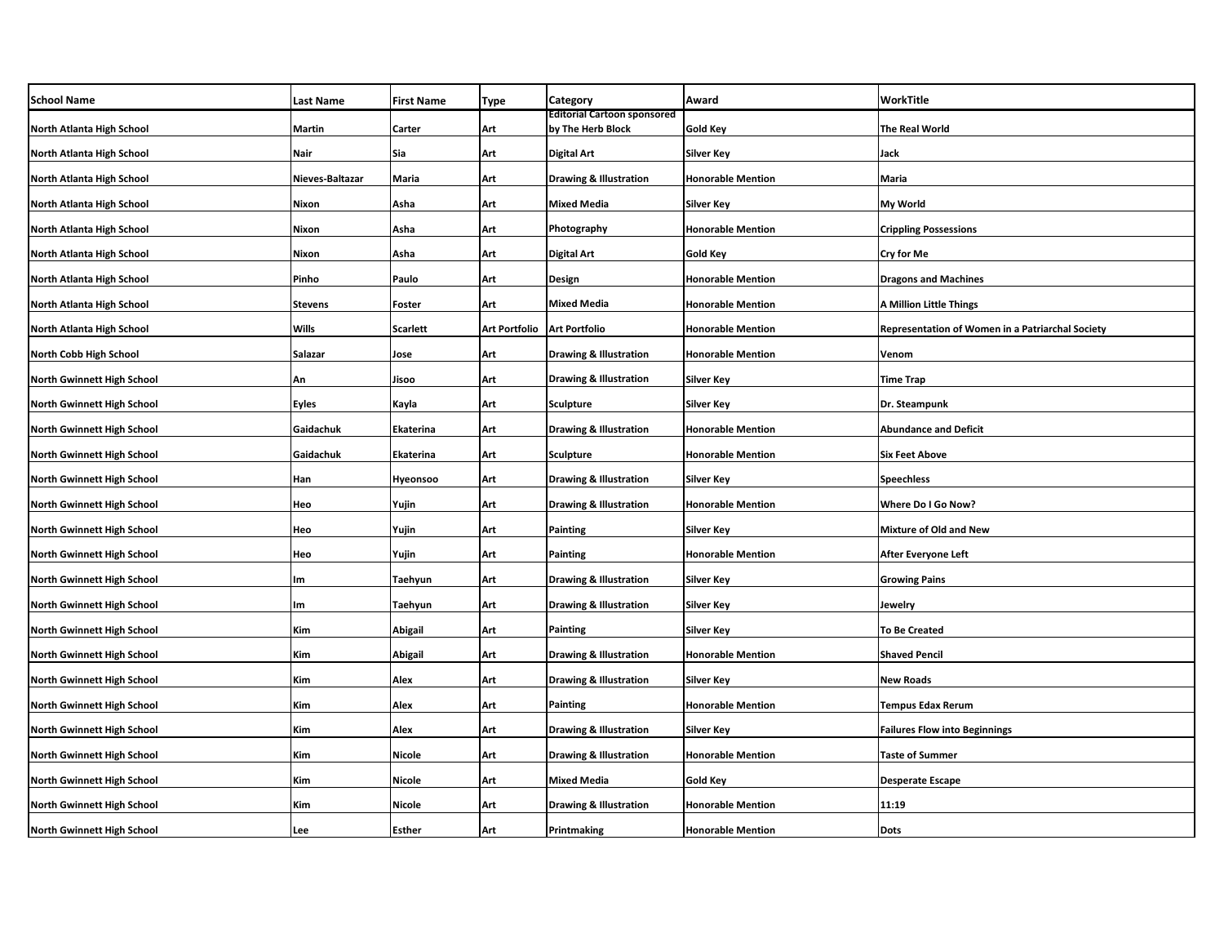| <b>School Name</b>                | <b>Last Name</b> | <b>First Name</b> | <b>Type</b>   | Category                                                | Award                    | WorkTitle                                        |
|-----------------------------------|------------------|-------------------|---------------|---------------------------------------------------------|--------------------------|--------------------------------------------------|
| North Atlanta High School         | <b>Martin</b>    | Carter            | Art           | <b>Editorial Cartoon sponsored</b><br>by The Herb Block | <b>Gold Key</b>          | <b>The Real World</b>                            |
| North Atlanta High School         | Nair             | Sia               | Art           | <b>Digital Art</b>                                      | <b>Silver Key</b>        | Jack                                             |
| North Atlanta High School         | Nieves-Baltazar  | Maria             | Art           | <b>Drawing &amp; Illustration</b>                       | <b>Honorable Mention</b> | Maria                                            |
| North Atlanta High School         | Nixon            | Asha              | Art           | <b>Mixed Media</b>                                      | Silver Key               | My World                                         |
| North Atlanta High School         | Nixon            | Asha              | Art           | Photography                                             | <b>Honorable Mention</b> | <b>Crippling Possessions</b>                     |
| North Atlanta High School         | Nixon            | Asha              | Art           | <b>Digital Art</b>                                      | Gold Key                 | Cry for Me                                       |
| North Atlanta High School         | Pinho            | Paulo             | Art           | Design                                                  | <b>Honorable Mention</b> | <b>Dragons and Machines</b>                      |
| North Atlanta High School         | <b>Stevens</b>   | Foster            | Art           | <b>Mixed Media</b>                                      | <b>Honorable Mention</b> | <b>A Million Little Things</b>                   |
| North Atlanta High School         | Wills            | Scarlett          | Art Portfolio | <b>Art Portfolio</b>                                    | <b>Honorable Mention</b> | Representation of Women in a Patriarchal Society |
| North Cobb High School            | Salazar          | Jose              | Art           | <b>Drawing &amp; Illustration</b>                       | <b>Honorable Mention</b> | Venom                                            |
| North Gwinnett High School        | An               | Jisoo             | Art           | <b>Drawing &amp; Illustration</b>                       | Silver Key               | <b>Time Trap</b>                                 |
| <b>North Gwinnett High School</b> | <b>Eyles</b>     | Kayla             | Art           | Sculpture                                               | <b>Silver Key</b>        | Dr. Steampunk                                    |
| <b>North Gwinnett High School</b> | Gaidachuk        | Ekaterina         | Art           | <b>Drawing &amp; Illustration</b>                       | <b>Honorable Mention</b> | <b>Abundance and Deficit</b>                     |
| North Gwinnett High School        | Gaidachuk        | Ekaterina         | Art           | Sculpture                                               | <b>Honorable Mention</b> | <b>Six Feet Above</b>                            |
| North Gwinnett High School        | Han              | Hyeonsoo          | Art           | <b>Drawing &amp; Illustration</b>                       | <b>Silver Key</b>        | <b>Speechless</b>                                |
| North Gwinnett High School        | Heo              | Yujin             | Art           | <b>Drawing &amp; Illustration</b>                       | <b>Honorable Mention</b> | Where Do I Go Now?                               |
| <b>North Gwinnett High School</b> | Heo              | Yujin             | Art           | Painting                                                | <b>Silver Key</b>        | <b>Mixture of Old and New</b>                    |
| North Gwinnett High School        | Heo              | Yujin             | Art           | Painting                                                | <b>Honorable Mention</b> | After Everyone Left                              |
| North Gwinnett High School        | Im               | Taehyun           | Art           | <b>Drawing &amp; Illustration</b>                       | <b>Silver Key</b>        | <b>Growing Pains</b>                             |
| North Gwinnett High School        | Im               | Taehyun           | Art           | <b>Drawing &amp; Illustration</b>                       | <b>Silver Key</b>        | Jewelry                                          |
| North Gwinnett High School        | Kim              | Abigail           | Art           | Painting                                                | <b>Silver Key</b>        | <b>To Be Created</b>                             |
| North Gwinnett High School        | Kim              | Abigail           | Art           | <b>Drawing &amp; Illustration</b>                       | <b>Honorable Mention</b> | <b>Shaved Pencil</b>                             |
| North Gwinnett High School        | Kim              | Alex              | Art           | <b>Drawing &amp; Illustration</b>                       | <b>Silver Key</b>        | <b>New Roads</b>                                 |
| <b>North Gwinnett High School</b> | Kim              | Alex              | Art           | Painting                                                | <b>Honorable Mention</b> | <b>Tempus Edax Rerum</b>                         |
| North Gwinnett High School        | Kim              | Alex              | Art           | <b>Drawing &amp; Illustration</b>                       | Silver Key               | <b>Failures Flow into Beginnings</b>             |
| North Gwinnett High School        | Kim              | Nicole            | Art           | <b>Drawing &amp; Illustration</b>                       | <b>Honorable Mention</b> | <b>Taste of Summer</b>                           |
| <b>North Gwinnett High School</b> | Kim              | Nicole            | Art           | Mixed Media                                             | Gold Key                 | <b>Desperate Escape</b>                          |
| North Gwinnett High School        | Kim              | Nicole            | Art           | <b>Drawing &amp; Illustration</b>                       | <b>Honorable Mention</b> | 11:19                                            |
| <b>North Gwinnett High School</b> | Lee              | Esther            | Art           | Printmaking                                             | <b>Honorable Mention</b> | <b>Dots</b>                                      |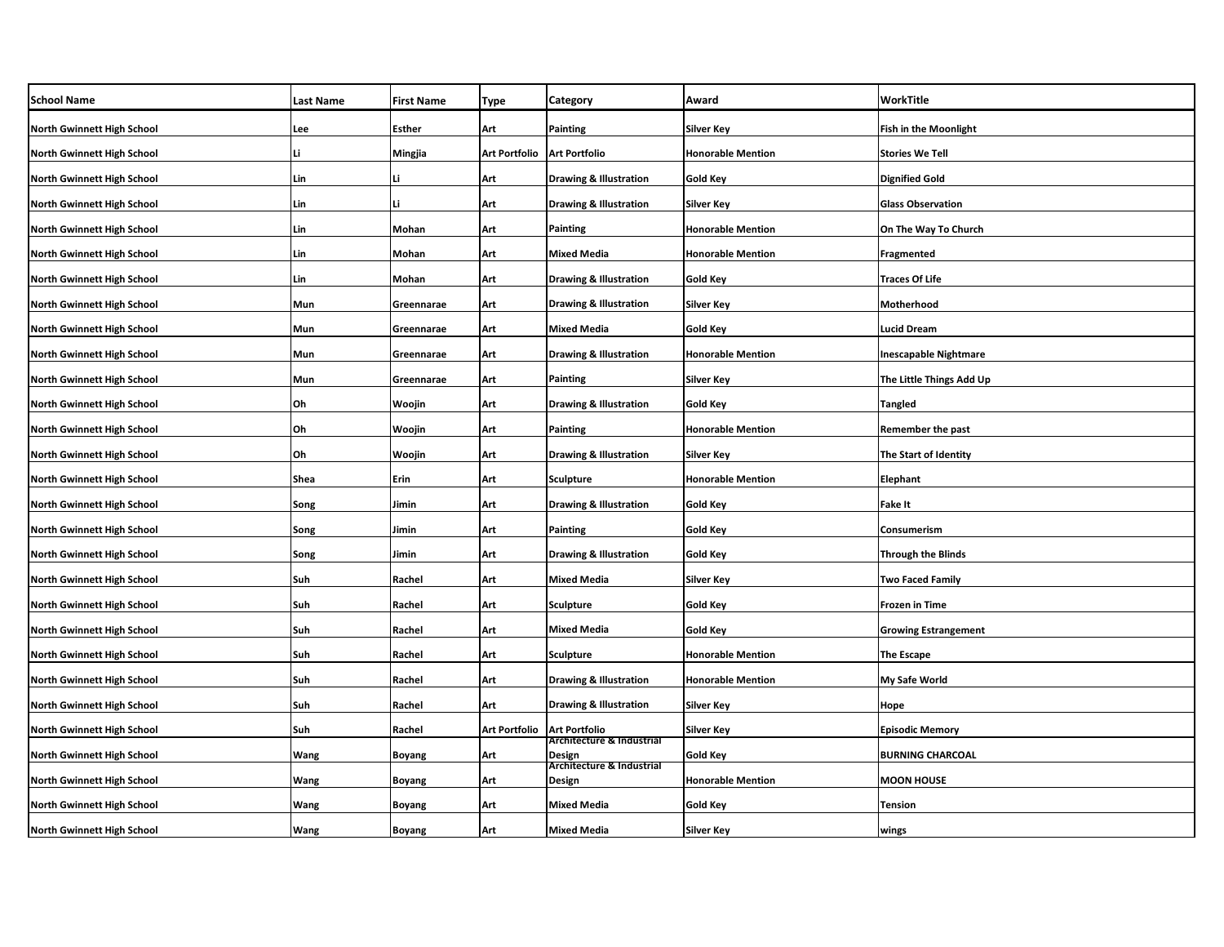| <b>School Name</b>                | <b>Last Name</b> | <b>First Name</b> | <b>Type</b>                   | Category                            | Award                    | WorkTitle                    |
|-----------------------------------|------------------|-------------------|-------------------------------|-------------------------------------|--------------------------|------------------------------|
| North Gwinnett High School        | Lee              | Esther            | Art                           | Painting                            | <b>Silver Key</b>        | <b>Fish in the Moonlight</b> |
| <b>North Gwinnett High School</b> | Li               | Mingjia           | Art Portfolio   Art Portfolio |                                     | <b>Honorable Mention</b> | <b>Stories We Tell</b>       |
| North Gwinnett High School        | Lin              |                   | Art                           | <b>Drawing &amp; Illustration</b>   | Gold Key                 | <b>Dignified Gold</b>        |
| North Gwinnett High School        | Lin              |                   | Art                           | <b>Drawing &amp; Illustration</b>   | Silver Key               | <b>Glass Observation</b>     |
| <b>North Gwinnett High School</b> | Lin              | Mohan             | Art                           | Painting                            | <b>Honorable Mention</b> | On The Way To Church         |
| North Gwinnett High School        | Lin              | Mohan             | Art                           | <b>Mixed Media</b>                  | <b>Honorable Mention</b> | Fragmented                   |
| <b>North Gwinnett High School</b> | Lin              | Mohan             | Art                           | <b>Drawing &amp; Illustration</b>   | Gold Key                 | Traces Of Life               |
| <b>North Gwinnett High School</b> | Mun              | Greennarae        | Art                           | <b>Drawing &amp; Illustration</b>   | <b>Silver Key</b>        | Motherhood                   |
| <b>North Gwinnett High School</b> | Mun              | Greennarae        | Art                           | Mixed Media                         | Gold Key                 | <b>Lucid Dream</b>           |
| <b>North Gwinnett High School</b> | Mun              | Greennarae        | Art                           | <b>Drawing &amp; Illustration</b>   | <b>Honorable Mention</b> | <b>Inescapable Nightmare</b> |
| North Gwinnett High School        | Mun              | Greennarae        | Art                           | Painting                            | Silver Key               | The Little Things Add Up     |
| <b>North Gwinnett High School</b> | Oh               | Woojin            | Art                           | <b>Drawing &amp; Illustration</b>   | Gold Key                 | <b>Tangled</b>               |
| <b>North Gwinnett High School</b> | Oh               | Woojin            | Art                           | Painting                            | <b>Honorable Mention</b> | Remember the past            |
| <b>North Gwinnett High School</b> | Oh               | Woojin            | Art                           | <b>Drawing &amp; Illustration</b>   | <b>Silver Key</b>        | The Start of Identity        |
| <b>North Gwinnett High School</b> | Shea             | Erin              | Art                           | Sculpture                           | <b>Honorable Mention</b> | Elephant                     |
| <b>North Gwinnett High School</b> | Song             | Jimin             | Art                           | <b>Drawing &amp; Illustration</b>   | <b>Gold Key</b>          | Fake It                      |
| <b>North Gwinnett High School</b> | Song             | Jimin             | Art                           | <b>Painting</b>                     | <b>Gold Key</b>          | Consumerism                  |
| North Gwinnett High School        | Song             | Jimin             | Art                           | <b>Drawing &amp; Illustration</b>   | <b>Gold Key</b>          | <b>Through the Blinds</b>    |
| <b>North Gwinnett High School</b> | Suh              | Rachel            | Art                           | Mixed Media                         | Silver Key               | Two Faced Family             |
| <b>North Gwinnett High School</b> | Suh              | Rachel            | Art                           | <b>Sculpture</b>                    | <b>Gold Key</b>          | <b>Frozen in Time</b>        |
| <b>North Gwinnett High School</b> | Suh              | Rachel            | Art                           | <b>Mixed Media</b>                  | Gold Key                 | <b>Growing Estrangement</b>  |
| <b>North Gwinnett High School</b> | Suh              | Rachel            | Art                           | <b>Sculpture</b>                    | <b>Honorable Mention</b> | <b>The Escape</b>            |
| North Gwinnett High School        | Suh              | Rachel            | Art                           | <b>Drawing &amp; Illustration</b>   | <b>Honorable Mention</b> | My Safe World                |
| <b>North Gwinnett High School</b> | Suh              | Rachel            | Art                           | <b>Drawing &amp; Illustration</b>   | <b>Silver Key</b>        | Hope                         |
| North Gwinnett High School        | Suh              | Rachel            | Art Portfolio                 | <b>Art Portfolio</b>                | Silver Key               | <b>Episodic Memory</b>       |
| North Gwinnett High School        | Wang             | Boyang            | Art                           | Architecture & Industrial<br>Design | Gold Key                 | <b>BURNING CHARCOAL</b>      |
| <b>North Gwinnett High School</b> | <b>Wang</b>      | Boyang            | Art                           | Architecture & Industrial<br>Design | <b>Honorable Mention</b> | <b>MOON HOUSE</b>            |
| North Gwinnett High School        | Wang             | Boyang            | Art                           | <b>Mixed Media</b>                  | Gold Key                 | Tension                      |
| <b>North Gwinnett High School</b> | <b>Wang</b>      | Boyang            | Art                           | <b>Mixed Media</b>                  | <b>Silver Key</b>        | wings                        |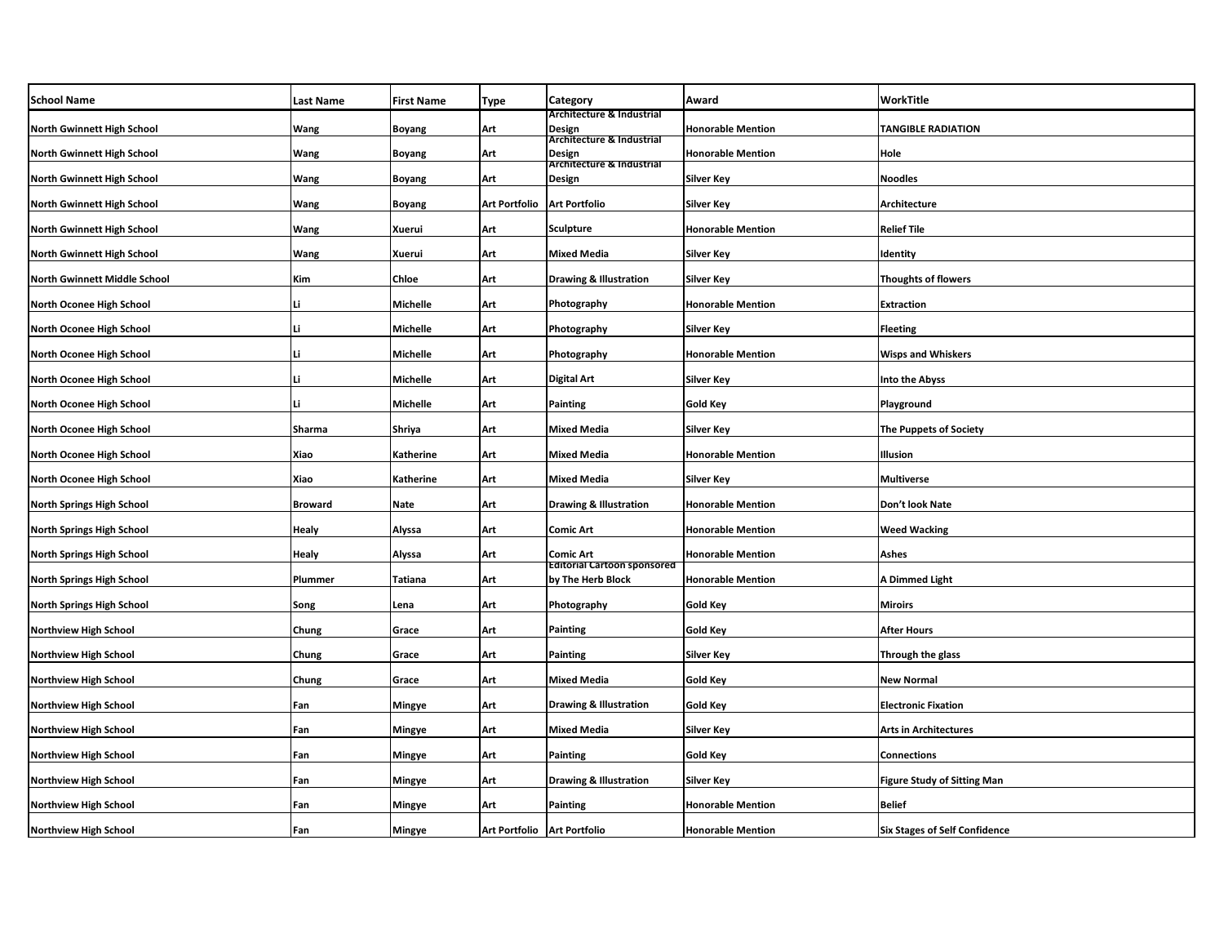| <b>School Name</b>                  | <b>Last Name</b> | <b>First Name</b> | <b>Type</b>                   | Category                                                | Award                    | WorkTitle                            |
|-------------------------------------|------------------|-------------------|-------------------------------|---------------------------------------------------------|--------------------------|--------------------------------------|
| North Gwinnett High School          | Wang             | <b>Boyang</b>     | Art                           | Architecture & Industrial<br>Design                     | <b>Honorable Mention</b> | <b>TANGIBLE RADIATION</b>            |
| <b>North Gwinnett High School</b>   | Wang             | Boyang            | Art                           | Architecture & Industrial<br>Design                     | <b>Honorable Mention</b> | Hole                                 |
| North Gwinnett High School          | Wang             | Boyang            | Art                           | Architecture & Industrial<br>Design                     | Silver Key               | <b>Noodles</b>                       |
| <b>North Gwinnett High School</b>   | Wang             | Boyang            | Art Portfolio                 | <b>Art Portfolio</b>                                    | Silver Key               | Architecture                         |
| <b>North Gwinnett High School</b>   | Wang             | Xuerui            | Art                           | Sculpture                                               | <b>Honorable Mention</b> | Relief Tile                          |
| <b>North Gwinnett High School</b>   | Wang             | Xuerui            | Art                           | <b>Mixed Media</b>                                      | Silver Key               | Identity                             |
| <b>North Gwinnett Middle School</b> | Kim              | Chloe             | Art                           | <b>Drawing &amp; Illustration</b>                       | <b>Silver Key</b>        | <b>Thoughts of flowers</b>           |
| North Oconee High School            | Li               | Michelle          | Art                           | Photography                                             | <b>Honorable Mention</b> | Extraction                           |
| North Oconee High School            | Li               | Michelle          | Art                           | Photography                                             | <b>Silver Key</b>        | <b>Fleeting</b>                      |
| North Oconee High School            | Li               | <b>Michelle</b>   | Art                           | Photography                                             | <b>Honorable Mention</b> | <b>Wisps and Whiskers</b>            |
| North Oconee High School            | Li               | Michelle          | Art                           | <b>Digital Art</b>                                      | <b>Silver Key</b>        | <b>Into the Abyss</b>                |
| North Oconee High School            | Li               | <b>Michelle</b>   | Art                           | Painting                                                | <b>Gold Key</b>          | Playground                           |
| North Oconee High School            | Sharma           | Shriya            | Art                           | <b>Mixed Media</b>                                      | <b>Silver Key</b>        | <b>The Puppets of Society</b>        |
| North Oconee High School            | Xiao             | Katherine         | Art                           | <b>Mixed Media</b>                                      | <b>Honorable Mention</b> | Illusion                             |
| North Oconee High School            | Xiao             | Katherine         | Art                           | <b>Mixed Media</b>                                      | Silver Key               | <b>Multiverse</b>                    |
| <b>North Springs High School</b>    | <b>Broward</b>   | Nate              | Art                           | <b>Drawing &amp; Illustration</b>                       | <b>Honorable Mention</b> | Don't look Nate                      |
| <b>North Springs High School</b>    | <b>Healy</b>     | Alyssa            | Art                           | Comic Art                                               | <b>Honorable Mention</b> | <b>Weed Wacking</b>                  |
| <b>North Springs High School</b>    | Healy            | Alyssa            | Art                           | Comic Art                                               | <b>Honorable Mention</b> | Ashes                                |
| <b>North Springs High School</b>    | Plummer          | Tatiana           | Art                           | <b>Editorial Cartoon sponsored</b><br>by The Herb Block | <b>Honorable Mention</b> | A Dimmed Light                       |
| <b>North Springs High School</b>    | Song             | Lena              | Art                           | Photography                                             | Gold Key                 | <b>Miroirs</b>                       |
| <b>Northview High School</b>        | Chung            | Grace             | Art                           | Painting                                                | <b>Gold Key</b>          | <b>After Hours</b>                   |
| <b>Northview High School</b>        | Chung            | Grace             | Art                           | Painting                                                | <b>Silver Key</b>        | Through the glass                    |
| <b>Northview High School</b>        | Chung            | Grace             | Art                           | Mixed Media                                             | Gold Key                 | <b>New Normal</b>                    |
| <b>Northview High School</b>        | Fan              | Mingye            | Art                           | <b>Drawing &amp; Illustration</b>                       | Gold Key                 | <b>Electronic Fixation</b>           |
| <b>Northview High School</b>        | Fan              | Mingye            | Art                           | Mixed Media                                             | Silver Key               | Arts in Architectures                |
| <b>Northview High School</b>        | Fan              | Mingye            | Art                           | Painting                                                | Gold Key                 | Connections                          |
| <b>Northview High School</b>        | Fan              | Mingye            | Art                           | <b>Drawing &amp; Illustration</b>                       | Silver Key               | <b>Figure Study of Sitting Man</b>   |
| <b>Northview High School</b>        | Fan              | Mingye            | Art                           | Painting                                                | <b>Honorable Mention</b> | <b>Belief</b>                        |
| <b>Northview High School</b>        | Fan              | Mingye            | Art Portfolio   Art Portfolio |                                                         | <b>Honorable Mention</b> | <b>Six Stages of Self Confidence</b> |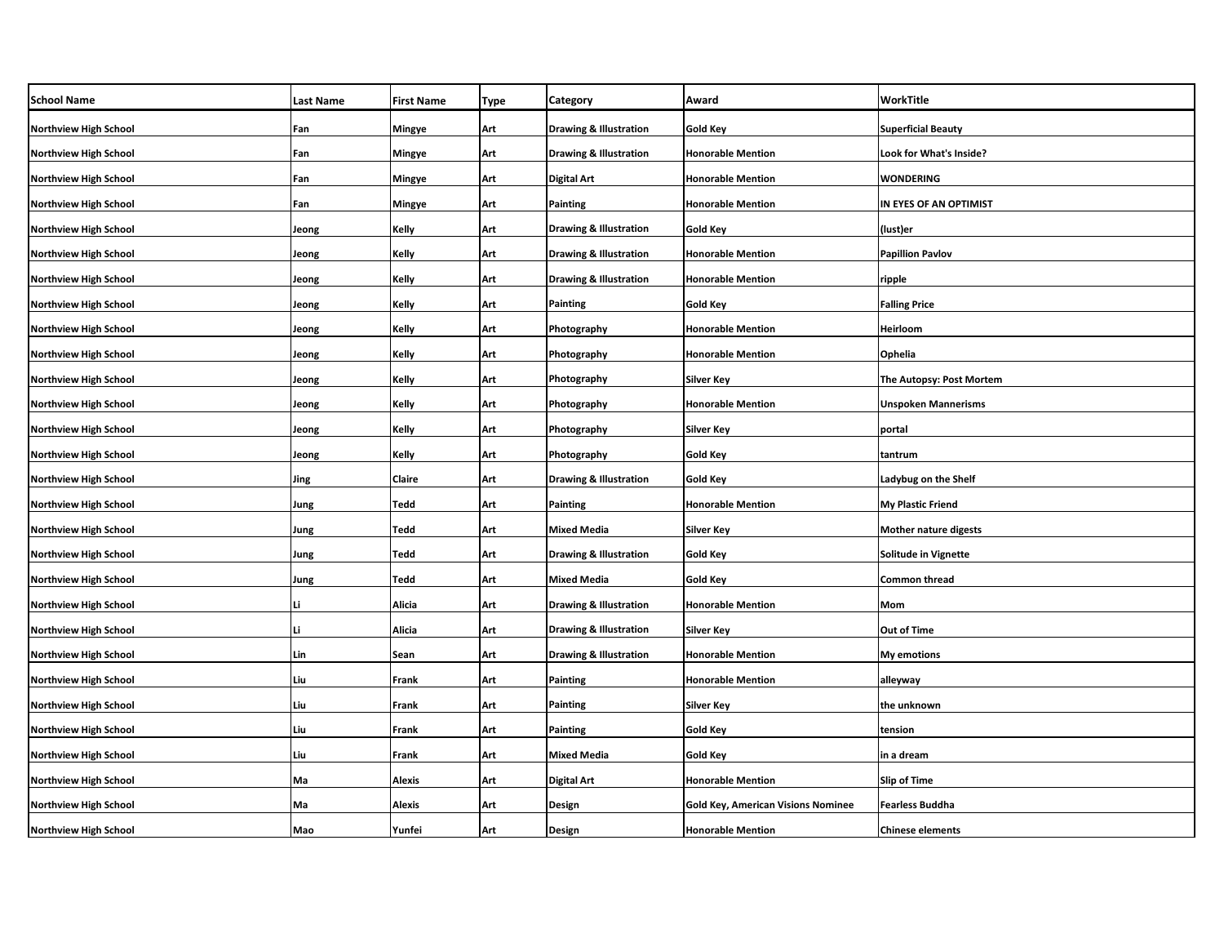| <b>School Name</b>           | <b>Last Name</b> | <b>First Name</b> | <b>Type</b> | Category                          | Award                                     | WorkTitle                    |
|------------------------------|------------------|-------------------|-------------|-----------------------------------|-------------------------------------------|------------------------------|
| <b>Northview High School</b> | Fan              | Mingye            | Art         | <b>Drawing &amp; Illustration</b> | <b>Gold Key</b>                           | <b>Superficial Beauty</b>    |
| <b>Northview High School</b> | Fan              | Mingye            | Art         | <b>Drawing &amp; Illustration</b> | <b>Honorable Mention</b>                  | Look for What's Inside?      |
| <b>Northview High School</b> | Fan              | Mingye            | Art         | Digital Art                       | <b>Honorable Mention</b>                  | WONDERING                    |
| <b>Northview High School</b> | Fan              | Mingye            | Art         | Painting                          | <b>Honorable Mention</b>                  | IN EYES OF AN OPTIMIST       |
| <b>Northview High School</b> | Jeong            | Kelly             | Art         | <b>Drawing &amp; Illustration</b> | Gold Key                                  | (lust)er                     |
| <b>Northview High School</b> | Jeong            | Kelly             | Art         | <b>Drawing &amp; Illustration</b> | <b>Honorable Mention</b>                  | <b>Papillion Pavlov</b>      |
| <b>Northview High School</b> | Jeong            | Kelly             | Art         | <b>Drawing &amp; Illustration</b> | <b>Honorable Mention</b>                  | ripple                       |
| <b>Northview High School</b> | Jeong            | Kelly             | Art         | Painting                          | Gold Key                                  | <b>Falling Price</b>         |
| <b>Northview High School</b> | Jeong            | Kelly             | Art         | Photography                       | <b>Honorable Mention</b>                  | Heirloom                     |
| <b>Northview High School</b> | Jeong            | Kelly             | Art         | Photography                       | <b>Honorable Mention</b>                  | Ophelia                      |
| <b>Northview High School</b> | Jeong            | Kelly             | Art         | Photography                       | Silver Key                                | The Autopsy: Post Mortem     |
| <b>Northview High School</b> | Jeong            | Kelly             | Art         | Photography                       | <b>Honorable Mention</b>                  | <b>Unspoken Mannerisms</b>   |
| <b>Northview High School</b> | Jeong            | Kelly             | Art         | Photography                       | Silver Key                                | portal                       |
| <b>Northview High School</b> | Jeong            | Kelly             | Art         | Photography                       | <b>Gold Key</b>                           | tantrum                      |
| <b>Northview High School</b> | Jing             | Claire            | Art         | <b>Drawing &amp; Illustration</b> | <b>Gold Key</b>                           | Ladybug on the Shelf         |
| <b>Northview High School</b> | Jung             | Tedd              | Art         | Painting                          | <b>Honorable Mention</b>                  | My Plastic Friend            |
| <b>Northview High School</b> | Jung             | Tedd              | Art         | <b>Mixed Media</b>                | Silver Key                                | <b>Mother nature digests</b> |
| <b>Northview High School</b> | Jung             | Tedd              | Art         | <b>Drawing &amp; Illustration</b> | <b>Gold Key</b>                           | Solitude in Vignette         |
| <b>Northview High School</b> | Jung             | Tedd              | Art         | Mixed Media                       | Gold Key                                  | Common thread                |
| Northview High School        | Li               | Alicia            | Art         | <b>Drawing &amp; Illustration</b> | <b>Honorable Mention</b>                  | Mom                          |
| <b>Northview High School</b> | Li               | Alicia            | Art         | <b>Drawing &amp; Illustration</b> | Silver Key                                | Out of Time                  |
| <b>Northview High School</b> | Lin              | Sean              | Art         | <b>Drawing &amp; Illustration</b> | <b>Honorable Mention</b>                  | My emotions                  |
| <b>Northview High School</b> | Liu              | Frank             | Art         | Painting                          | <b>Honorable Mention</b>                  | alleyway                     |
| <b>Northview High School</b> | Liu              | Frank             | Art         | Painting                          | Silver Key                                | the unknown                  |
| <b>Northview High School</b> | Liu              | Frank             | Art         | Painting                          | <b>Gold Key</b>                           | tension                      |
| <b>Northview High School</b> | Liu              | Frank             | Art         | <b>Mixed Media</b>                | Gold Key                                  | in a dream                   |
| <b>Northview High School</b> | Ma               | Alexis            | Art         | Digital Art                       | <b>Honorable Mention</b>                  | Slip of Time                 |
| <b>Northview High School</b> | Ma               | Alexis            | Art         | Design                            | <b>Gold Key, American Visions Nominee</b> | Fearless Buddha              |
| <b>Northview High School</b> | Mao              | Yunfei            | Art         | Design                            | <b>Honorable Mention</b>                  | <b>Chinese elements</b>      |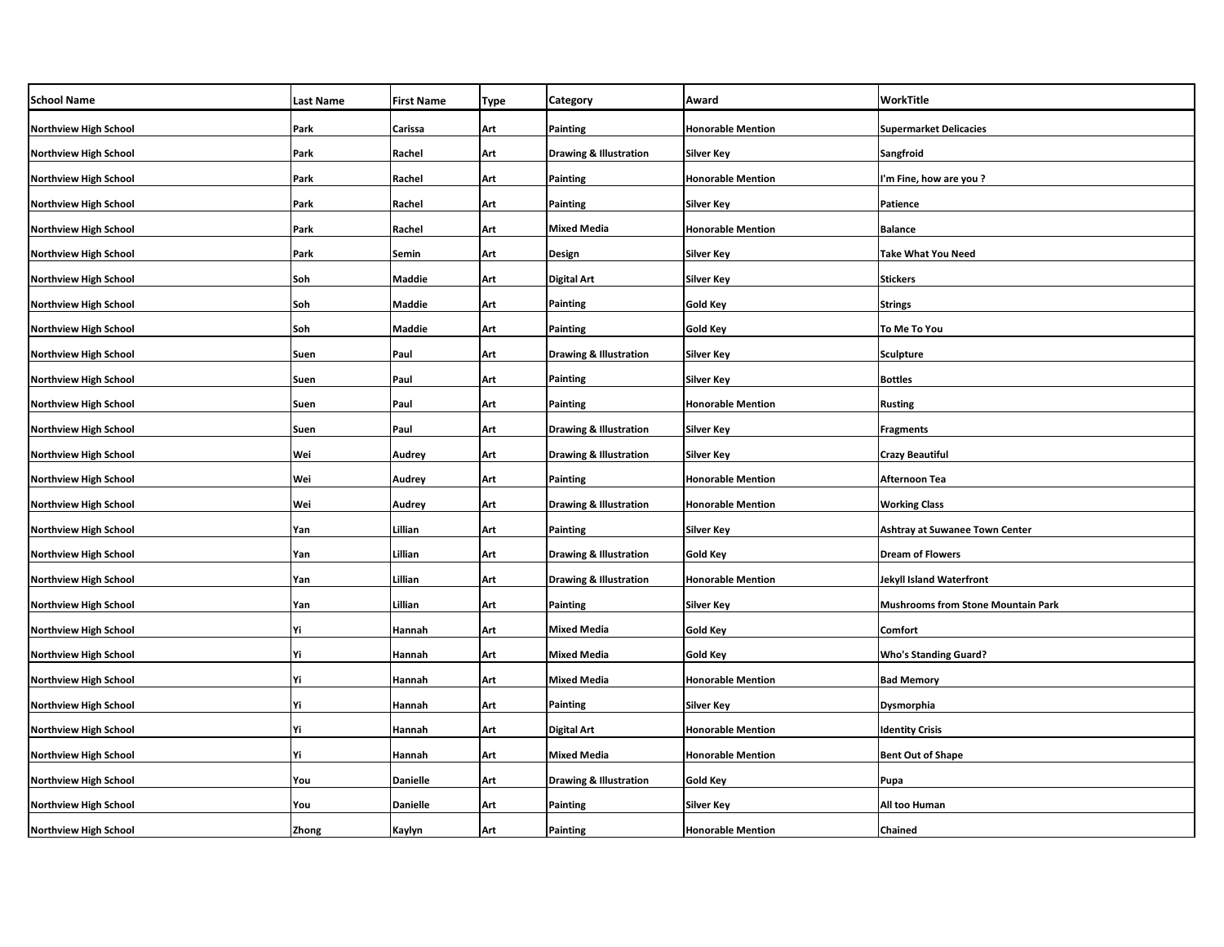| <b>School Name</b>           | <b>Last Name</b> | <b>First Name</b> | Type | Category                          | Award                    | WorkTitle                                 |
|------------------------------|------------------|-------------------|------|-----------------------------------|--------------------------|-------------------------------------------|
| <b>Northview High School</b> | Park             | Carissa           | Art  | Painting                          | <b>Honorable Mention</b> | <b>Supermarket Delicacies</b>             |
| <b>Northview High School</b> | Park             | Rachel            | Art  | <b>Drawing &amp; Illustration</b> | <b>Silver Key</b>        | Sangfroid                                 |
| <b>Northview High School</b> | Park             | Rachel            | Art  | Painting                          | <b>Honorable Mention</b> | I'm Fine, how are you?                    |
| <b>Northview High School</b> | Park             | Rachel            | Art  | Painting                          | Silver Key               | Patience                                  |
| <b>Northview High School</b> | Park             | Rachel            | Art  | <b>Mixed Media</b>                | <b>Honorable Mention</b> | <b>Balance</b>                            |
| <b>Northview High School</b> | Park             | Semin             | Art  | Design                            | <b>Silver Key</b>        | <b>Take What You Need</b>                 |
| <b>Northview High School</b> | Soh              | Maddie            | Art  | Digital Art                       | Silver Key               | <b>Stickers</b>                           |
| <b>Northview High School</b> | Soh              | Maddie            | Art  | Painting                          | Gold Key                 | <b>Strings</b>                            |
| <b>Northview High School</b> | Soh              | Maddie            | Art  | Painting                          | Gold Key                 | To Me To You                              |
| <b>Northview High School</b> | Suen             | Paul              | Art  | <b>Drawing &amp; Illustration</b> | <b>Silver Key</b>        | <b>Sculpture</b>                          |
| <b>Northview High School</b> | Suen             | Paul              | Art  | Painting                          | Silver Key               | <b>Bottles</b>                            |
| <b>Northview High School</b> | Suen             | Paul              | Art  | Painting                          | <b>Honorable Mention</b> | <b>Rusting</b>                            |
| <b>Northview High School</b> | Suen             | Paul              | Art  | <b>Drawing &amp; Illustration</b> | Silver Key               | <b>Fragments</b>                          |
| <b>Northview High School</b> | Wei              | Audrey            | Art  | <b>Drawing &amp; Illustration</b> | <b>Silver Key</b>        | <b>Crazy Beautiful</b>                    |
| <b>Northview High School</b> | Wei              | Audrey            | Art  | Painting                          | <b>Honorable Mention</b> | Afternoon Tea                             |
| <b>Northview High School</b> | Wei              | Audrey            | Art  | <b>Drawing &amp; Illustration</b> | <b>Honorable Mention</b> | <b>Working Class</b>                      |
| <b>Northview High School</b> | Yan              | Lillian           | Art  | <b>Painting</b>                   | <b>Silver Key</b>        | <b>Ashtray at Suwanee Town Center</b>     |
| Northview High School        | Yan              | Lillian           | Art  | <b>Drawing &amp; Illustration</b> | <b>Gold Key</b>          | <b>Dream of Flowers</b>                   |
| <b>Northview High School</b> | Yan              | Lillian           | Art  | <b>Drawing &amp; Illustration</b> | <b>Honorable Mention</b> | <b>Jekyll Island Waterfront</b>           |
| Northview High School        | Yan              | Lillian           | Art  | Painting                          | <b>Silver Key</b>        | <b>Mushrooms from Stone Mountain Park</b> |
| <b>Northview High School</b> | Yi               | Hannah            | Art  | <b>Mixed Media</b>                | Gold Key                 | Comfort                                   |
| <b>Northview High School</b> | Yi               | Hannah            | Art  | <b>Mixed Media</b>                | <b>Gold Key</b>          | <b>Who's Standing Guard?</b>              |
| Northview High School        | Yi               | Hannah            | Art  | <b>Mixed Media</b>                | <b>Honorable Mention</b> | <b>Bad Memory</b>                         |
| <b>Northview High School</b> | Yi               | Hannah            | Art  | Painting                          | <b>Silver Key</b>        | Dysmorphia                                |
| Northview High School        | Yi               | Hannah            | Art  | Digital Art                       | <b>Honorable Mention</b> | <b>Identity Crisis</b>                    |
| <b>Northview High School</b> | Yi               | Hannah            | Art  | <b>Mixed Media</b>                | <b>Honorable Mention</b> | <b>Bent Out of Shape</b>                  |
| <b>Northview High School</b> | You              | <b>Danielle</b>   | Art  | <b>Drawing &amp; Illustration</b> | Gold Key                 | Pupa                                      |
| <b>Northview High School</b> | You              | <b>Danielle</b>   | Art  | Painting                          | Silver Key               | All too Human                             |
| <b>Northview High School</b> | Zhong            | Kaylyn            | Art  | Painting                          | <b>Honorable Mention</b> | Chained                                   |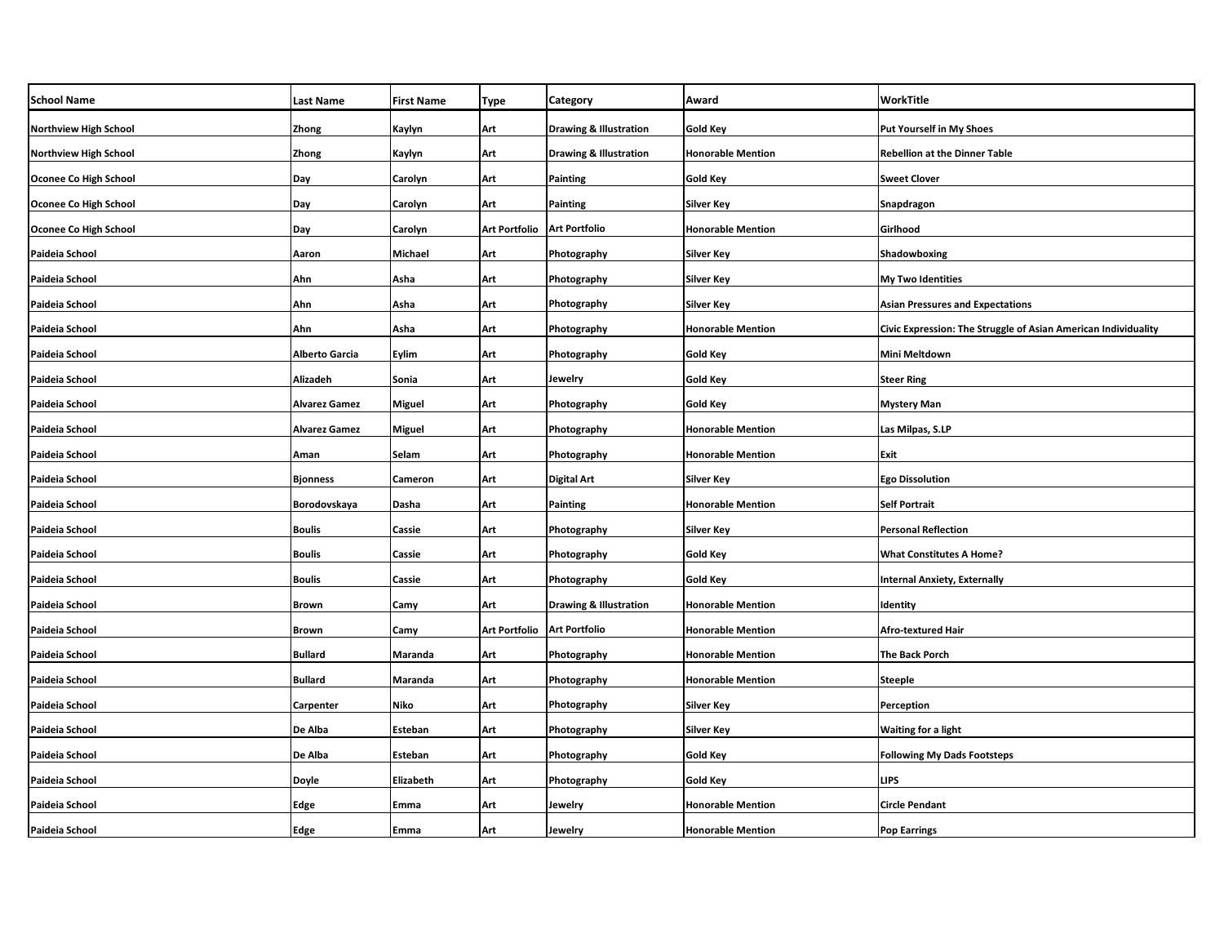| <b>School Name</b>           | <b>Last Name</b>      | <b>First Name</b> | Type                 | Category                          | Award                    | WorkTitle                                                      |
|------------------------------|-----------------------|-------------------|----------------------|-----------------------------------|--------------------------|----------------------------------------------------------------|
| <b>Northview High School</b> | Zhong                 | Kaylyn            | Art                  | <b>Drawing &amp; Illustration</b> | <b>Gold Key</b>          | Put Yourself in My Shoes                                       |
| <b>Northview High School</b> | Zhong                 | Kaylyn            | Art                  | <b>Drawing &amp; Illustration</b> | <b>Honorable Mention</b> | <b>Rebellion at the Dinner Table</b>                           |
| Oconee Co High School        | Day                   | Carolyn           | Art                  | Painting                          | <b>Gold Key</b>          | <b>Sweet Clover</b>                                            |
| Oconee Co High School        | Day                   | Carolyn           | Art                  | Painting                          | <b>Silver Key</b>        | Snapdragon                                                     |
| Oconee Co High School        | Day                   | Carolyn           | <b>Art Portfolio</b> | <b>Art Portfolio</b>              | <b>Honorable Mention</b> | Girlhood                                                       |
| Paideia School               | Aaron                 | Michael           | Art                  | Photography                       | <b>Silver Key</b>        | Shadowboxing                                                   |
| Paideia School               | Ahn                   | Asha              | Art                  | Photography                       | <b>Silver Key</b>        | <b>My Two Identities</b>                                       |
| Paideia School               | Ahn                   | Asha              | Art                  | Photography                       | <b>Silver Key</b>        | <b>Asian Pressures and Expectations</b>                        |
| Paideia School               | Ahn                   | Asha              | Art                  | Photography                       | <b>Honorable Mention</b> | Civic Expression: The Struggle of Asian American Individuality |
| Paideia School               | <b>Alberto Garcia</b> | Eylim             | Art                  | Photography                       | Gold Key                 | <b>Mini Meltdown</b>                                           |
| Paideia School               | Alizadeh              | Sonia             | Art                  | Jewelry                           | <b>Gold Key</b>          | <b>Steer Ring</b>                                              |
| Paideia School               | <b>Alvarez Gamez</b>  | Miguel            | Art                  | Photography                       | Gold Key                 | <b>Mystery Man</b>                                             |
| Paideia School               | <b>Alvarez Gamez</b>  | <b>Miguel</b>     | Art                  | Photography                       | <b>Honorable Mention</b> | Las Milpas, S.LP                                               |
| Paideia School               | Aman                  | Selam             | Art                  | Photography                       | <b>Honorable Mention</b> | Exit                                                           |
| Paideia School               | <b>Bjonness</b>       | Cameron           | Art                  | <b>Digital Art</b>                | Silver Key               | <b>Ego Dissolution</b>                                         |
| Paideia School               | Borodovskaya          | Dasha             | Art                  | <b>Painting</b>                   | <b>Honorable Mention</b> | <b>Self Portrait</b>                                           |
| Paideia School               | <b>Boulis</b>         | Cassie            | Art                  | Photography                       | <b>Silver Key</b>        | <b>Personal Reflection</b>                                     |
| Paideia School               | <b>Boulis</b>         | Cassie            | Art                  | Photography                       | Gold Key                 | <b>What Constitutes A Home?</b>                                |
| Paideia School               | <b>Boulis</b>         | Cassie            | Art                  | Photography                       | <b>Gold Key</b>          | <b>Internal Anxiety, Externally</b>                            |
| Paideia School               | <b>Brown</b>          | Camy              | Art                  | <b>Drawing &amp; Illustration</b> | <b>Honorable Mention</b> | Identity                                                       |
| Paideia School               | <b>Brown</b>          | Camy              | <b>Art Portfolio</b> | <b>Art Portfolio</b>              | <b>Honorable Mention</b> | <b>Afro-textured Hair</b>                                      |
| Paideia School               | <b>Bullard</b>        | Maranda           | Art                  | Photography                       | <b>Honorable Mention</b> | <b>The Back Porch</b>                                          |
| Paideia School               | <b>Bullard</b>        | Maranda           | Art                  | Photography                       | <b>Honorable Mention</b> | <b>Steeple</b>                                                 |
| Paideia School               | Carpenter             | Niko              | Art                  | Photography                       | <b>Silver Key</b>        | Perception                                                     |
| Paideia School               | De Alba               | Esteban           | Art                  | Photography                       | Silver Key               | <b>Waiting for a light</b>                                     |
| Paideia School               | De Alba               | Esteban           | Art                  | Photography                       | <b>Gold Key</b>          | <b>Following My Dads Footsteps</b>                             |
| Paideia School               | Doyle                 | Elizabeth         | Art                  | Photography                       | Gold Key                 | <b>LIPS</b>                                                    |
| Paideia School               | Edge                  | Emma              | Art                  | Jewelry                           | <b>Honorable Mention</b> | <b>Circle Pendant</b>                                          |
| Paideia School               | Edge                  | Emma              | Art                  | Jewelry                           | <b>Honorable Mention</b> | <b>Pop Earrings</b>                                            |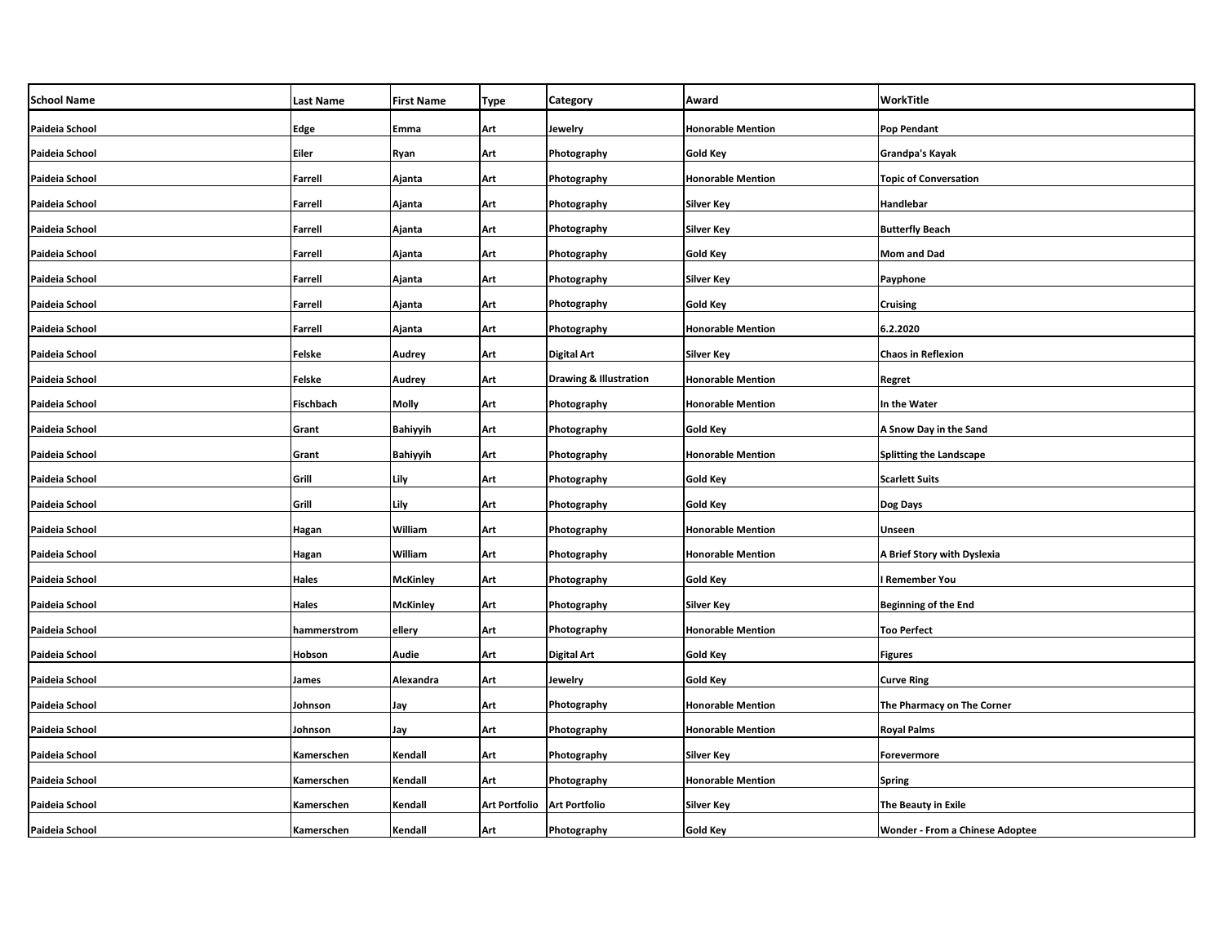| <b>School Name</b> | <b>Last Name</b> | <b>First Name</b> | Type                 | <b>Category</b>                   | Award                    | <b>WorkTitle</b>                       |
|--------------------|------------------|-------------------|----------------------|-----------------------------------|--------------------------|----------------------------------------|
| Paideia School     | Edge             | Emma              | Art                  | Jewelry                           | <b>Honorable Mention</b> | <b>Pop Pendant</b>                     |
| Paideia School     | Eiler            | Ryan              | Art                  | Photography                       | <b>Gold Key</b>          | <b>Grandpa's Kayak</b>                 |
| Paideia School     | <b>Farrell</b>   | Ajanta            | Art                  | Photography                       | <b>Honorable Mention</b> | <b>Topic of Conversation</b>           |
| Paideia School     | <b>Farrell</b>   | Ajanta            | Art                  | Photography                       | Silver Key               | Handlebar                              |
| Paideia School     | <b>Farrell</b>   | Ajanta            | Art                  | Photography                       | Silver Key               | <b>Butterfly Beach</b>                 |
| Paideia School     | <b>Farrell</b>   | Ajanta            | Art                  | Photography                       | Gold Key                 | Mom and Dad                            |
| Paideia School     | <b>Farrell</b>   | Ajanta            | Art                  | Photography                       | Silver Key               | Payphone                               |
| Paideia School     | <b>Farrell</b>   | Ajanta            | Art                  | Photography                       | Gold Key                 | <b>Cruising</b>                        |
| Paideia School     | <b>Farrell</b>   | Ajanta            | Art                  | Photography                       | <b>Honorable Mention</b> | 6.2.2020                               |
| Paideia School     | <b>Felske</b>    | Audrey            | Art                  | <b>Digital Art</b>                | Silver Key               | <b>Chaos in Reflexion</b>              |
| Paideia School     | <b>Felske</b>    | Audrey            | Art                  | <b>Drawing &amp; Illustration</b> | <b>Honorable Mention</b> | Regret                                 |
| Paideia School     | Fischbach        | Molly             | Art                  | Photography                       | <b>Honorable Mention</b> | In the Water                           |
| Paideia School     | Grant            | <b>Bahiyyih</b>   | Art                  | Photography                       | <b>Gold Key</b>          | A Snow Day in the Sand                 |
| Paideia School     | Grant            | <b>Bahiyyih</b>   | Art                  | Photography                       | <b>Honorable Mention</b> | Splitting the Landscape                |
| Paideia School     | Grill            | Lily              | Art                  | Photography                       | <b>Gold Key</b>          | <b>Scarlett Suits</b>                  |
| Paideia School     | Grill            | Lily              | Art                  | Photography                       | <b>Gold Key</b>          | Dog Days                               |
| Paideia School     | Hagan            | William           | Art                  | Photography                       | <b>Honorable Mention</b> | Unseen                                 |
| Paideia School     | Hagan            | William           | Art                  | Photography                       | <b>Honorable Mention</b> | A Brief Story with Dyslexia            |
| Paideia School     | Hales            | <b>McKinley</b>   | Art                  | Photography                       | Gold Key                 | <b>Remember You</b>                    |
| Paideia School     | <b>Hales</b>     | <b>McKinley</b>   | Art                  | Photography                       | Silver Key               | Beginning of the End                   |
| Paideia School     | hammerstrom      | ellery            | Art                  | Photography                       | <b>Honorable Mention</b> | <b>Too Perfect</b>                     |
| Paideia School     | Hobson           | <b>Audie</b>      | Art                  | <b>Digital Art</b>                | <b>Gold Key</b>          | <b>Figures</b>                         |
| Paideia School     | James            | Alexandra         | Art                  | Jewelry                           | Gold Key                 | <b>Curve Ring</b>                      |
| Paideia School     | Johnson          | Jay               | Art                  | Photography                       | <b>Honorable Mention</b> | The Pharmacy on The Corner             |
| Paideia School     | Johnson          | Jay               | Art                  | Photography                       | <b>Honorable Mention</b> | <b>Royal Palms</b>                     |
| Paideia School     | Kamerschen       | Kendall           | Art                  | Photography                       | Silver Key               | Forevermore                            |
| Paideia School     | Kamerschen       | Kendall           | Art                  | Photography                       | <b>Honorable Mention</b> | <b>Spring</b>                          |
| Paideia School     | Kamerschen       | Kendall           | <b>Art Portfolio</b> | <b>Art Portfolio</b>              | Silver Key               | The Beauty in Exile                    |
| Paideia School     | Kamerschen       | Kendall           | Art                  | Photography                       | Gold Key                 | <b>Wonder - From a Chinese Adoptee</b> |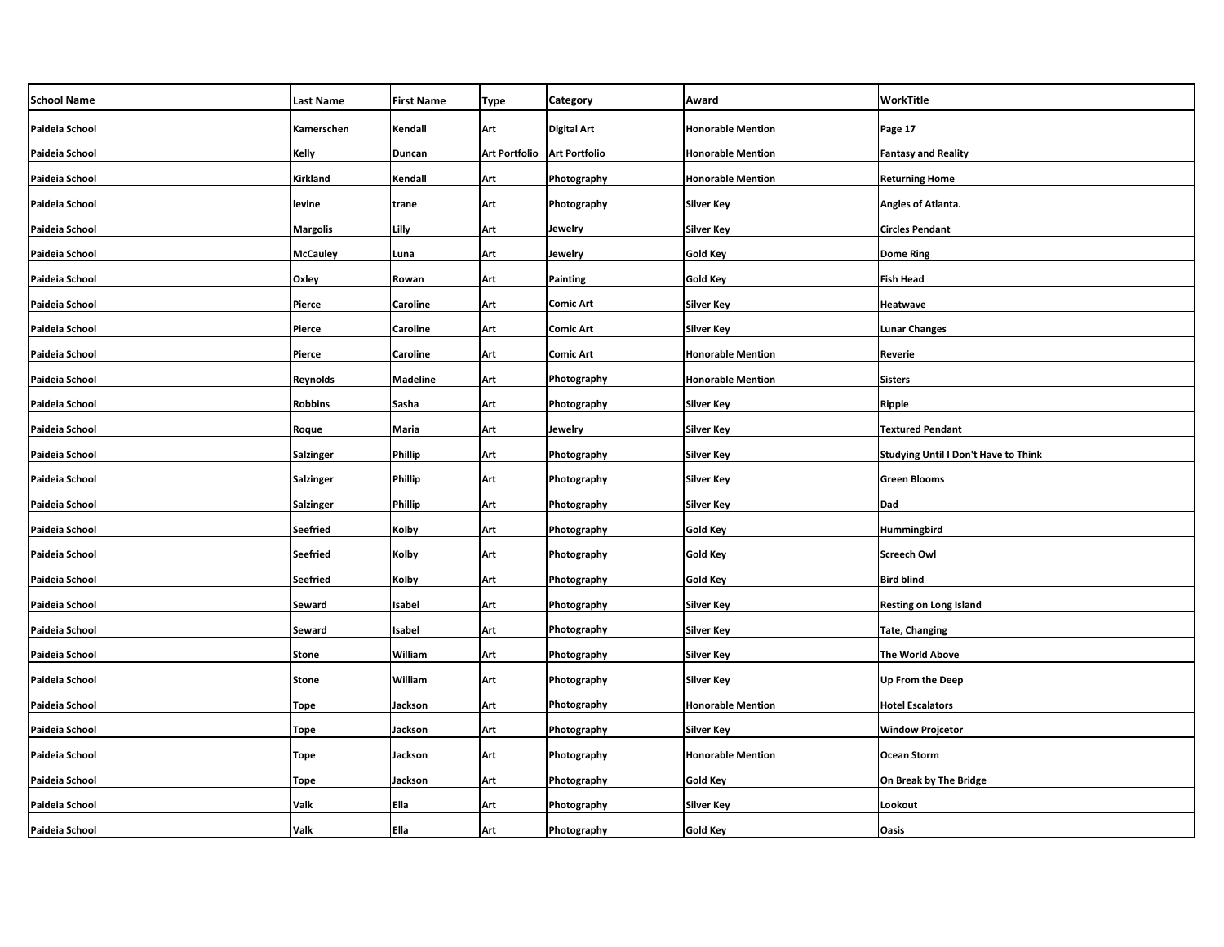| <b>School Name</b> | <b>Last Name</b> | <b>First Name</b> | <b>Type</b>                   | <b>Category</b>    | Award                    | WorkTitle                            |
|--------------------|------------------|-------------------|-------------------------------|--------------------|--------------------------|--------------------------------------|
| Paideia School     | Kamerschen       | Kendall           | Art                           | <b>Digital Art</b> | <b>Honorable Mention</b> | Page 17                              |
| Paideia School     | Kelly            | Duncan            | Art Portfolio   Art Portfolio |                    | <b>Honorable Mention</b> | <b>Fantasy and Reality</b>           |
| Paideia School     | Kirkland         | Kendall           | Art                           | Photography        | <b>Honorable Mention</b> | <b>Returning Home</b>                |
| Paideia School     | levine           | trane             | Art                           | Photography        | Silver Key               | Angles of Atlanta.                   |
| Paideia School     | <b>Margolis</b>  | Lilly             | Art                           | Jewelry            | Silver Key               | <b>Circles Pendant</b>               |
| Paideia School     | <b>McCauley</b>  | Luna              | Art                           | Jewelry            | Gold Key                 | <b>Dome Ring</b>                     |
| Paideia School     | Oxley            | Rowan             | Art                           | <b>Painting</b>    | Gold Key                 | <b>Fish Head</b>                     |
| Paideia School     | Pierce           | Caroline          | Art                           | <b>Comic Art</b>   | Silver Key               | Heatwave                             |
| Paideia School     | Pierce           | Caroline          | Art                           | <b>Comic Art</b>   | Silver Key               | <b>Lunar Changes</b>                 |
| Paideia School     | Pierce           | Caroline          | Art                           | <b>Comic Art</b>   | <b>Honorable Mention</b> | <b>Reverie</b>                       |
| Paideia School     | Reynolds         | <b>Madeline</b>   | Art                           | Photography        | <b>Honorable Mention</b> | <b>Sisters</b>                       |
| Paideia School     | <b>Robbins</b>   | Sasha             | Art                           | Photography        | <b>Silver Key</b>        | Ripple                               |
| Paideia School     | Roque            | Maria             | Art                           | Jewelry            | Silver Key               | <b>Textured Pendant</b>              |
| Paideia School     | <b>Salzinger</b> | <b>Phillip</b>    | Art                           | Photography        | <b>Silver Key</b>        | Studying Until I Don't Have to Think |
| Paideia School     | <b>Salzinger</b> | <b>Phillip</b>    | Art                           | Photography        | Silver Key               | <b>Green Blooms</b>                  |
| Paideia School     | <b>Salzinger</b> | Phillip           | Art                           | Photography        | Silver Key               | Dad                                  |
| Paideia School     | <b>Seefried</b>  | Kolby             | Art                           | Photography        | <b>Gold Key</b>          | Hummingbird                          |
| Paideia School     | <b>Seefried</b>  | Kolby             | Art                           | Photography        | <b>Gold Key</b>          | <b>Screech Owl</b>                   |
| Paideia School     | <b>Seefried</b>  | Kolby             | Art                           | Photography        | <b>Gold Key</b>          | <b>Bird blind</b>                    |
| Paideia School     | Seward           | Isabel            | Art                           | Photography        | Silver Key               | <b>Resting on Long Island</b>        |
| Paideia School     | Seward           | Isabel            | Art                           | Photography        | <b>Silver Key</b>        | <b>Tate, Changing</b>                |
| Paideia School     | <b>Stone</b>     | William           | Art                           | Photography        | Silver Key               | The World Above                      |
| Paideia School     | <b>Stone</b>     | William           | Art                           | Photography        | Silver Key               | Up From the Deep                     |
| Paideia School     | <b>Tope</b>      | Jackson           | Art                           | Photography        | <b>Honorable Mention</b> | <b>Hotel Escalators</b>              |
| Paideia School     | <b>Tope</b>      | Jackson           | Art                           | Photography        | Silver Key               | <b>Window Projcetor</b>              |
| Paideia School     | Tope             | Jackson           | Art                           | Photography        | <b>Honorable Mention</b> | <b>Ocean Storm</b>                   |
| Paideia School     | <b>Tope</b>      | Jackson           | Art                           | Photography        | Gold Key                 | On Break by The Bridge               |
| Paideia School     | Valk             | Ella              | Art                           | Photography        | Silver Key               | Lookout                              |
| Paideia School     | Valk             | Ella              | Art                           | Photography        | Gold Key                 | Oasis                                |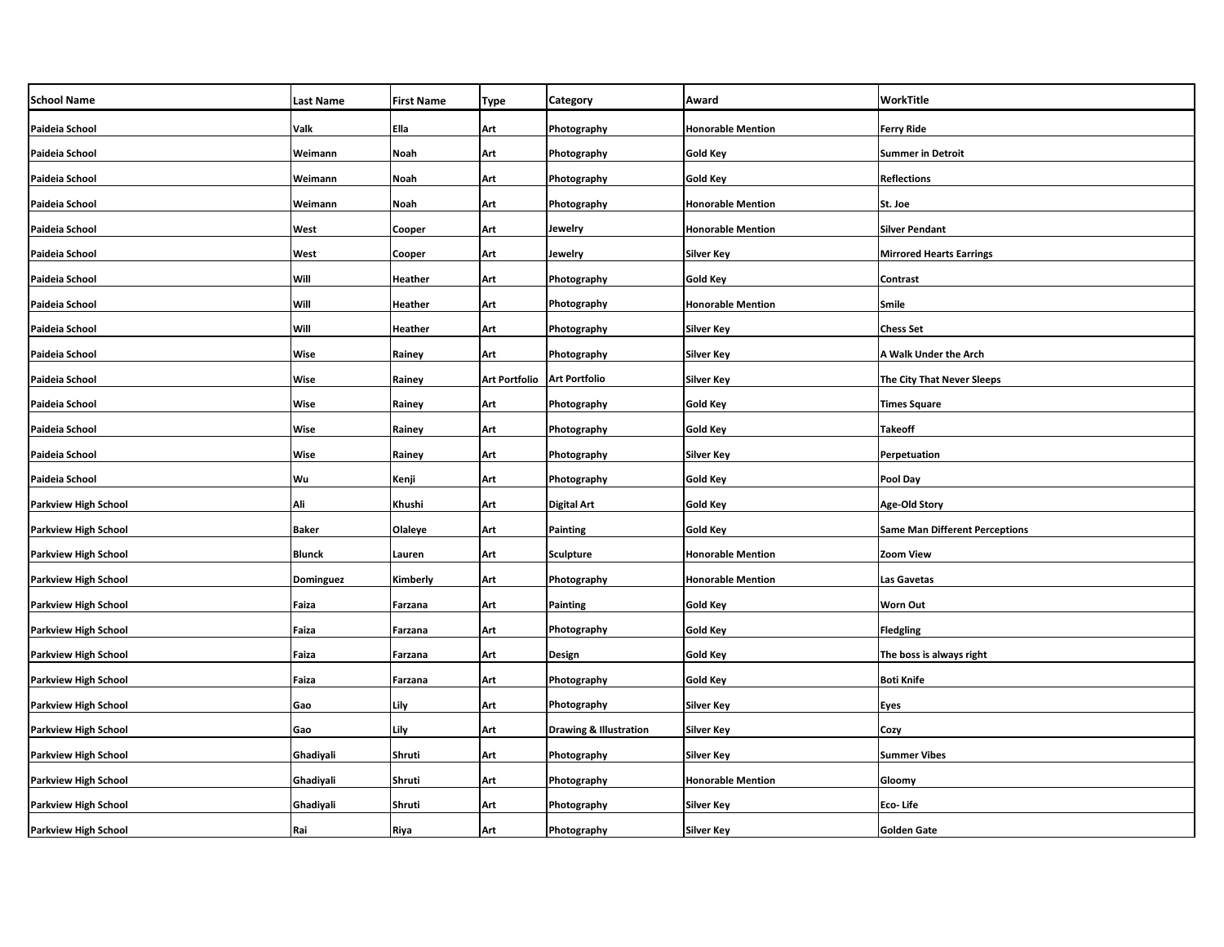| <b>School Name</b>          | <b>Last Name</b> | <b>First Name</b> | Type                 | <b>Category</b>                   | Award                    | WorkTitle                             |
|-----------------------------|------------------|-------------------|----------------------|-----------------------------------|--------------------------|---------------------------------------|
| Paideia School              | Valk             | Ella              | Art                  | Photography                       | <b>Honorable Mention</b> | <b>Ferry Ride</b>                     |
| Paideia School              | Weimann          | Noah              | Art                  | Photography                       | <b>Gold Key</b>          | <b>Summer in Detroit</b>              |
| Paideia School              | Weimann          | Noah              | Art                  | Photography                       | <b>Gold Key</b>          | <b>Reflections</b>                    |
| Paideia School              | Weimann          | Noah              | Art                  | Photography                       | <b>Honorable Mention</b> | St. Joe                               |
| Paideia School              | West             | Cooper            | Art                  | Jewelry                           | <b>Honorable Mention</b> | <b>Silver Pendant</b>                 |
| Paideia School              | West             | Cooper            | Art                  | Jewelry                           | Silver Key               | <b>Mirrored Hearts Earrings</b>       |
| Paideia School              | Will             | Heather           | Art                  | Photography                       | Gold Key                 | Contrast                              |
| Paideia School              | Will             | <b>Heather</b>    | Art                  | Photography                       | <b>Honorable Mention</b> | Smile                                 |
| Paideia School              | Will             | <b>Heather</b>    | Art                  | Photography                       | Silver Key               | Chess Set                             |
| Paideia School              | Wise             | Rainey            | Art                  | Photography                       | <b>Silver Key</b>        | A Walk Under the Arch                 |
| Paideia School              | Wise             | Rainey            | <b>Art Portfolio</b> | <b>Art Portfolio</b>              | <b>Silver Key</b>        | <b>The City That Never Sleeps</b>     |
| Paideia School              | Wise             | Rainey            | Art                  | Photography                       | <b>Gold Key</b>          | <b>Times Square</b>                   |
| Paideia School              | Wise             | Rainey            | Art                  | Photography                       | <b>Gold Key</b>          | <b>Takeoff</b>                        |
| Paideia School              | Wise             | Rainey            | Art                  | Photography                       | <b>Silver Key</b>        | Perpetuation                          |
| Paideia School              | Wu               | Kenji             | Art                  | Photography                       | <b>Gold Key</b>          | Pool Day                              |
| Parkview High School        | Ali              | Khushi            | Art                  | <b>Digital Art</b>                | <b>Gold Key</b>          | Age-Old Story                         |
| Parkview High School        | <b>Baker</b>     | Olaleye           | Art                  | Painting                          | <b>Gold Key</b>          | <b>Same Man Different Perceptions</b> |
| Parkview High School        | <b>Blunck</b>    | Lauren            | Art                  | <b>Sculpture</b>                  | <b>Honorable Mention</b> | <b>Zoom View</b>                      |
| Parkview High School        | Dominguez        | Kimberly          | Art                  | Photography                       | <b>Honorable Mention</b> | Las Gavetas                           |
| Parkview High School        | Faiza            | Farzana           | Art                  | <b>Painting</b>                   | <b>Gold Key</b>          | Worn Out                              |
| Parkview High School        | Faiza            | Farzana           | Art                  | Photography                       | Gold Key                 | <b>Fledgling</b>                      |
| Parkview High School        | Faiza            | Farzana           | Art                  | Design                            | <b>Gold Key</b>          | The boss is always right              |
| Parkview High School        | Faiza            | Farzana           | Art                  | Photography                       | <b>Gold Key</b>          | Boti Knife                            |
| Parkview High School        | Gao              | Lily              | Art                  | Photography                       | <b>Silver Key</b>        | <b>Eyes</b>                           |
| Parkview High School        | Gao              | Lily              | Art                  | <b>Drawing &amp; Illustration</b> | Silver Key               | Cozy                                  |
| Parkview High School        | Ghadiyali        | Shruti            | Art                  | Photography                       | Silver Key               | <b>Summer Vibes</b>                   |
| Parkview High School        | Ghadiyali        | Shruti            | Art                  | Photography                       | <b>Honorable Mention</b> | Gloomy                                |
| Parkview High School        | Ghadiyali        | Shruti            | Art                  | Photography                       | Silver Key               | Eco- Life                             |
| <b>Parkview High School</b> | Rai              | Riya              | Art                  | Photography                       | Silver Key               | <b>Golden Gate</b>                    |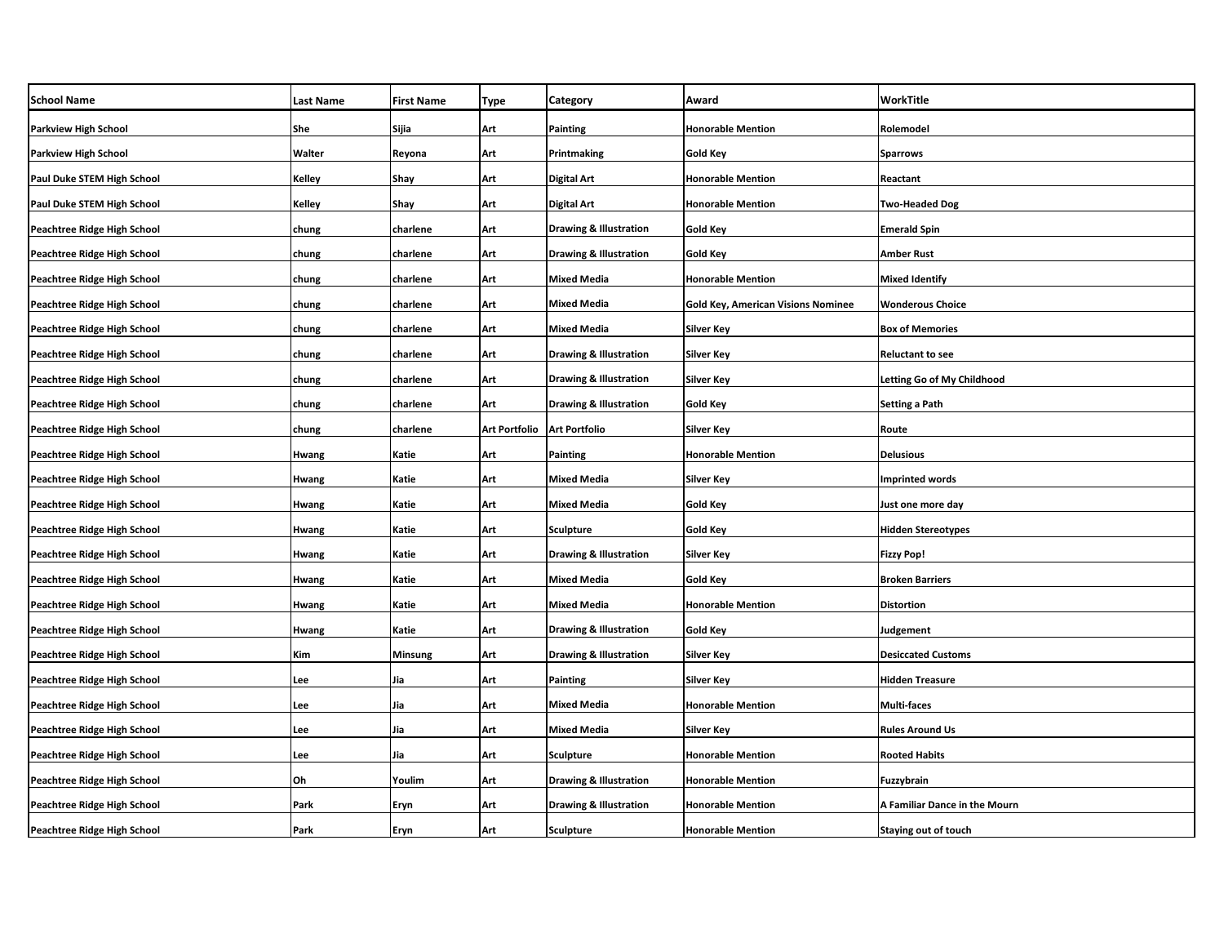| <b>School Name</b>                 | Last Name | <b>First Name</b> | Type                 | Category                          | Award                                     | WorkTitle                     |
|------------------------------------|-----------|-------------------|----------------------|-----------------------------------|-------------------------------------------|-------------------------------|
| <b>Parkview High School</b>        | She       | Sijia             | Art                  | Painting                          | <b>Honorable Mention</b>                  | Rolemodel                     |
| <b>Parkview High School</b>        | Walter    | Reyona            | Art                  | Printmaking                       | Gold Key                                  | Sparrows                      |
| Paul Duke STEM High School         | Kelley    | Shay              | Art                  | <b>Digital Art</b>                | <b>Honorable Mention</b>                  | Reactant                      |
| Paul Duke STEM High School         | Kelley    | Shay              | Art                  | <b>Digital Art</b>                | <b>Honorable Mention</b>                  | <b>Two-Headed Dog</b>         |
| Peachtree Ridge High School        | chung     | charlene          | Art                  | <b>Drawing &amp; Illustration</b> | Gold Key                                  | <b>Emerald Spin</b>           |
| Peachtree Ridge High School        | chung     | charlene          | Art                  | <b>Drawing &amp; Illustration</b> | <b>Gold Key</b>                           | <b>Amber Rust</b>             |
| Peachtree Ridge High School        | chung     | charlene          | Art                  | <b>Mixed Media</b>                | <b>Honorable Mention</b>                  | Mixed Identify                |
| Peachtree Ridge High School        | chung     | charlene          | Art                  | <b>Mixed Media</b>                | <b>Gold Key, American Visions Nominee</b> | <b>Wonderous Choice</b>       |
| Peachtree Ridge High School        | chung     | charlene          | Art                  | <b>Mixed Media</b>                | Silver Key                                | <b>Box of Memories</b>        |
| Peachtree Ridge High School        | chung     | charlene          | Art                  | <b>Drawing &amp; Illustration</b> | <b>Silver Key</b>                         | <b>Reluctant to see</b>       |
| Peachtree Ridge High School        | chung     | charlene          | Art                  | <b>Drawing &amp; Illustration</b> | Silver Key                                | Letting Go of My Childhood    |
| Peachtree Ridge High School        | chung     | charlene          | Art                  | <b>Drawing &amp; Illustration</b> | Gold Key                                  | Setting a Path                |
| Peachtree Ridge High School        | chung     | charlene          | <b>Art Portfolio</b> | <b>Art Portfolio</b>              | Silver Key                                | Route                         |
| Peachtree Ridge High School        | Hwang     | Katie             | Art                  | <b>Painting</b>                   | <b>Honorable Mention</b>                  | <b>Delusious</b>              |
| Peachtree Ridge High School        | Hwang     | Katie             | Art                  | <b>Mixed Media</b>                | Silver Key                                | <b>Imprinted words</b>        |
| Peachtree Ridge High School        | Hwang     | Katie             | Art                  | <b>Mixed Media</b>                | <b>Gold Key</b>                           | Just one more day             |
| Peachtree Ridge High School        | Hwang     | Katie             | Art                  | Sculpture                         | <b>Gold Key</b>                           | <b>Hidden Stereotypes</b>     |
| Peachtree Ridge High School        | Hwang     | Katie             | Art                  | <b>Drawing &amp; Illustration</b> | <b>Silver Key</b>                         | <b>Fizzy Pop!</b>             |
| Peachtree Ridge High School        | Hwang     | Katie             | Art                  | <b>Mixed Media</b>                | Gold Key                                  | <b>Broken Barriers</b>        |
| Peachtree Ridge High School        | Hwang     | Katie             | Art                  | <b>Mixed Media</b>                | <b>Honorable Mention</b>                  | <b>Distortion</b>             |
| Peachtree Ridge High School        | Hwang     | Katie             | Art                  | <b>Drawing &amp; Illustration</b> | Gold Key                                  | Judgement                     |
| Peachtree Ridge High School        | Kim       | <b>Minsung</b>    | Art                  | <b>Drawing &amp; Illustration</b> | <b>Silver Key</b>                         | <b>Desiccated Customs</b>     |
| Peachtree Ridge High School        | Lee       | Jia               | Art                  | Painting                          | Silver Key                                | <b>Hidden Treasure</b>        |
| Peachtree Ridge High School        | Lee       | Jia               | Art                  | <b>Mixed Media</b>                | <b>Honorable Mention</b>                  | Multi-faces                   |
| Peachtree Ridge High School        | Lee       | Jia               | Art                  | <b>Mixed Media</b>                | Silver Key                                | <b>Rules Around Us</b>        |
| Peachtree Ridge High School        | Lee       | Jia               | Art                  | <b>Sculpture</b>                  | <b>Honorable Mention</b>                  | <b>Rooted Habits</b>          |
| Peachtree Ridge High School        | Oh        | Youlim            | Art                  | <b>Drawing &amp; Illustration</b> | <b>Honorable Mention</b>                  | Fuzzybrain                    |
| Peachtree Ridge High School        | Park      | Eryn              | Art                  | <b>Drawing &amp; Illustration</b> | <b>Honorable Mention</b>                  | A Familiar Dance in the Mourn |
| <b>Peachtree Ridge High School</b> | Park      | Eryn              | Art                  | Sculpture                         | <b>Honorable Mention</b>                  | <b>Staying out of touch</b>   |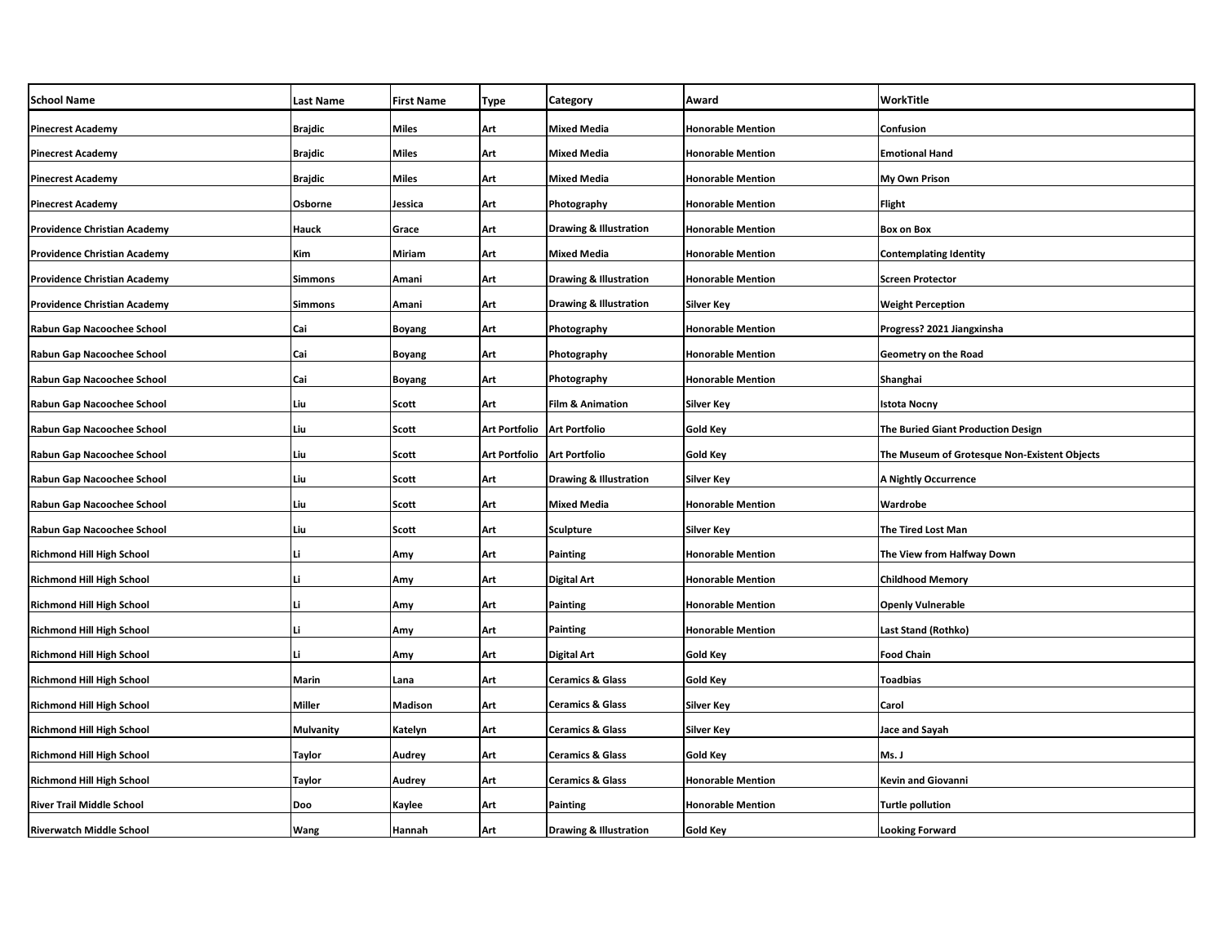| <b>School Name</b>                  | <b>Last Name</b> | <b>First Name</b> | <b>Type</b>          | Category                          | Award                    | WorkTitle                                    |
|-------------------------------------|------------------|-------------------|----------------------|-----------------------------------|--------------------------|----------------------------------------------|
| <b>Pinecrest Academy</b>            | <b>Brajdic</b>   | Miles             | Art                  | <b>Mixed Media</b>                | <b>Honorable Mention</b> | Confusion                                    |
| <b>Pinecrest Academy</b>            | <b>Brajdic</b>   | Miles             | Art                  | Mixed Media                       | <b>Honorable Mention</b> | <b>Emotional Hand</b>                        |
| <b>Pinecrest Academy</b>            | <b>Brajdic</b>   | Miles             | Art                  | <b>Mixed Media</b>                | <b>Honorable Mention</b> | My Own Prison                                |
| <b>Pinecrest Academy</b>            | Osborne          | Jessica           | Art                  | Photography                       | <b>Honorable Mention</b> | <b>Flight</b>                                |
| <b>Providence Christian Academy</b> | Hauck            | Grace             | Art                  | Drawing & Illustration            | <b>Honorable Mention</b> | <b>Box on Box</b>                            |
| <b>Providence Christian Academy</b> | Kim              | Miriam            | Art                  | <b>Mixed Media</b>                | <b>Honorable Mention</b> | <b>Contemplating Identity</b>                |
| <b>Providence Christian Academy</b> | <b>Simmons</b>   | Amani             | Art                  | <b>Drawing &amp; Illustration</b> | <b>Honorable Mention</b> | <b>Screen Protector</b>                      |
| <b>Providence Christian Academy</b> | <b>Simmons</b>   | Amani             | Art                  | Drawing & Illustration            | Silver Key               | <b>Weight Perception</b>                     |
| Rabun Gap Nacoochee School          | Cai              | Boyang            | Art                  | Photography                       | <b>Honorable Mention</b> | Progress? 2021 Jiangxinsha                   |
| Rabun Gap Nacoochee School          | Cai              | Boyang            | Art                  | Photography                       | <b>Honorable Mention</b> | Geometry on the Road                         |
| Rabun Gap Nacoochee School          | Cai              | Boyang            | Art                  | Photography                       | <b>Honorable Mention</b> | Shanghai                                     |
| Rabun Gap Nacoochee School          | Liu              | Scott             | Art                  | <b>Film &amp; Animation</b>       | Silver Key               | Istota Nocny                                 |
| Rabun Gap Nacoochee School          | Liu              | Scott             | <b>Art Portfolio</b> | <b>Art Portfolio</b>              | Gold Key                 | The Buried Giant Production Design           |
| Rabun Gap Nacoochee School          | Liu              | Scott             | <b>Art Portfolio</b> | <b>Art Portfolio</b>              | Gold Key                 | The Museum of Grotesque Non-Existent Objects |
| Rabun Gap Nacoochee School          | Liu              | Scott             | Art                  | <b>Drawing &amp; Illustration</b> | <b>Silver Key</b>        | A Nightly Occurrence                         |
| Rabun Gap Nacoochee School          | Liu              | Scott             | Art                  | <b>Mixed Media</b>                | <b>Honorable Mention</b> | Wardrobe                                     |
| Rabun Gap Nacoochee School          | Liu              | Scott             | Art                  | Sculpture                         | <b>Silver Key</b>        | The Tired Lost Man                           |
| Richmond Hill High School           | Li               | Amy               | Art                  | Painting                          | <b>Honorable Mention</b> | The View from Halfway Down                   |
| Richmond Hill High School           | Li               | Amy               | Art                  | <b>Digital Art</b>                | <b>Honorable Mention</b> | <b>Childhood Memory</b>                      |
| <b>Richmond Hill High School</b>    | Li               | Amy               | Art                  | <b>Painting</b>                   | <b>Honorable Mention</b> | <b>Openly Vulnerable</b>                     |
| Richmond Hill High School           | Li               | Amy               | Art                  | <b>Painting</b>                   | <b>Honorable Mention</b> | Last Stand (Rothko)                          |
| <b>Richmond Hill High School</b>    | Li               | Amy               | Art                  | <b>Digital Art</b>                | Gold Key                 | <b>Food Chain</b>                            |
| Richmond Hill High School           | Marin            | Lana              | Art                  | <b>Ceramics &amp; Glass</b>       | Gold Key                 | <b>Toadbias</b>                              |
| <b>Richmond Hill High School</b>    | Miller           | Madison           | Art                  | <b>Ceramics &amp; Glass</b>       | <b>Silver Key</b>        | Carol                                        |
| Richmond Hill High School           | <b>Mulvanity</b> | Katelyn           | Art                  | <b>Ceramics &amp; Glass</b>       | Silver Key               | Jace and Sayah                               |
| <b>Richmond Hill High School</b>    | <b>Taylor</b>    | Audrey            | Art                  | <b>Ceramics &amp; Glass</b>       | Gold Key                 | Ms. J                                        |
| Richmond Hill High School           | <b>Taylor</b>    | Audrey            | Art                  | <b>Ceramics &amp; Glass</b>       | <b>Honorable Mention</b> | Kevin and Giovanni                           |
| <b>River Trail Middle School</b>    | Doo              | Kaylee            | Art                  | Painting                          | <b>Honorable Mention</b> | <b>Turtle pollution</b>                      |
| <b>Riverwatch Middle School</b>     | <b>Wang</b>      | Hannah            | Art                  | <b>Drawing &amp; Illustration</b> | Gold Key                 | <b>Looking Forward</b>                       |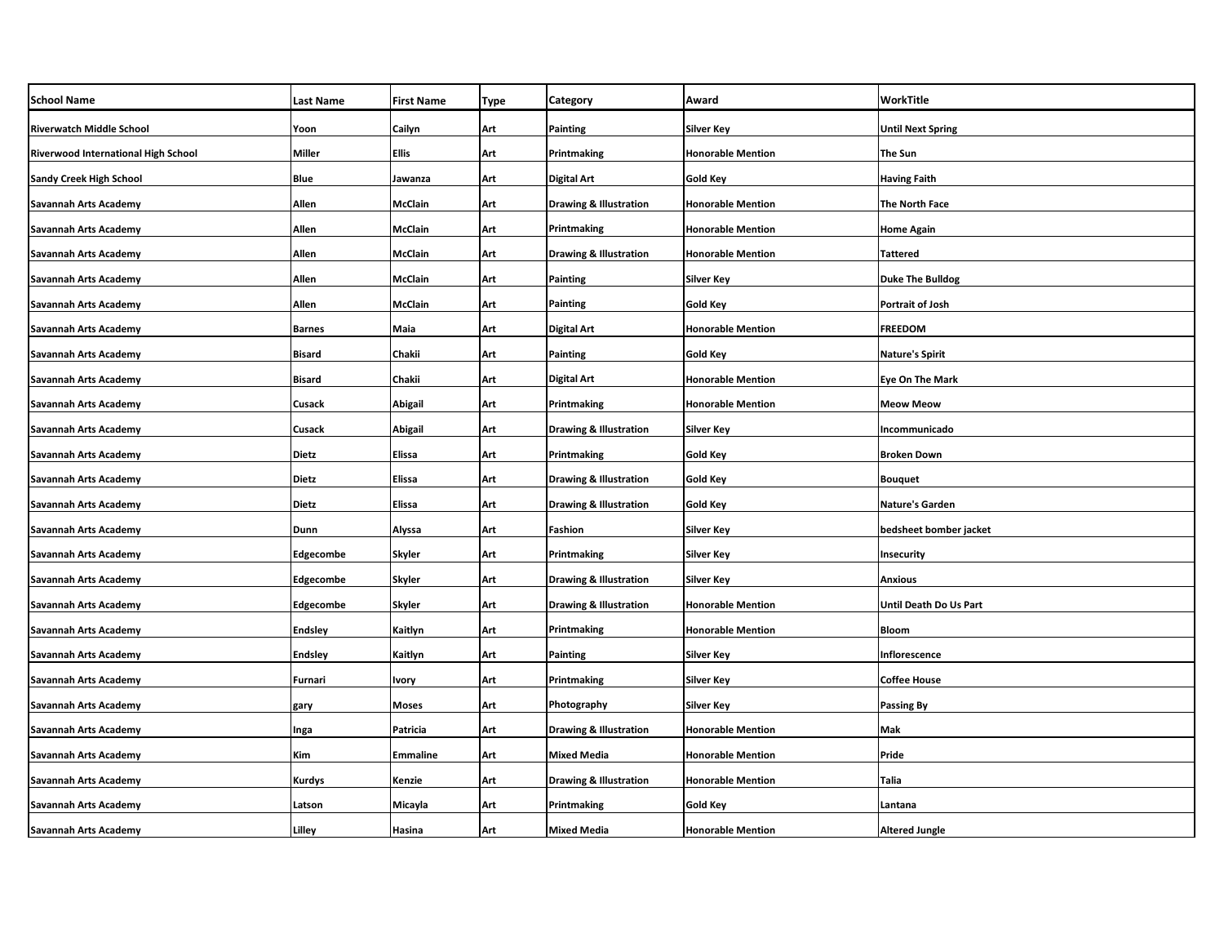| <b>School Name</b>                  | <b>Last Name</b> | <b>First Name</b> | Type | Category                          | Award                    | WorkTitle                |
|-------------------------------------|------------------|-------------------|------|-----------------------------------|--------------------------|--------------------------|
| <b>Riverwatch Middle School</b>     | Yoon             | Cailyn            | Art  | Painting                          | <b>Silver Key</b>        | <b>Until Next Spring</b> |
| Riverwood International High School | <b>Miller</b>    | Ellis             | Art  | Printmaking                       | <b>Honorable Mention</b> | <b>The Sun</b>           |
| <b>Sandy Creek High School</b>      | <b>Blue</b>      | Jawanza           | Art  | Digital Art                       | Gold Key                 | <b>Having Faith</b>      |
| <b>Savannah Arts Academy</b>        | Allen            | <b>McClain</b>    | Art  | <b>Drawing &amp; Illustration</b> | <b>Honorable Mention</b> | <b>The North Face</b>    |
| Savannah Arts Academy               | Allen            | McClain           | Art  | Printmaking                       | <b>Honorable Mention</b> | <b>Home Again</b>        |
| <b>Savannah Arts Academy</b>        | Allen            | McClain           | Art  | <b>Drawing &amp; Illustration</b> | <b>Honorable Mention</b> | <b>Tattered</b>          |
| Savannah Arts Academy               | Allen            | McClain           | Art  | Painting                          | Silver Key               | <b>Duke The Bulldog</b>  |
| Savannah Arts Academy               | Allen            | <b>McClain</b>    | Art  | Painting                          | Gold Key                 | <b>Portrait of Josh</b>  |
| Savannah Arts Academy               | <b>Barnes</b>    | Maia              | Art  | Digital Art                       | <b>Honorable Mention</b> | <b>FREEDOM</b>           |
| Savannah Arts Academy               | <b>Bisard</b>    | Chakii            | Art  | Painting                          | <b>Gold Key</b>          | <b>Nature's Spirit</b>   |
| Savannah Arts Academy               | <b>Bisard</b>    | Chakii            | Art  | Digital Art                       | <b>Honorable Mention</b> | <b>Eye On The Mark</b>   |
| Savannah Arts Academy               | Cusack           | Abigail           | Art  | Printmaking                       | <b>Honorable Mention</b> | <b>Meow Meow</b>         |
| Savannah Arts Academy               | Cusack           | Abigail           | Art  | <b>Drawing &amp; Illustration</b> | <b>Silver Key</b>        | Incommunicado            |
| Savannah Arts Academy               | <b>Dietz</b>     | <b>Elissa</b>     | Art  | Printmaking                       | Gold Key                 | <b>Broken Down</b>       |
| Savannah Arts Academy               | <b>Dietz</b>     | <b>Elissa</b>     | Art  | <b>Drawing &amp; Illustration</b> | Gold Key                 | <b>Bouquet</b>           |
| <b>Savannah Arts Academy</b>        | <b>Dietz</b>     | <b>Elissa</b>     | Art  | <b>Drawing &amp; Illustration</b> | <b>Gold Key</b>          | Nature's Garden          |
| Savannah Arts Academy               | Dunn             | Alyssa            | Art  | Fashion                           | <b>Silver Key</b>        | bedsheet bomber jacket   |
| <b>Savannah Arts Academy</b>        | <b>Edgecombe</b> | Skyler            | Art  | Printmaking                       | <b>Silver Key</b>        | Insecurity               |
| Savannah Arts Academy               | <b>Edgecombe</b> | Skyler            | Art  | <b>Drawing &amp; Illustration</b> | Silver Key               | <b>Anxious</b>           |
| Savannah Arts Academy               | Edgecombe        | <b>Skyler</b>     | Art  | <b>Drawing &amp; Illustration</b> | <b>Honorable Mention</b> | Until Death Do Us Part   |
| Savannah Arts Academy               | <b>Endsley</b>   | Kaitlyn           | Art  | Printmaking                       | <b>Honorable Mention</b> | Bloom                    |
| Savannah Arts Academy               | <b>Endsley</b>   | Kaitlyn           | Art  | Painting                          | <b>Silver Key</b>        | Inflorescence            |
| Savannah Arts Academy               | Furnari          | Ivory             | Art  | Printmaking                       | Silver Key               | <b>Coffee House</b>      |
| Savannah Arts Academy               | gary             | Moses             | Art  | Photography                       | <b>Silver Key</b>        | <b>Passing By</b>        |
| <b>Savannah Arts Academy</b>        | Inga             | Patricia          | Art  | <b>Drawing &amp; Illustration</b> | <b>Honorable Mention</b> | Mak                      |
| <b>Savannah Arts Academy</b>        | Kim              | <b>Emmaline</b>   | Art  | <b>Mixed Media</b>                | <b>Honorable Mention</b> | Pride                    |
| Savannah Arts Academy               | Kurdys           | Kenzie            | Art  | <b>Drawing &amp; Illustration</b> | <b>Honorable Mention</b> | Talia                    |
| Savannah Arts Academy               | Latson           | Micayla           | Art  | Printmaking                       | Gold Key                 | Lantana                  |
| Savannah Arts Academy               | Lilley           | Hasina            | Art  | Mixed Media                       | <b>Honorable Mention</b> | <b>Altered Jungle</b>    |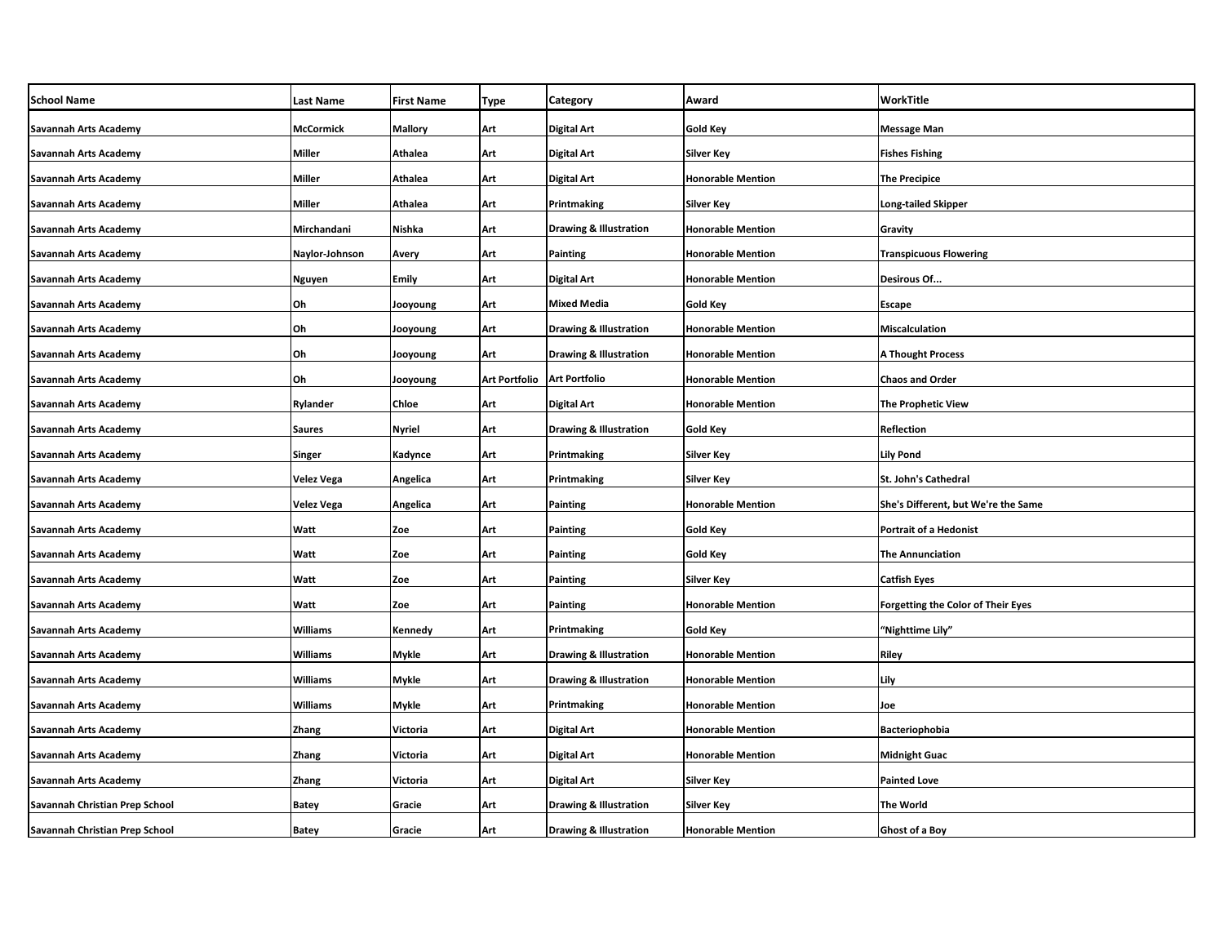| <b>School Name</b>             | <b>Last Name</b>  | <b>First Name</b> | <b>Type</b>          | Category                          | Award                    | WorkTitle                                 |
|--------------------------------|-------------------|-------------------|----------------------|-----------------------------------|--------------------------|-------------------------------------------|
| <b>Savannah Arts Academy</b>   | <b>McCormick</b>  | <b>Mallory</b>    | Art                  | Digital Art                       | <b>Gold Key</b>          | Message Man                               |
| <b>Savannah Arts Academy</b>   | <b>Miller</b>     | Athalea           | Art                  | Digital Art                       | <b>Silver Key</b>        | <b>Fishes Fishing</b>                     |
| Savannah Arts Academy          | <b>Miller</b>     | Athalea           | Art                  | Digital Art                       | <b>Honorable Mention</b> | <b>The Precipice</b>                      |
| Savannah Arts Academy          | Miller            | Athalea           | Art                  | Printmaking                       | <b>Silver Key</b>        | Long-tailed Skipper                       |
| Savannah Arts Academy          | Mirchandani       | Nishka            | Art                  | <b>Drawing &amp; Illustration</b> | <b>Honorable Mention</b> | Gravity                                   |
| Savannah Arts Academy          | Naylor-Johnson    | Avery             | Art                  | Painting                          | Honorable Mention        | <b>Transpicuous Flowering</b>             |
| Savannah Arts Academy          | Nguyen            | Emily             | Art                  | Digital Art                       | <b>Honorable Mention</b> | Desirous Of                               |
| Savannah Arts Academy          | Oh                | Jooyoung          | Art                  | Mixed Media                       | Gold Key                 | Escape                                    |
| Savannah Arts Academy          | Oh                | Jooyoung          | Art                  | <b>Drawing &amp; Illustration</b> | <b>Honorable Mention</b> | <b>Miscalculation</b>                     |
| <b>Savannah Arts Academy</b>   | Oh                | Jooyoung          | Art                  | <b>Drawing &amp; Illustration</b> | <b>Honorable Mention</b> | A Thought Process                         |
| Savannah Arts Academy          | Oh                | Jooyoung          | <b>Art Portfolio</b> | <b>Art Portfolio</b>              | <b>Honorable Mention</b> | <b>Chaos and Order</b>                    |
| Savannah Arts Academy          | Rylander          | Chloe             | Art                  | Digital Art                       | <b>Honorable Mention</b> | <b>The Prophetic View</b>                 |
| Savannah Arts Academy          | <b>Saures</b>     | Nyriel            | Art                  | <b>Drawing &amp; Illustration</b> | Gold Key                 | Reflection                                |
| Savannah Arts Academy          | Singer            | Kadynce           | Art                  | Printmaking                       | Silver Key               | <b>Lily Pond</b>                          |
| Savannah Arts Academy          | <b>Velez Vega</b> | Angelica          | Art                  | Printmaking                       | <b>Silver Key</b>        | St. John's Cathedral                      |
| Savannah Arts Academy          | Velez Vega        | Angelica          | Art                  | Painting                          | <b>Honorable Mention</b> | She's Different, but We're the Same       |
| Savannah Arts Academy          | Watt              | Zoe               | Art                  | Painting                          | Gold Key                 | Portrait of a Hedonist                    |
| Savannah Arts Academy          | Watt              | Zoe               | Art                  | Painting                          | <b>Gold Key</b>          | <b>The Annunciation</b>                   |
| Savannah Arts Academy          | Watt              | Zoe               | Art                  | Painting                          | Silver Key               | <b>Catfish Eyes</b>                       |
| Savannah Arts Academy          | Watt              | Zoe               | Art                  | Painting                          | <b>Honorable Mention</b> | <b>Forgetting the Color of Their Eyes</b> |
| Savannah Arts Academy          | <b>Williams</b>   | Kennedy           | Art                  | Printmaking                       | Gold Key                 | "Nighttime Lily"                          |
| Savannah Arts Academy          | <b>Williams</b>   | Mykle             | Art                  | <b>Drawing &amp; Illustration</b> | <b>Honorable Mention</b> | Riley                                     |
| <b>Savannah Arts Academy</b>   | <b>Williams</b>   | Mykle             | Art                  | <b>Drawing &amp; Illustration</b> | <b>Honorable Mention</b> | Lily                                      |
| <b>Savannah Arts Academy</b>   | <b>Williams</b>   | Mykle             | Art                  | Printmaking                       | <b>Honorable Mention</b> | Joe                                       |
| <b>Savannah Arts Academy</b>   | Zhang             | Victoria          | Art                  | Digital Art                       | <b>Honorable Mention</b> | Bacteriophobia                            |
| <b>Savannah Arts Academy</b>   | Zhang             | Victoria          | Art                  | <b>Digital Art</b>                | <b>Honorable Mention</b> | <b>Midnight Guac</b>                      |
| <b>Savannah Arts Academy</b>   | Zhang             | Victoria          | Art                  | Digital Art                       | Silver Key               | <b>Painted Love</b>                       |
| Savannah Christian Prep School | <b>Batey</b>      | Gracie            | Art                  | <b>Drawing &amp; Illustration</b> | Silver Key               | The World                                 |
| Savannah Christian Prep School | <b>Batey</b>      | Gracie            | Art                  | <b>Drawing &amp; Illustration</b> | <b>Honorable Mention</b> | Ghost of a Boy                            |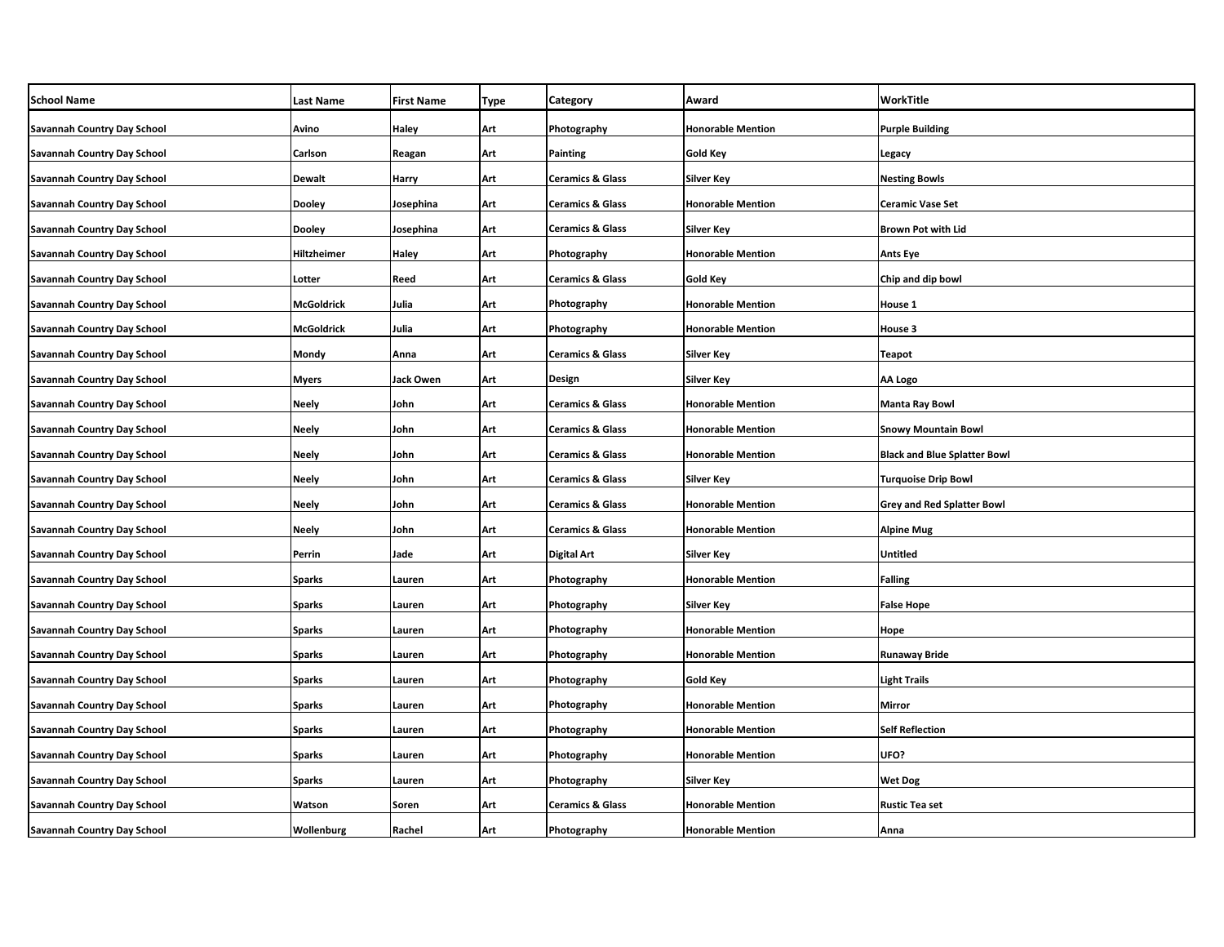| <b>School Name</b>                 | Last Name     | <b>First Name</b> | Type | Category                    | Award                    | WorkTitle                           |
|------------------------------------|---------------|-------------------|------|-----------------------------|--------------------------|-------------------------------------|
| <b>Savannah Country Day School</b> | Avino         | Haley             | Art  | Photography                 | <b>Honorable Mention</b> | <b>Purple Building</b>              |
| <b>Savannah Country Day School</b> | Carlson       | Reagan            | Art  | <b>Painting</b>             | Gold Key                 | Legacy                              |
| Savannah Country Day School        | Dewalt        | Harry             | Art  | <b>Ceramics &amp; Glass</b> | Silver Key               | <b>Nesting Bowls</b>                |
| <b>Savannah Country Day School</b> | <b>Dooley</b> | Josephina         | Art  | <b>Ceramics &amp; Glass</b> | <b>Honorable Mention</b> | <b>Ceramic Vase Set</b>             |
| Savannah Country Day School        | <b>Dooley</b> | Josephina         | Art  | <b>Ceramics &amp; Glass</b> | Silver Key               | Brown Pot with Lid                  |
| <b>Savannah Country Day School</b> | Hiltzheimer   | Haley             | Art  | Photography                 | <b>Honorable Mention</b> | <b>Ants Eye</b>                     |
| Savannah Country Day School        | Lotter        | Reed              | Art  | <b>Ceramics &amp; Glass</b> | Gold Key                 | Chip and dip bowl                   |
| <b>Savannah Country Day School</b> | McGoldrick    | Julia             | Art  | Photography                 | <b>Honorable Mention</b> | House 1                             |
| Savannah Country Day School        | McGoldrick    | Julia             | Art  | Photography                 | <b>Honorable Mention</b> | House 3                             |
| <b>Savannah Country Day School</b> | Mondy         | Anna              | Art  | <b>Ceramics &amp; Glass</b> | <b>Silver Key</b>        | <b>Teapot</b>                       |
| Savannah Country Day School        | Myers         | Jack Owen         | Art  | Design                      | <b>Silver Key</b>        | AA Logo                             |
| <b>Savannah Country Day School</b> | <b>Neely</b>  | John              | Art  | <b>Ceramics &amp; Glass</b> | <b>Honorable Mention</b> | <b>Manta Ray Bowl</b>               |
| <b>Savannah Country Day School</b> | <b>Neely</b>  | John              | Art  | <b>Ceramics &amp; Glass</b> | <b>Honorable Mention</b> | <b>Snowy Mountain Bowl</b>          |
| <b>Savannah Country Day School</b> | <b>Neely</b>  | John              | Art  | <b>Ceramics &amp; Glass</b> | <b>Honorable Mention</b> | <b>Black and Blue Splatter Bowl</b> |
| <b>Savannah Country Day School</b> | Neely         | John              | Art  | <b>Ceramics &amp; Glass</b> | Silver Key               | <b>Turquoise Drip Bowl</b>          |
| <b>Savannah Country Day School</b> | <b>Neely</b>  | John              | Art  | <b>Ceramics &amp; Glass</b> | <b>Honorable Mention</b> | <b>Grey and Red Splatter Bowl</b>   |
| <b>Savannah Country Day School</b> | <b>Neely</b>  | John              | Art  | <b>Ceramics &amp; Glass</b> | <b>Honorable Mention</b> | <b>Alpine Mug</b>                   |
| <b>Savannah Country Day School</b> | Perrin        | Jade              | Art  | <b>Digital Art</b>          | <b>Silver Key</b>        | <b>Untitled</b>                     |
| Savannah Country Day School        | <b>Sparks</b> | Lauren            | Art  | Photography                 | <b>Honorable Mention</b> | <b>Falling</b>                      |
| Savannah Country Day School        | <b>Sparks</b> | Lauren            | Art  | Photography                 | <b>Silver Key</b>        | <b>False Hope</b>                   |
| <b>Savannah Country Day School</b> | <b>Sparks</b> | Lauren            | Art  | Photography                 | <b>Honorable Mention</b> | Hope                                |
| <b>Savannah Country Day School</b> | <b>Sparks</b> | Lauren            | Art  | Photography                 | <b>Honorable Mention</b> | <b>Runaway Bride</b>                |
| <b>Savannah Country Day School</b> | <b>Sparks</b> | Lauren            | Art  | Photography                 | Gold Key                 | <b>Light Trails</b>                 |
| <b>Savannah Country Day School</b> | <b>Sparks</b> | Lauren            | Art  | Photography                 | <b>Honorable Mention</b> | Mirror                              |
| <b>Savannah Country Day School</b> | <b>Sparks</b> | Lauren            | Art  | Photography                 | <b>Honorable Mention</b> | Self Reflection                     |
| <b>Savannah Country Day School</b> | <b>Sparks</b> | Lauren            | Art  | Photography                 | <b>Honorable Mention</b> | UFO?                                |
| <b>Savannah Country Day School</b> | Sparks        | Lauren            | Art  | Photography                 | Silver Key               | <b>Wet Dog</b>                      |
| <b>Savannah Country Day School</b> | Watson        | Soren             | Art  | <b>Ceramics &amp; Glass</b> | <b>Honorable Mention</b> | <b>Rustic Tea set</b>               |
| <b>Savannah Country Day School</b> | Wollenburg    | Rachel            | Art  | Photography                 | <b>Honorable Mention</b> | Anna                                |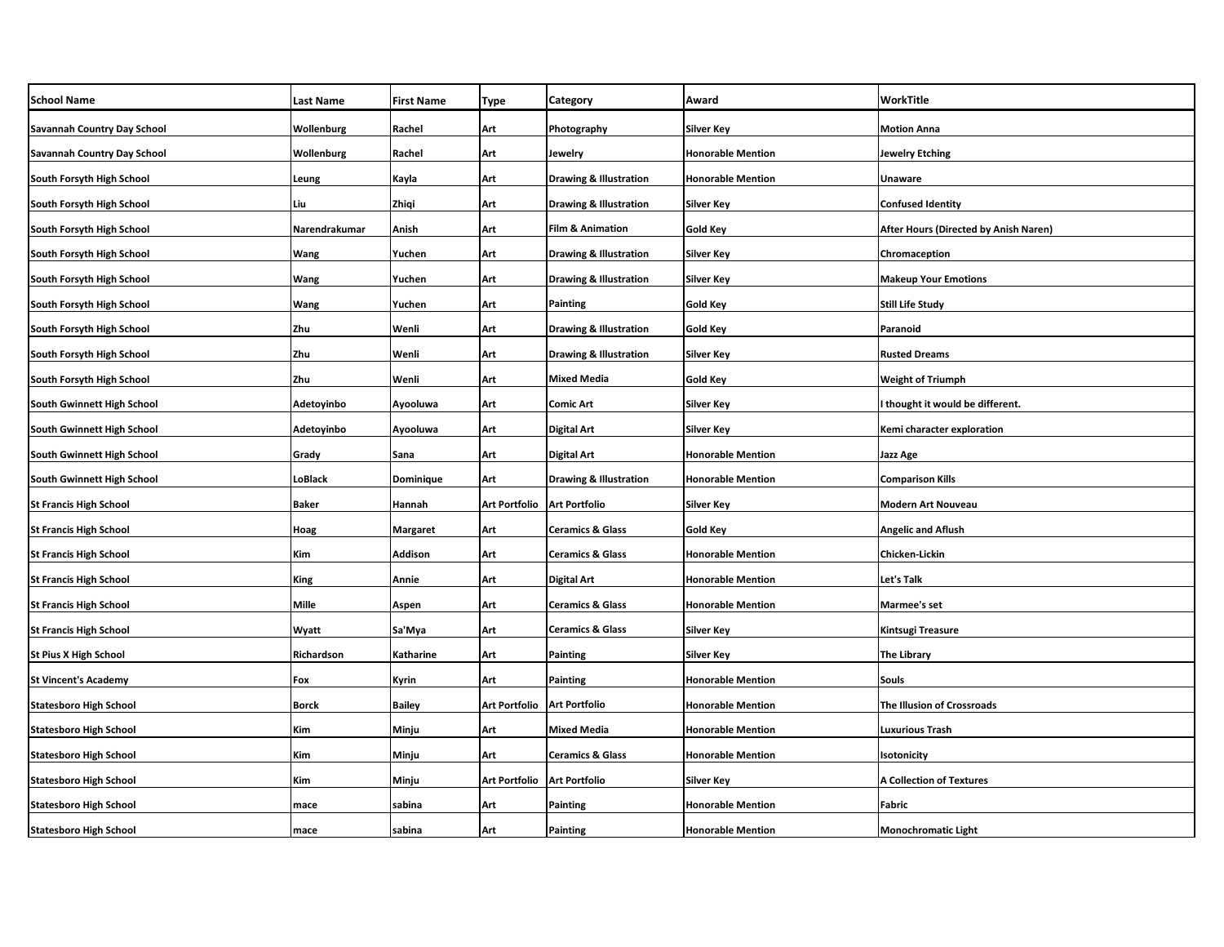| <b>School Name</b>            | <b>Last Name</b> | <b>First Name</b> | Type                 | Category                          | Award                    | WorkTitle                             |
|-------------------------------|------------------|-------------------|----------------------|-----------------------------------|--------------------------|---------------------------------------|
| Savannah Country Day School   | Wollenburg       | Rachel            | Art                  | Photography                       | <b>Silver Key</b>        | <b>Motion Anna</b>                    |
| Savannah Country Day School   | Wollenburg       | Rachel            | Art                  | Jewelry                           | <b>Honorable Mention</b> | <b>Jewelry Etching</b>                |
| South Forsyth High School     | Leung            | Kayla             | Art                  | <b>Drawing &amp; Illustration</b> | <b>Honorable Mention</b> | Unaware                               |
| South Forsyth High School     | Liu              | Zhiqi             | Art                  | <b>Drawing &amp; Illustration</b> | Silver Key               | <b>Confused Identity</b>              |
| South Forsyth High School     | Narendrakumar    | Anish             | Art                  | <b>Film &amp; Animation</b>       | Gold Key                 | After Hours (Directed by Anish Naren) |
| South Forsyth High School     | Wang             | Yuchen            | Art                  | <b>Drawing &amp; Illustration</b> | <b>Silver Key</b>        | Chromaception                         |
| South Forsyth High School     | Wang             | Yuchen            | Art                  | <b>Drawing &amp; Illustration</b> | Silver Key               | <b>Makeup Your Emotions</b>           |
| South Forsyth High School     | Wang             | Yuchen            | Art                  | Painting                          | Gold Key                 | <b>Still Life Study</b>               |
| South Forsyth High School     | Zhu              | Wenli             | Art                  | <b>Drawing &amp; Illustration</b> | Gold Key                 | Paranoid                              |
| South Forsyth High School     | Zhu              | Wenli             | Art                  | <b>Drawing &amp; Illustration</b> | <b>Silver Key</b>        | <b>Rusted Dreams</b>                  |
| South Forsyth High School     | Zhu              | Wenli             | Art                  | <b>Mixed Media</b>                | Gold Key                 | <b>Weight of Triumph</b>              |
| South Gwinnett High School    | Adetoyinbo       | Ayooluwa          | Art                  | Comic Art                         | <b>Silver Key</b>        | I thought it would be different.      |
| South Gwinnett High School    | Adetoyinbo       | Ayooluwa          | Art                  | Digital Art                       | <b>Silver Key</b>        | Kemi character exploration            |
| South Gwinnett High School    | Grady            | Sana              | Art                  | <b>Digital Art</b>                | <b>Honorable Mention</b> | Jazz Age                              |
| South Gwinnett High School    | LoBlack          | Dominique         | Art                  | <b>Drawing &amp; Illustration</b> | <b>Honorable Mention</b> | <b>Comparison Kills</b>               |
| <b>St Francis High School</b> | <b>Baker</b>     | Hannah            | <b>Art Portfolio</b> | <b>Art Portfolio</b>              | Silver Key               | <b>Modern Art Nouveau</b>             |
| <b>St Francis High School</b> | <b>Hoag</b>      | <b>Margaret</b>   | Art                  | <b>Ceramics &amp; Glass</b>       | Gold Key                 | <b>Angelic and Aflush</b>             |
| <b>St Francis High School</b> | Kim              | Addison           | Art                  | <b>Ceramics &amp; Glass</b>       | <b>Honorable Mention</b> | Chicken-Lickin                        |
| <b>St Francis High School</b> | King             | Annie             | Art                  | Digital Art                       | <b>Honorable Mention</b> | <b>Let's Talk</b>                     |
| <b>St Francis High School</b> | Mille            | Aspen             | Art                  | <b>Ceramics &amp; Glass</b>       | <b>Honorable Mention</b> | Marmee's set                          |
| <b>St Francis High School</b> | Wyatt            | Sa'Mya            | Art                  | <b>Ceramics &amp; Glass</b>       | Silver Key               | <b>Kintsugi Treasure</b>              |
| <b>St Pius X High School</b>  | Richardson       | Katharine         | Art                  | Painting                          | <b>Silver Key</b>        | <b>The Library</b>                    |
| <b>St Vincent's Academy</b>   | Fox              | Kyrin             | Art                  | Painting                          | <b>Honorable Mention</b> | <b>Souls</b>                          |
| <b>Statesboro High School</b> | <b>Borck</b>     | <b>Bailey</b>     | Art Portfolio        | <b>Art Portfolio</b>              | <b>Honorable Mention</b> | The Illusion of Crossroads            |
| <b>Statesboro High School</b> | Kim              | Minju             | Art                  | <b>Mixed Media</b>                | Honorable Mention        | Luxurious Trash                       |
| <b>Statesboro High School</b> | Kim              | Minju             | Art                  | <b>Ceramics &amp; Glass</b>       | <b>Honorable Mention</b> | Isotonicity                           |
| <b>Statesboro High School</b> | Kim              | Minju             | Art Portfolio        | <b>Art Portfolio</b>              | Silver Key               | <b>A Collection of Textures</b>       |
| <b>Statesboro High School</b> | mace             | sabina            | Art                  | Painting                          | <b>Honorable Mention</b> | <b>Fabric</b>                         |
| <b>Statesboro High School</b> | mace             | sabina            | Art                  | Painting                          | <b>Honorable Mention</b> | <b>Monochromatic Light</b>            |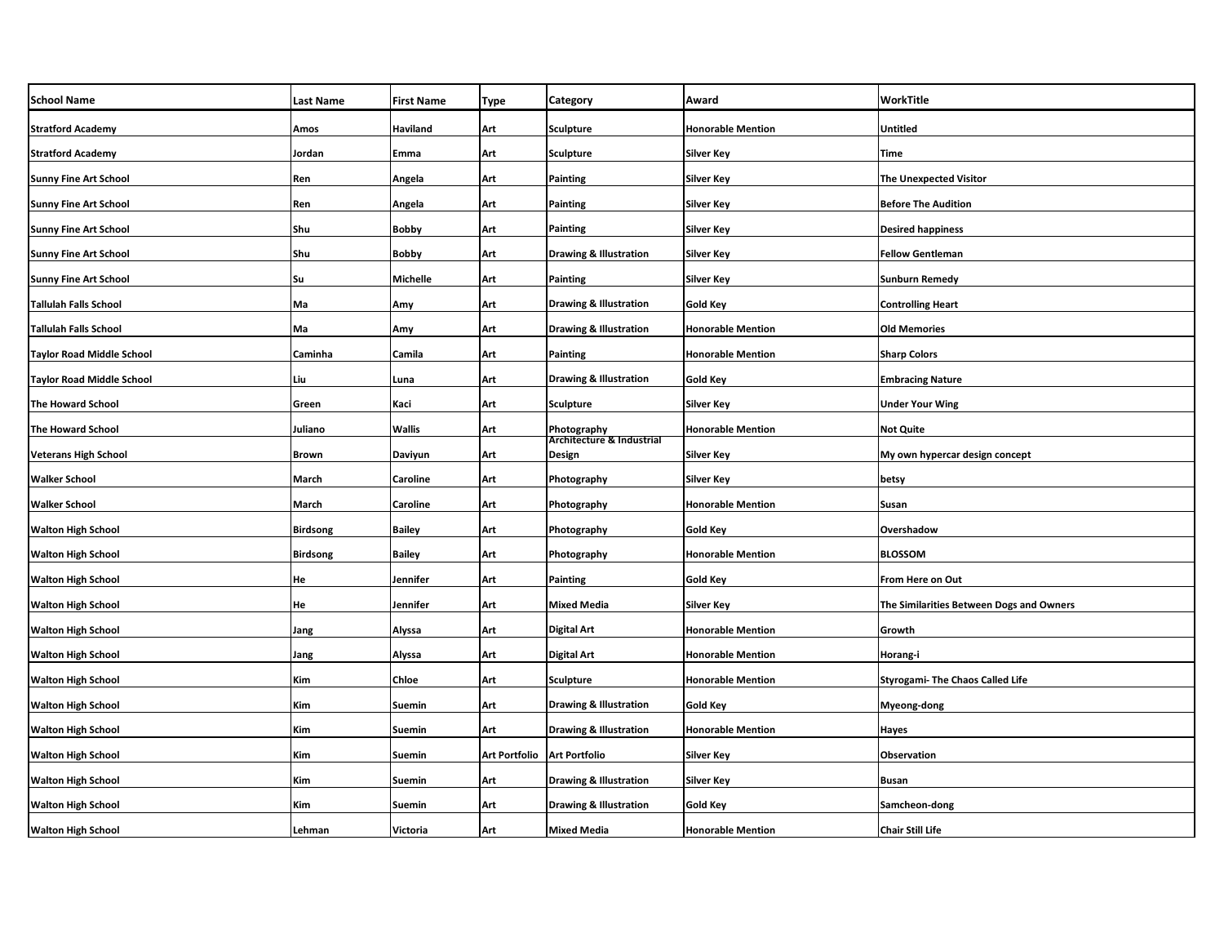| <b>School Name</b>               | <b>Last Name</b> | <b>First Name</b> | Type          | Category                                 | Award                    | WorkTitle                                |
|----------------------------------|------------------|-------------------|---------------|------------------------------------------|--------------------------|------------------------------------------|
| <b>Stratford Academy</b>         | Amos             | <b>Haviland</b>   | Art           | <b>Sculpture</b>                         | <b>Honorable Mention</b> | <b>Untitled</b>                          |
| <b>Stratford Academy</b>         | Jordan           | Emma              | Art           | Sculpture                                | <b>Silver Key</b>        | Time                                     |
| <b>Sunny Fine Art School</b>     | Ren              | Angela            | Art           | Painting                                 | <b>Silver Key</b>        | <b>The Unexpected Visitor</b>            |
| <b>Sunny Fine Art School</b>     | Ren              | Angela            | Art           | Painting                                 | Silver Key               | <b>Before The Audition</b>               |
| <b>Sunny Fine Art School</b>     | Shu              | Bobby             | Art           | Painting                                 | <b>Silver Key</b>        | <b>Desired happiness</b>                 |
| <b>Sunny Fine Art School</b>     | Shu              | <b>Bobby</b>      | Art           | <b>Drawing &amp; Illustration</b>        | <b>Silver Key</b>        | <b>Fellow Gentleman</b>                  |
| <b>Sunny Fine Art School</b>     | Su               | Michelle          | Art           | Painting                                 | <b>Silver Key</b>        | <b>Sunburn Remedy</b>                    |
| <b>Tallulah Falls School</b>     | Ma               | Amy               | Art           | <b>Drawing &amp; Illustration</b>        | Gold Key                 | <b>Controlling Heart</b>                 |
| Tallulah Falls School            | Ma               | Amy               | Art           | <b>Drawing &amp; Illustration</b>        | <b>Honorable Mention</b> | <b>Old Memories</b>                      |
| <b>Taylor Road Middle School</b> | Caminha          | Camila            | Art           | Painting                                 | <b>Honorable Mention</b> | <b>Sharp Colors</b>                      |
| Taylor Road Middle School        | Liu              | Luna              | Art           | <b>Drawing &amp; Illustration</b>        | Gold Key                 | <b>Embracing Nature</b>                  |
| The Howard School                | Green            | Kaci              | Art           | Sculpture                                | <b>Silver Key</b>        | <b>Under Your Wing</b>                   |
| The Howard School                | Juliano          | <b>Wallis</b>     | Art           | Photography<br>Architecture & Industrial | <b>Honorable Mention</b> | <b>Not Quite</b>                         |
| <b>Veterans High School</b>      | <b>Brown</b>     | Daviyun           | Art           | Design                                   | <b>Silver Key</b>        | My own hypercar design concept           |
| <b>Walker School</b>             | March            | Caroline          | Art           | Photography                              | Silver Key               | betsy                                    |
| <b>Walker School</b>             | March            | Caroline          | Art           | Photography                              | <b>Honorable Mention</b> | Susan                                    |
| <b>Walton High School</b>        | <b>Birdsong</b>  | <b>Bailey</b>     | Art           | Photography                              | <b>Gold Key</b>          | Overshadow                               |
| <b>Walton High School</b>        | <b>Birdsong</b>  | <b>Bailey</b>     | Art           | Photography                              | <b>Honorable Mention</b> | <b>BLOSSOM</b>                           |
| <b>Walton High School</b>        | He               | Jennifer          | Art           | Painting                                 | Gold Key                 | From Here on Out                         |
| <b>Walton High School</b>        | He               | Jennifer          | Art           | <b>Mixed Media</b>                       | <b>Silver Key</b>        | The Similarities Between Dogs and Owners |
| <b>Walton High School</b>        | Jang             | Alyssa            | Art           | Digital Art                              | <b>Honorable Mention</b> | Growth                                   |
| <b>Walton High School</b>        | Jang             | Alyssa            | Art           | Digital Art                              | <b>Honorable Mention</b> | Horang-i                                 |
| <b>Walton High School</b>        | Kim              | Chloe             | Art           | <b>Sculpture</b>                         | <b>Honorable Mention</b> | <b>Styrogami- The Chaos Called Life</b>  |
| <b>Walton High School</b>        | Kim              | Suemin            | Art           | <b>Drawing &amp; Illustration</b>        | Gold Key                 | Myeong-dong                              |
| <b>Walton High School</b>        | Kim              | Suemin            | Art           | <b>Drawing &amp; Illustration</b>        | <b>Honorable Mention</b> | Hayes                                    |
| <b>Walton High School</b>        | Kim              | Suemin            | Art Portfolio | <b>Art Portfolio</b>                     | <b>Silver Key</b>        | Observation                              |
| <b>Walton High School</b>        | Kim              | Suemin            | Art           | <b>Drawing &amp; Illustration</b>        | Silver Key               | <b>Busan</b>                             |
| <b>Walton High School</b>        | Kim              | Suemin            | Art           | <b>Drawing &amp; Illustration</b>        | Gold Key                 | Samcheon-dong                            |
| <b>Walton High School</b>        | Lehman           | Victoria          | Art           | <b>Mixed Media</b>                       | <b>Honorable Mention</b> | <b>Chair Still Life</b>                  |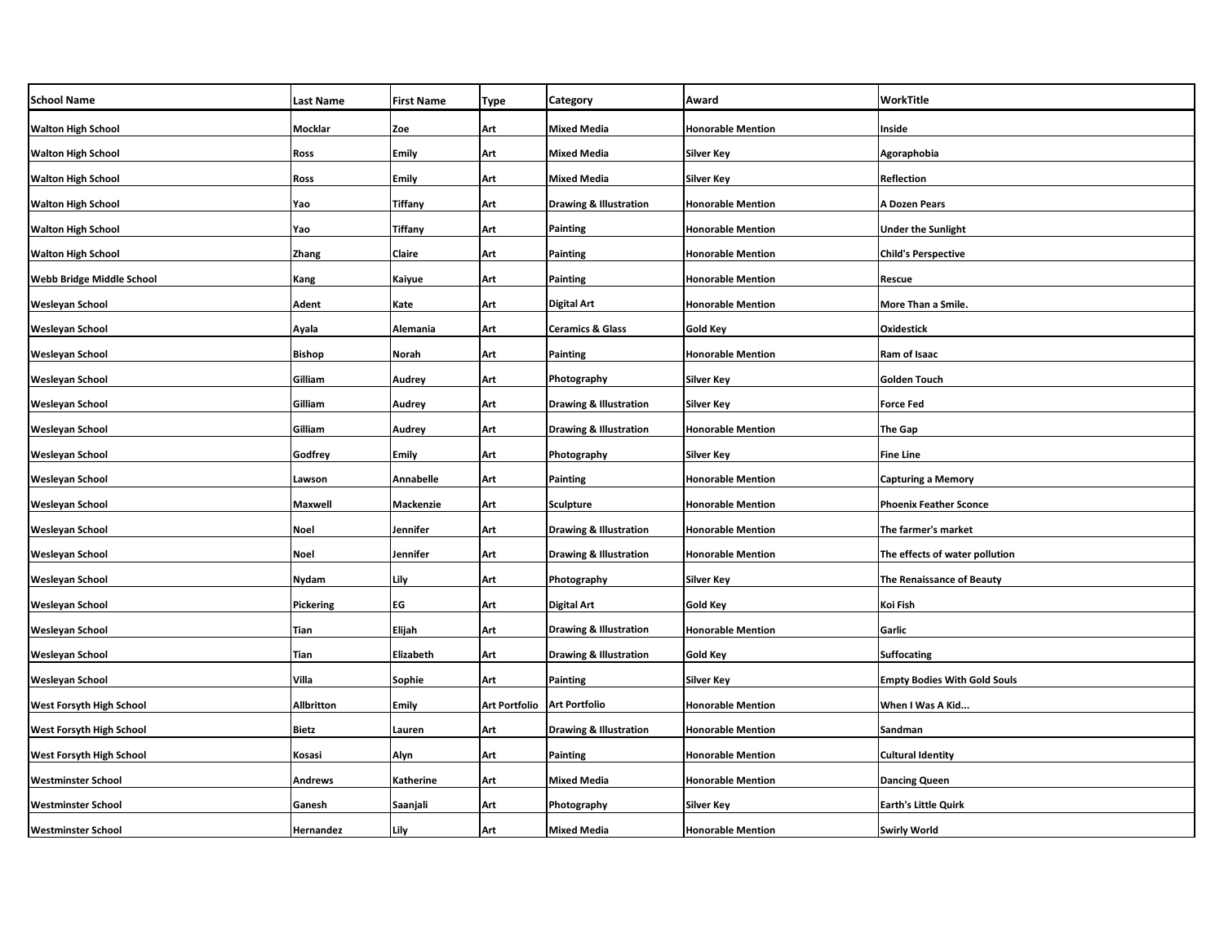| <b>School Name</b>              | <b>Last Name</b>  | <b>First Name</b> | <b>Type</b>          | Category                          | Award                    | WorkTitle                           |
|---------------------------------|-------------------|-------------------|----------------------|-----------------------------------|--------------------------|-------------------------------------|
| <b>Walton High School</b>       | <b>Mocklar</b>    | Zoe               | Art                  | <b>Mixed Media</b>                | <b>Honorable Mention</b> | Inside                              |
| <b>Walton High School</b>       | Ross              | Emily             | Art                  | Mixed Media                       | <b>Silver Key</b>        | Agoraphobia                         |
| <b>Walton High School</b>       | Ross              | <b>Emily</b>      | Art                  | <b>Mixed Media</b>                | <b>Silver Key</b>        | Reflection                          |
| <b>Walton High School</b>       | Yao               | Tiffany           | Art                  | <b>Drawing &amp; Illustration</b> | <b>Honorable Mention</b> | A Dozen Pears                       |
| <b>Walton High School</b>       | Yao               | Tiffany           | Art                  | Painting                          | <b>Honorable Mention</b> | <b>Under the Sunlight</b>           |
| <b>Walton High School</b>       | Zhang             | Claire            | Art                  | Painting                          | Honorable Mention        | <b>Child's Perspective</b>          |
| Webb Bridge Middle School       | Kang              | Kaiyue            | Art                  | Painting                          | <b>Honorable Mention</b> | Rescue                              |
| <b>Wesleyan School</b>          | Adent             | Kate              | Art                  | Digital Art                       | <b>Honorable Mention</b> | More Than a Smile.                  |
| <b>Wesleyan School</b>          | Ayala             | Alemania          | Art                  | <b>Ceramics &amp; Glass</b>       | Gold Key                 | Oxidestick                          |
| <b>Wesleyan School</b>          | <b>Bishop</b>     | Norah             | Art                  | <b>Painting</b>                   | <b>Honorable Mention</b> | Ram of Isaac                        |
| Wesleyan School                 | Gilliam           | Audrey            | Art                  | Photography                       | Silver Key               | <b>Golden Touch</b>                 |
| Wesleyan School                 | Gilliam           | Audrey            | Art                  | <b>Drawing &amp; Illustration</b> | <b>Silver Key</b>        | <b>Force Fed</b>                    |
| <b>Wesleyan School</b>          | Gilliam           | Audrey            | Art                  | <b>Drawing &amp; Illustration</b> | <b>Honorable Mention</b> | <b>The Gap</b>                      |
| Wesleyan School                 | Godfrey           | Emily             | Art                  | Photography                       | <b>Silver Key</b>        | <b>Fine Line</b>                    |
| Wesleyan School                 | Lawson            | Annabelle         | Art                  | Painting                          | <b>Honorable Mention</b> | <b>Capturing a Memory</b>           |
| Wesleyan School                 | <b>Maxwell</b>    | Mackenzie         | Art                  | <b>Sculpture</b>                  | <b>Honorable Mention</b> | <b>Phoenix Feather Sconce</b>       |
| Wesleyan School                 | Noel              | Jennifer          | Art                  | <b>Drawing &amp; Illustration</b> | <b>Honorable Mention</b> | The farmer's market                 |
| Wesleyan School                 | <b>Noel</b>       | Jennifer          | Art                  | <b>Drawing &amp; Illustration</b> | <b>Honorable Mention</b> | The effects of water pollution      |
| <b>Wesleyan School</b>          | Nydam             | Lily              | Art                  | Photography                       | Silver Key               | The Renaissance of Beauty           |
| Wesleyan School                 | Pickering         | ЕG                | Art                  | Digital Art                       | <b>Gold Key</b>          | Koi Fish                            |
| <b>Wesleyan School</b>          | Tian              | Elijah            | Art                  | <b>Drawing &amp; Illustration</b> | <b>Honorable Mention</b> | Garlic                              |
| Wesleyan School                 | <b>Tian</b>       | Elizabeth         | Art                  | <b>Drawing &amp; Illustration</b> | <b>Gold Key</b>          | <b>Suffocating</b>                  |
| Wesleyan School                 | Villa             | Sophie            | Art                  | Painting                          | Silver Key               | <b>Empty Bodies With Gold Souls</b> |
| <b>West Forsyth High School</b> | <b>Allbritton</b> | Emily             | <b>Art Portfolio</b> | <b>Art Portfolio</b>              | <b>Honorable Mention</b> | When I Was A Kid                    |
| West Forsyth High School        | <b>Bietz</b>      | Lauren            | Art                  | <b>Drawing &amp; Illustration</b> | <b>Honorable Mention</b> | Sandman                             |
| <b>West Forsyth High School</b> | Kosasi            | Alyn              | Art                  | Painting                          | <b>Honorable Mention</b> | <b>Cultural Identity</b>            |
| <b>Westminster School</b>       | <b>Andrews</b>    | Katherine         | Art                  | <b>Mixed Media</b>                | <b>Honorable Mention</b> | <b>Dancing Queen</b>                |
| <b>Westminster School</b>       | Ganesh            | Saanjali          | Art                  | Photography                       | Silver Key               | Earth's Little Quirk                |
| <b>Westminster School</b>       | Hernandez         | Lily              | Art                  | <b>Mixed Media</b>                | <b>Honorable Mention</b> | <b>Swirly World</b>                 |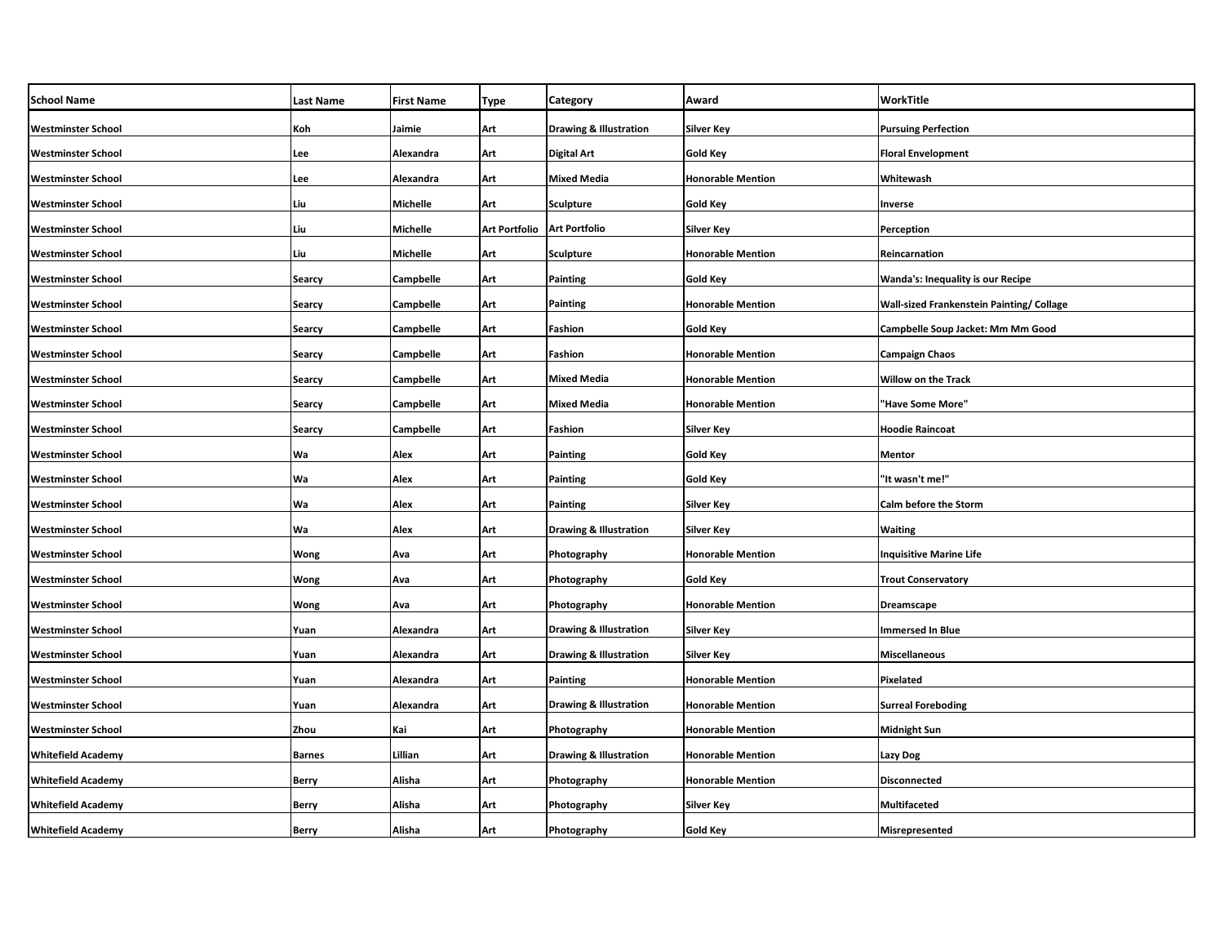| <b>School Name</b>        | <b>Last Name</b> | <b>First Name</b> | Type          | Category                          | Award                    | WorkTitle                                 |
|---------------------------|------------------|-------------------|---------------|-----------------------------------|--------------------------|-------------------------------------------|
| <b>Westminster School</b> | Koh              | Jaimie            | Art           | <b>Drawing &amp; Illustration</b> | <b>Silver Key</b>        | <b>Pursuing Perfection</b>                |
| <b>Westminster School</b> | Lee              | Alexandra         | Art           | <b>Digital Art</b>                | Gold Key                 | <b>Floral Envelopment</b>                 |
| <b>Westminster School</b> | Lee              | Alexandra         | Art           | <b>Mixed Media</b>                | <b>Honorable Mention</b> | Whitewash                                 |
| <b>Westminster School</b> | Liu              | Michelle          | Art           | <b>Sculpture</b>                  | <b>Gold Key</b>          | Inverse                                   |
| <b>Westminster School</b> | Liu              | Michelle          | Art Portfolio | <b>Art Portfolio</b>              | Silver Key               | Perception                                |
| <b>Westminster School</b> | Liu              | Michelle          | Art           | Sculpture                         | <b>Honorable Mention</b> | Reincarnation                             |
| <b>Westminster School</b> | <b>Searcy</b>    | Campbelle         | Art           | Painting                          | Gold Key                 | <b>Wanda's: Inequality is our Recipe</b>  |
| <b>Westminster School</b> | <b>Searcy</b>    | Campbelle         | Art           | Painting                          | <b>Honorable Mention</b> | Wall-sized Frankenstein Painting/ Collage |
| <b>Westminster School</b> | Searcy           | Campbelle         | Art           | Fashion                           | Gold Key                 | Campbelle Soup Jacket: Mm Mm Good         |
| <b>Westminster School</b> | <b>Searcy</b>    | Campbelle         | Art           | Fashion                           | <b>Honorable Mention</b> | <b>Campaign Chaos</b>                     |
| <b>Westminster School</b> | Searcy           | Campbelle         | Art           | <b>Mixed Media</b>                | <b>Honorable Mention</b> | Willow on the Track                       |
| <b>Westminster School</b> | Searcy           | Campbelle         | Art           | <b>Mixed Media</b>                | <b>Honorable Mention</b> | "Have Some More"                          |
| <b>Westminster School</b> | <b>Searcy</b>    | Campbelle         | Art           | Fashion                           | Silver Key               | <b>Hoodie Raincoat</b>                    |
| <b>Westminster School</b> | Wa               | Alex              | Art           | Painting                          | <b>Gold Key</b>          | <b>Mentor</b>                             |
| <b>Westminster School</b> | Wa               | Alex              | Art           | Painting                          | Gold Key                 | "It wasn't me!"                           |
| <b>Westminster School</b> | Wa               | Alex              | Art           | <b>Painting</b>                   | <b>Silver Key</b>        | Calm before the Storm                     |
| <b>Westminster School</b> | Wa               | Alex              | Art           | <b>Drawing &amp; Illustration</b> | <b>Silver Key</b>        | <b>Waiting</b>                            |
| <b>Westminster School</b> | Wong             | Ava               | Art           | Photography                       | <b>Honorable Mention</b> | <b>Inquisitive Marine Life</b>            |
| <b>Westminster School</b> | <b>Wong</b>      | Ava               | Art           | Photography                       | Gold Key                 | <b>Trout Conservatory</b>                 |
| <b>Westminster School</b> | Wong             | Ava               | Art           | Photography                       | <b>Honorable Mention</b> | <b>Dreamscape</b>                         |
| <b>Westminster School</b> | Yuan             | Alexandra         | Art           | <b>Drawing &amp; Illustration</b> | <b>Silver Key</b>        | <b>Immersed In Blue</b>                   |
| <b>Westminster School</b> | Yuan             | Alexandra         | Art           | <b>Drawing &amp; Illustration</b> | <b>Silver Key</b>        | <b>Miscellaneous</b>                      |
| <b>Westminster School</b> | Yuan             | Alexandra         | Art           | Painting                          | <b>Honorable Mention</b> | Pixelated                                 |
| <b>Westminster School</b> | Yuan             | Alexandra         | Art           | <b>Drawing &amp; Illustration</b> | <b>Honorable Mention</b> | <b>Surreal Foreboding</b>                 |
| <b>Westminster School</b> | Zhou             | Kai               | Art           | <b>Photography</b>                | <b>Honorable Mention</b> | <b>Midnight Sun</b>                       |
| <b>Whitefield Academy</b> | <b>Barnes</b>    | Lillian           | Art           | <b>Drawing &amp; Illustration</b> | <b>Honorable Mention</b> | <b>Lazy Dog</b>                           |
| <b>Whitefield Academy</b> | <b>Berry</b>     | Alisha            | Art           | Photography                       | <b>Honorable Mention</b> | <b>Disconnected</b>                       |
| <b>Whitefield Academy</b> | <b>Berry</b>     | Alisha            | Art           | Photography                       | Silver Key               | Multifaceted                              |
| <b>Whitefield Academy</b> | <b>Berry</b>     | Alisha            | Art           | Photography                       | <b>Gold Key</b>          | Misrepresented                            |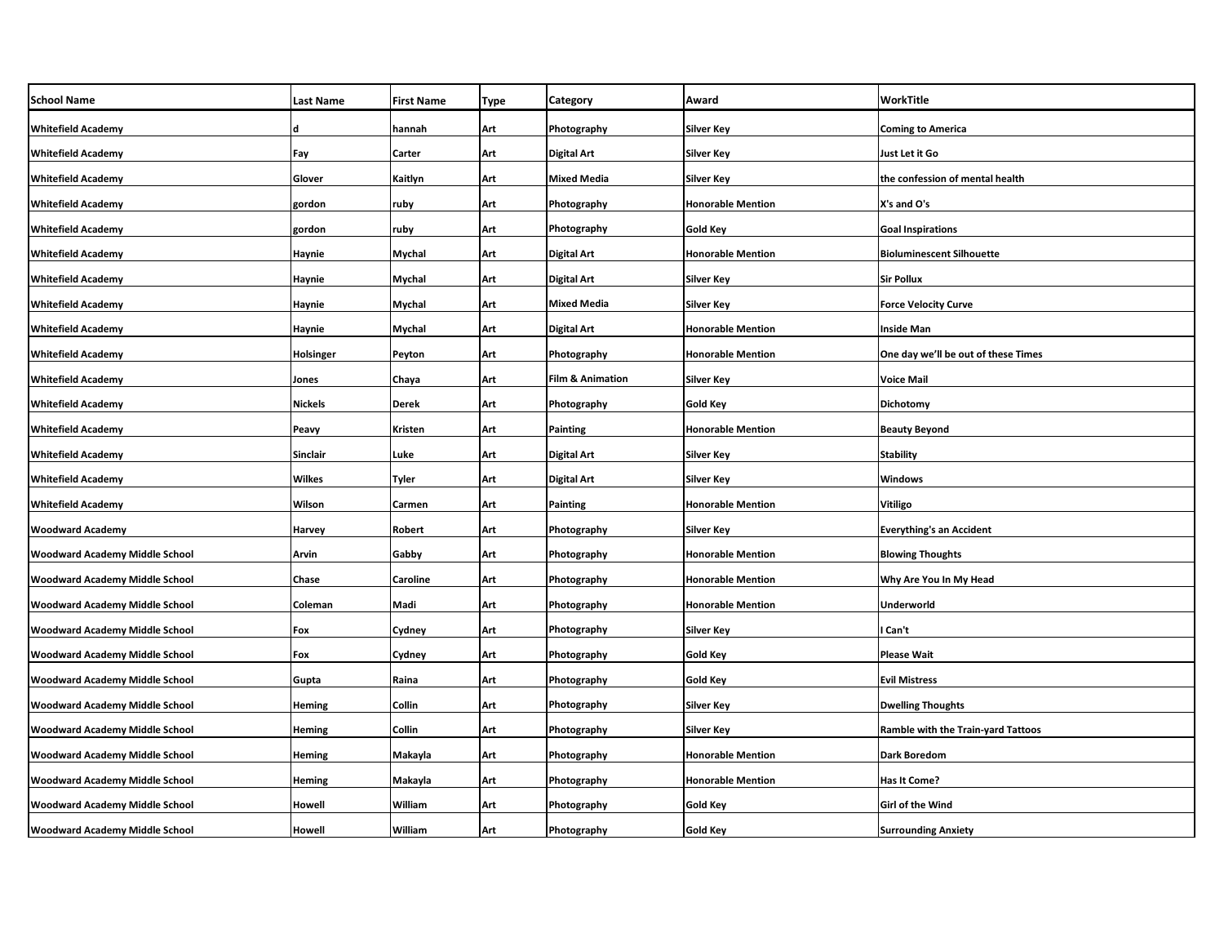| <b>School Name</b>                    | Last Name | <b>First Name</b> | <b>Type</b> | Category                    | Award                    | WorkTitle                                 |
|---------------------------------------|-----------|-------------------|-------------|-----------------------------|--------------------------|-------------------------------------------|
| <b>Whitefield Academy</b>             |           | hannah            | Art         | Photography                 | <b>Silver Key</b>        | <b>Coming to America</b>                  |
| <b>Whitefield Academy</b>             | Fay       | Carter            | Art         | <b>Digital Art</b>          | <b>Silver Key</b>        | Just Let it Go                            |
| <b>Whitefield Academy</b>             | Glover    | Kaitlyn           | Art         | <b>Mixed Media</b>          | <b>Silver Key</b>        | the confession of mental health           |
| <b>Whitefield Academy</b>             | gordon    | ruby              | Art         | Photography                 | <b>Honorable Mention</b> | X's and O's                               |
| <b>Whitefield Academy</b>             | gordon    | ruby              | Art         | Photography                 | Gold Key                 | <b>Goal Inspirations</b>                  |
| <b>Whitefield Academy</b>             | Haynie    | <b>Mychal</b>     | Art         | <b>Digital Art</b>          | <b>Honorable Mention</b> | <b>Bioluminescent Silhouette</b>          |
| <b>Whitefield Academy</b>             | Haynie    | Mychal            | Art         | <b>Digital Art</b>          | Silver Key               | Sir Pollux                                |
| <b>Whitefield Academy</b>             | Haynie    | Mychal            | Art         | Mixed Media                 | Silver Key               | <b>Force Velocity Curve</b>               |
| <b>Whitefield Academy</b>             | Haynie    | Mychal            | Art         | <b>Digital Art</b>          | <b>Honorable Mention</b> | Inside Man                                |
| <b>Whitefield Academy</b>             | Holsinger | Peyton            | Art         | Photography                 | <b>Honorable Mention</b> | One day we'll be out of these Times       |
| <b>Whitefield Academy</b>             | Jones     | Chaya             | Art         | <b>Film &amp; Animation</b> | <b>Silver Key</b>        | Voice Mail                                |
| <b>Whitefield Academy</b>             | Nickels   | Derek             | Art         | Photography                 | Gold Key                 | Dichotomy                                 |
| <b>Whitefield Academy</b>             | Peavy     | Kristen           | Art         | <b>Painting</b>             | <b>Honorable Mention</b> | <b>Beauty Beyond</b>                      |
| <b>Whitefield Academy</b>             | Sinclair  | Luke              | Art         | <b>Digital Art</b>          | <b>Silver Key</b>        | <b>Stability</b>                          |
| <b>Whitefield Academy</b>             | Wilkes    | Tyler             | Art         | <b>Digital Art</b>          | Silver Key               | Windows                                   |
| <b>Whitefield Academy</b>             | Wilson    | Carmen            | Art         | Painting                    | <b>Honorable Mention</b> | Vitiligo                                  |
| <b>Woodward Academy</b>               | Harvey    | Robert            | Art         | Photography                 | <b>Silver Key</b>        | <b>Everything's an Accident</b>           |
| Woodward Academy Middle School        | Arvin     | Gabby             | Art         | Photography                 | <b>Honorable Mention</b> | <b>Blowing Thoughts</b>                   |
| Woodward Academy Middle School        | Chase     | Caroline          | Art         | Photography                 | <b>Honorable Mention</b> | Why Are You In My Head                    |
| Woodward Academy Middle School        | Coleman   | Madi              | Art         | Photography                 | <b>Honorable Mention</b> | Underworld                                |
| Woodward Academy Middle School        | Fox       | Cydney            | Art         | Photography                 | Silver Key               | Can't                                     |
| Woodward Academy Middle School        | Fox       | Cydney            | Art         | Photography                 | <b>Gold Key</b>          | Please Wait                               |
| Woodward Academy Middle School        | Gupta     | Raina             | Art         | Photography                 | <b>Gold Key</b>          | <b>Evil Mistress</b>                      |
| Woodward Academy Middle School        | Heming    | Collin            | Art         | Photography                 | <b>Silver Key</b>        | <b>Dwelling Thoughts</b>                  |
| Woodward Academy Middle School        | Heming    | Collin            | Art         | Photography                 | Silver Key               | <b>Ramble with the Train-yard Tattoos</b> |
| Woodward Academy Middle School        | Heming    | Makayla           | Art         | Photography                 | <b>Honorable Mention</b> | Dark Boredom                              |
| Woodward Academy Middle School        | Heming    | Makayla           | Art         | Photography                 | <b>Honorable Mention</b> | Has It Come?                              |
| <b>Woodward Academy Middle School</b> | Howell    | William           | Art         | Photography                 | Gold Key                 | <b>Girl of the Wind</b>                   |
| <b>Woodward Academy Middle School</b> | Howell    | William           | Art         | Photography                 | <b>Gold Key</b>          | <b>Surrounding Anxiety</b>                |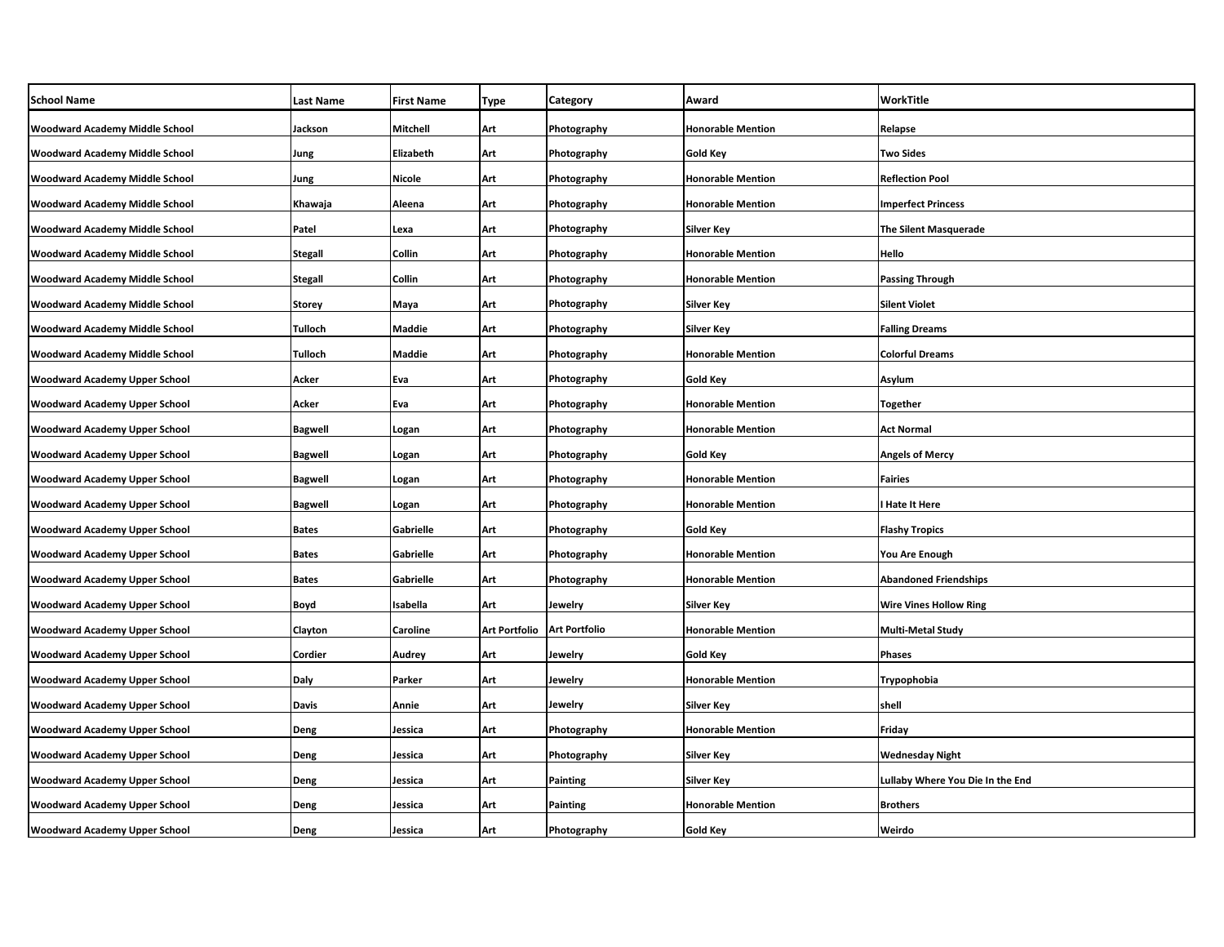| <b>School Name</b>                    | <b>Last Name</b> | <b>First Name</b> | Type          | Category             | Award                    | WorkTitle                        |
|---------------------------------------|------------------|-------------------|---------------|----------------------|--------------------------|----------------------------------|
| <b>Woodward Academy Middle School</b> | Jackson          | Mitchell          | Art           | Photography          | <b>Honorable Mention</b> | Relapse                          |
| Woodward Academy Middle School        | Jung             | Elizabeth         | Art           | Photography          | Gold Key                 | <b>Two Sides</b>                 |
| Woodward Academy Middle School        | Jung             | <b>Nicole</b>     | Art           | Photography          | <b>Honorable Mention</b> | <b>Reflection Pool</b>           |
| <b>Woodward Academy Middle School</b> | Khawaja          | Aleena            | Art           | Photography          | <b>Honorable Mention</b> | <b>Imperfect Princess</b>        |
| Woodward Academy Middle School        | Patel            | Lexa              | Art           | Photography          | Silver Key               | <b>The Silent Masquerade</b>     |
| Woodward Academy Middle School        | <b>Stegall</b>   | Collin            | Art           | Photography          | <b>Honorable Mention</b> | Hello                            |
| Woodward Academy Middle School        | <b>Stegall</b>   | Collin            | Art           | Photography          | Honorable Mention        | <b>Passing Through</b>           |
| Woodward Academy Middle School        | <b>Storey</b>    | Maya              | Art           | Photography          | <b>Silver Key</b>        | <b>Silent Violet</b>             |
| Woodward Academy Middle School        | Tulloch          | Maddie            | Art           | Photography          | Silver Key               | <b>Falling Dreams</b>            |
| Woodward Academy Middle School        | Tulloch          | Maddie            | Art           | Photography          | <b>Honorable Mention</b> | <b>Colorful Dreams</b>           |
| <b>Woodward Academy Upper School</b>  | Acker            | Eva               | Art           | Photography          | Gold Key                 | Asylum                           |
| Woodward Academy Upper School         | Acker            | Eva               | Art           | Photography          | <b>Honorable Mention</b> | <b>Together</b>                  |
| <b>Woodward Academy Upper School</b>  | <b>Bagwell</b>   | Logan             | Art           | Photography          | <b>Honorable Mention</b> | <b>Act Normal</b>                |
| Woodward Academy Upper School         | <b>Bagwell</b>   | Logan             | Art           | Photography          | Gold Key                 | <b>Angels of Mercy</b>           |
| Woodward Academy Upper School         | <b>Bagwell</b>   | Logan             | Art           | Photography          | <b>Honorable Mention</b> | <b>Fairies</b>                   |
| <b>Woodward Academy Upper School</b>  | <b>Bagwell</b>   | Logan             | Art           | Photography          | <b>Honorable Mention</b> | I Hate It Here                   |
| <b>Woodward Academy Upper School</b>  | <b>Bates</b>     | Gabrielle         | Art           | Photography          | Gold Key                 | <b>Flashy Tropics</b>            |
| <b>Woodward Academy Upper School</b>  | <b>Bates</b>     | Gabrielle         | Art           | Photography          | <b>Honorable Mention</b> | You Are Enough                   |
| <b>Woodward Academy Upper School</b>  | <b>Bates</b>     | Gabrielle         | Art           | Photography          | <b>Honorable Mention</b> | <b>Abandoned Friendships</b>     |
| <b>Woodward Academy Upper School</b>  | Boyd             | Isabella          | Art           | Jewelry              | <b>Silver Key</b>        | <b>Wire Vines Hollow Ring</b>    |
| Woodward Academy Upper School         | Clayton          | Caroline          | Art Portfolio | <b>Art Portfolio</b> | <b>Honorable Mention</b> | <b>Multi-Metal Study</b>         |
| Woodward Academy Upper School         | Cordier          | Audrey            | Art           | Jewelry              | Gold Key                 | <b>Phases</b>                    |
| <b>Woodward Academy Upper School</b>  | Daly             | Parker            | Art           | Jewelry              | <b>Honorable Mention</b> | Trypophobia                      |
| Woodward Academy Upper School         | Davis            | Annie             | Art           | Jewelry              | <b>Silver Key</b>        | shell                            |
| <b>Woodward Academy Upper School</b>  | Deng             | Jessica           | Art           | Photography          | <b>Honorable Mention</b> | Friday                           |
| Woodward Academy Upper School         | Deng             | Jessica           | Art           | Photography          | Silver Key               | <b>Wednesday Night</b>           |
| <b>Woodward Academy Upper School</b>  | Deng             | Jessica           | Art           | <b>Painting</b>      | Silver Key               | Lullaby Where You Die In the End |
| <b>Woodward Academy Upper School</b>  | Deng             | Jessica           | Art           | Painting             | <b>Honorable Mention</b> | <b>Brothers</b>                  |
| <b>Woodward Academy Upper School</b>  | Deng             | Jessica           | Art           | Photography          | Gold Key                 | Weirdo                           |